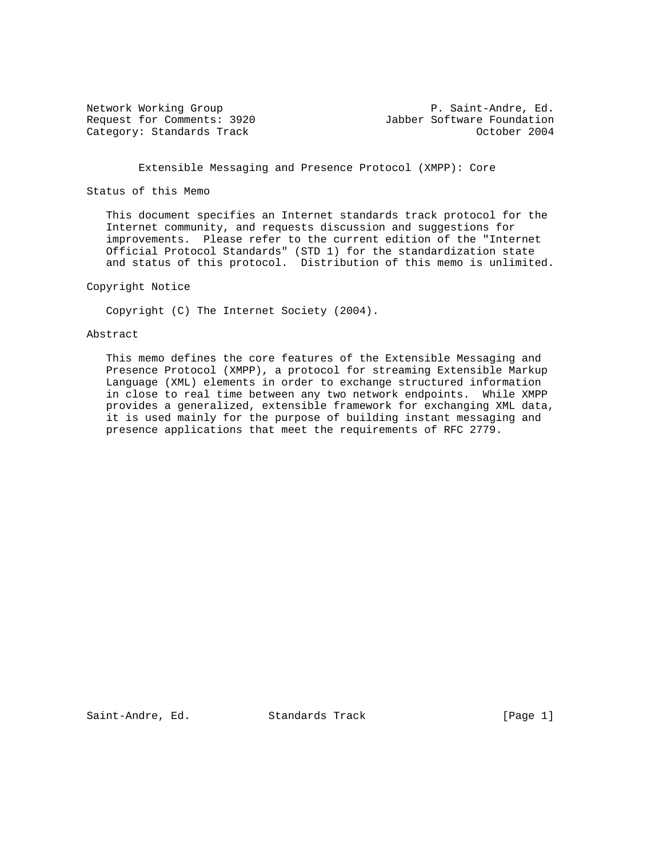Category: Standards Track

Network Working Group **P. Saint-Andre, Ed.** Request for Comments: 3920<br>Category: Standards Track and Jabber Software Foundation Category: Standards Track

Extensible Messaging and Presence Protocol (XMPP): Core

Status of this Memo

 This document specifies an Internet standards track protocol for the Internet community, and requests discussion and suggestions for improvements. Please refer to the current edition of the "Internet Official Protocol Standards" (STD 1) for the standardization state and status of this protocol. Distribution of this memo is unlimited.

Copyright Notice

Copyright (C) The Internet Society (2004).

## Abstract

 This memo defines the core features of the Extensible Messaging and Presence Protocol (XMPP), a protocol for streaming Extensible Markup Language (XML) elements in order to exchange structured information in close to real time between any two network endpoints. While XMPP provides a generalized, extensible framework for exchanging XML data, it is used mainly for the purpose of building instant messaging and presence applications that meet the requirements of RFC 2779.

Saint-Andre, Ed. Standards Track [Page 1]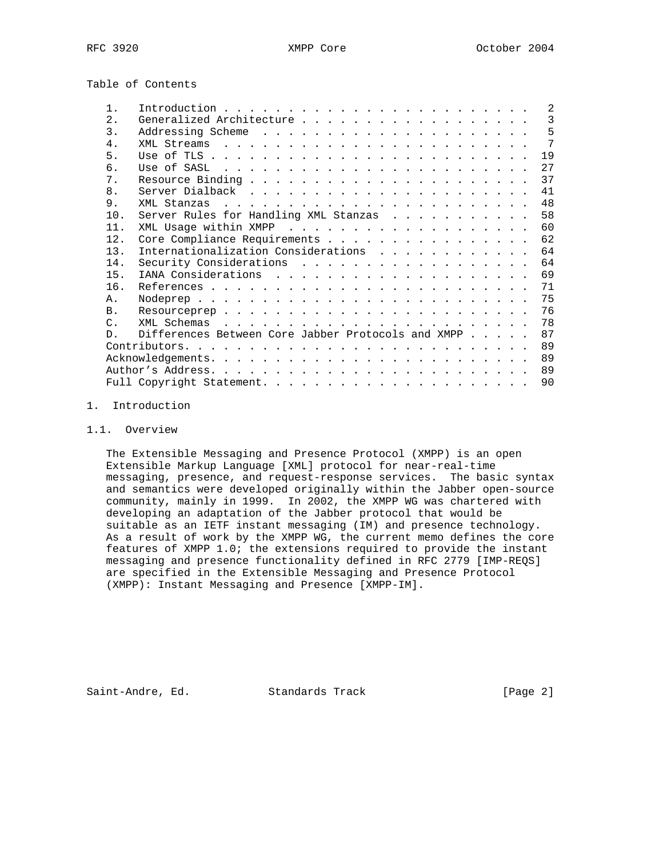Table of Contents

| $1$ .            |                                                       | $\mathcal{L}$ |
|------------------|-------------------------------------------------------|---------------|
| $\mathfrak{D}$ . |                                                       | 3             |
| 3.               |                                                       |               |
| $4 \cdot$        |                                                       |               |
| 5.               |                                                       | 19            |
| 6.               |                                                       | 27            |
| $7$ .            |                                                       | 37            |
| 8.               |                                                       |               |
| 9.               |                                                       | 48            |
| 10.              | Server Rules for Handling XML Stanzas                 | 58            |
| 11.              |                                                       |               |
| 12.              | Core Compliance Requirements                          | 62            |
| 13.              | Internationalization Considerations 64                |               |
| 14.              |                                                       | 64            |
| 15.              |                                                       |               |
| 16.              |                                                       | 71            |
| A.               |                                                       | 75            |
| B <sub>1</sub>   |                                                       |               |
| $\mathcal{C}$ .  |                                                       | 78            |
| $\mathsf{D}$     | Differences Between Core Jabber Protocols and XMPP 87 |               |
|                  | $Contributors.$                                       | 89            |
|                  |                                                       |               |
|                  |                                                       | 89            |
|                  |                                                       |               |

#### 1. Introduction

### 1.1. Overview

 The Extensible Messaging and Presence Protocol (XMPP) is an open Extensible Markup Language [XML] protocol for near-real-time messaging, presence, and request-response services. The basic syntax and semantics were developed originally within the Jabber open-source community, mainly in 1999. In 2002, the XMPP WG was chartered with developing an adaptation of the Jabber protocol that would be suitable as an IETF instant messaging (IM) and presence technology. As a result of work by the XMPP WG, the current memo defines the core features of XMPP 1.0; the extensions required to provide the instant messaging and presence functionality defined in RFC 2779 [IMP-REQS] are specified in the Extensible Messaging and Presence Protocol (XMPP): Instant Messaging and Presence [XMPP-IM].

Saint-Andre, Ed. Standards Track [Page 2]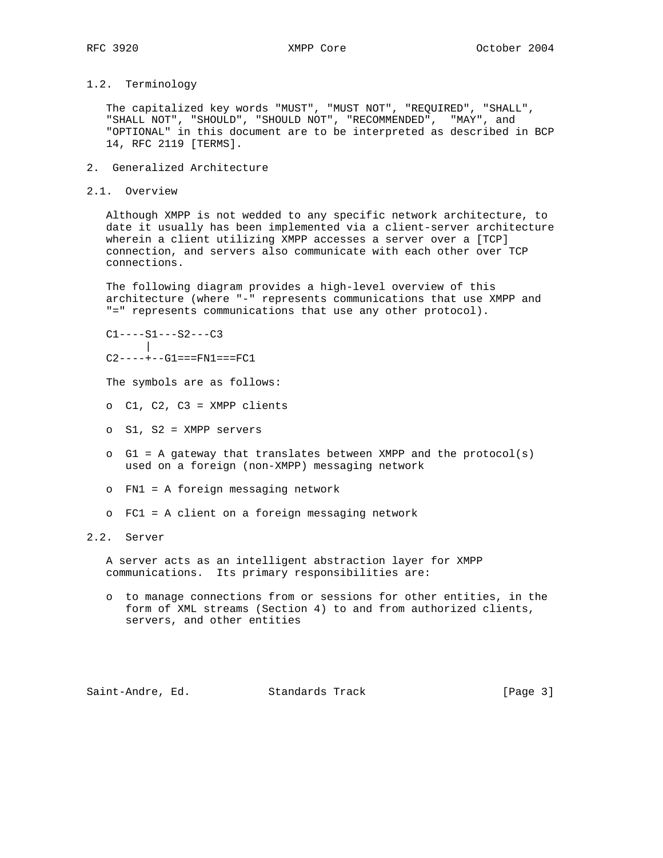## 1.2. Terminology

 The capitalized key words "MUST", "MUST NOT", "REQUIRED", "SHALL", "SHALL NOT", "SHOULD", "SHOULD NOT", "RECOMMENDED", "MAY", and "OPTIONAL" in this document are to be interpreted as described in BCP 14, RFC 2119 [TERMS].

- 2. Generalized Architecture
- 2.1. Overview

 Although XMPP is not wedded to any specific network architecture, to date it usually has been implemented via a client-server architecture wherein a client utilizing XMPP accesses a server over a [TCP] connection, and servers also communicate with each other over TCP connections.

 The following diagram provides a high-level overview of this architecture (where "-" represents communications that use XMPP and "=" represents communications that use any other protocol).

 $C1---S1---S2---C3$ ||  $C2------G1===FN1===FC1$ 

- The symbols are as follows:
- o C1, C2, C3 = XMPP clients
- o S1, S2 = XMPP servers
- o G1 = A gateway that translates between XMPP and the protocol(s) used on a foreign (non-XMPP) messaging network
- o FN1 = A foreign messaging network
- o FC1 = A client on a foreign messaging network

# 2.2. Server

 A server acts as an intelligent abstraction layer for XMPP communications. Its primary responsibilities are:

 o to manage connections from or sessions for other entities, in the form of XML streams (Section 4) to and from authorized clients, servers, and other entities

Saint-Andre, Ed. Standards Track [Page 3]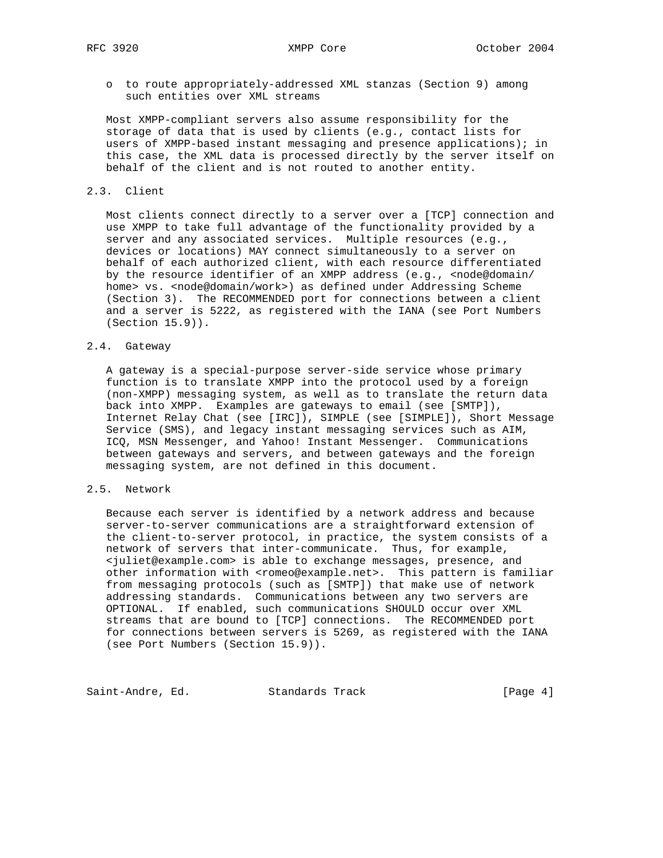o to route appropriately-addressed XML stanzas (Section 9) among such entities over XML streams

 Most XMPP-compliant servers also assume responsibility for the storage of data that is used by clients (e.g., contact lists for users of XMPP-based instant messaging and presence applications); in this case, the XML data is processed directly by the server itself on behalf of the client and is not routed to another entity.

#### 2.3. Client

 Most clients connect directly to a server over a [TCP] connection and use XMPP to take full advantage of the functionality provided by a server and any associated services. Multiple resources (e.g., devices or locations) MAY connect simultaneously to a server on behalf of each authorized client, with each resource differentiated by the resource identifier of an XMPP address (e.g., <node@domain/ home> vs. <node@domain/work>) as defined under Addressing Scheme (Section 3). The RECOMMENDED port for connections between a client and a server is 5222, as registered with the IANA (see Port Numbers (Section 15.9)).

#### 2.4. Gateway

 A gateway is a special-purpose server-side service whose primary function is to translate XMPP into the protocol used by a foreign (non-XMPP) messaging system, as well as to translate the return data back into XMPP. Examples are gateways to email (see [SMTP]), Internet Relay Chat (see [IRC]), SIMPLE (see [SIMPLE]), Short Message Service (SMS), and legacy instant messaging services such as AIM, ICQ, MSN Messenger, and Yahoo! Instant Messenger. Communications between gateways and servers, and between gateways and the foreign messaging system, are not defined in this document.

## 2.5. Network

 Because each server is identified by a network address and because server-to-server communications are a straightforward extension of the client-to-server protocol, in practice, the system consists of a network of servers that inter-communicate. Thus, for example, <juliet@example.com> is able to exchange messages, presence, and other information with <romeo@example.net>. This pattern is familiar from messaging protocols (such as [SMTP]) that make use of network addressing standards. Communications between any two servers are OPTIONAL. If enabled, such communications SHOULD occur over XML streams that are bound to [TCP] connections. The RECOMMENDED port for connections between servers is 5269, as registered with the IANA (see Port Numbers (Section 15.9)).

Saint-Andre, Ed. Standards Track [Page 4]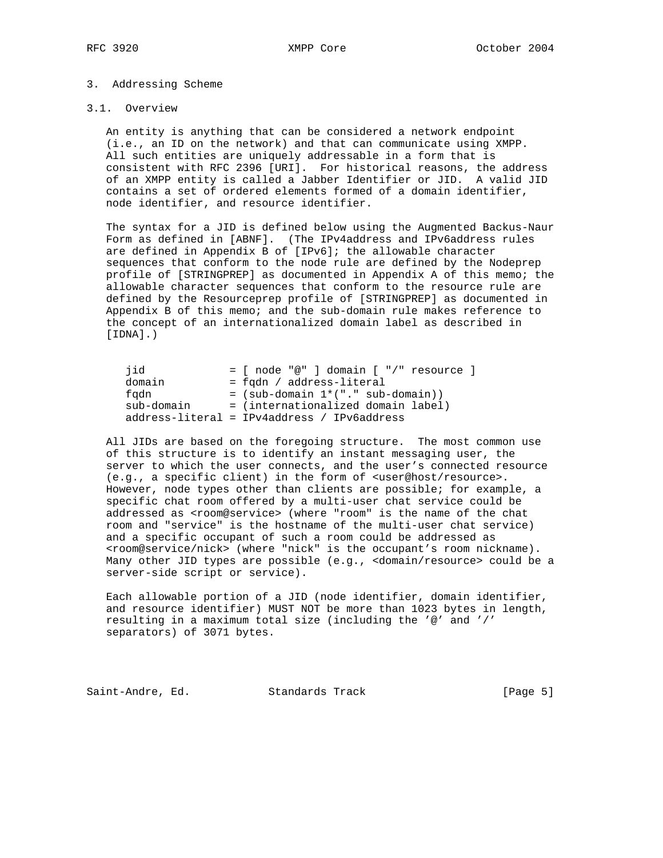#### 3. Addressing Scheme

### 3.1. Overview

 An entity is anything that can be considered a network endpoint (i.e., an ID on the network) and that can communicate using XMPP. All such entities are uniquely addressable in a form that is consistent with RFC 2396 [URI]. For historical reasons, the address of an XMPP entity is called a Jabber Identifier or JID. A valid JID contains a set of ordered elements formed of a domain identifier, node identifier, and resource identifier.

 The syntax for a JID is defined below using the Augmented Backus-Naur Form as defined in [ABNF]. (The IPv4address and IPv6address rules are defined in Appendix B of [IPv6]; the allowable character sequences that conform to the node rule are defined by the Nodeprep profile of [STRINGPREP] as documented in Appendix A of this memo; the allowable character sequences that conform to the resource rule are defined by the Resourceprep profile of [STRINGPREP] as documented in Appendix B of this memo; and the sub-domain rule makes reference to the concept of an internationalized domain label as described in  $[IDNA]$ .)

| iid        | $=$ [ node "@" ] domain [ "/" resource ]              |  |
|------------|-------------------------------------------------------|--|
| domain     | = fgdn / address-literal                              |  |
| fadn       | $=$ (sub-domain $1*(".$ sub-domain))                  |  |
| sub-domain | = (internationalized domain label)                    |  |
|            | $address{\text -}literal = IPv4address / IPv6address$ |  |

 All JIDs are based on the foregoing structure. The most common use of this structure is to identify an instant messaging user, the server to which the user connects, and the user's connected resource (e.g., a specific client) in the form of <user@host/resource>. However, node types other than clients are possible; for example, a specific chat room offered by a multi-user chat service could be addressed as <room@service> (where "room" is the name of the chat room and "service" is the hostname of the multi-user chat service) and a specific occupant of such a room could be addressed as <room@service/nick> (where "nick" is the occupant's room nickname). Many other JID types are possible (e.g., <domain/resource> could be a server-side script or service).

 Each allowable portion of a JID (node identifier, domain identifier, and resource identifier) MUST NOT be more than 1023 bytes in length, resulting in a maximum total size (including the '@' and '/' separators) of 3071 bytes.

Saint-Andre, Ed. Standards Track [Page 5]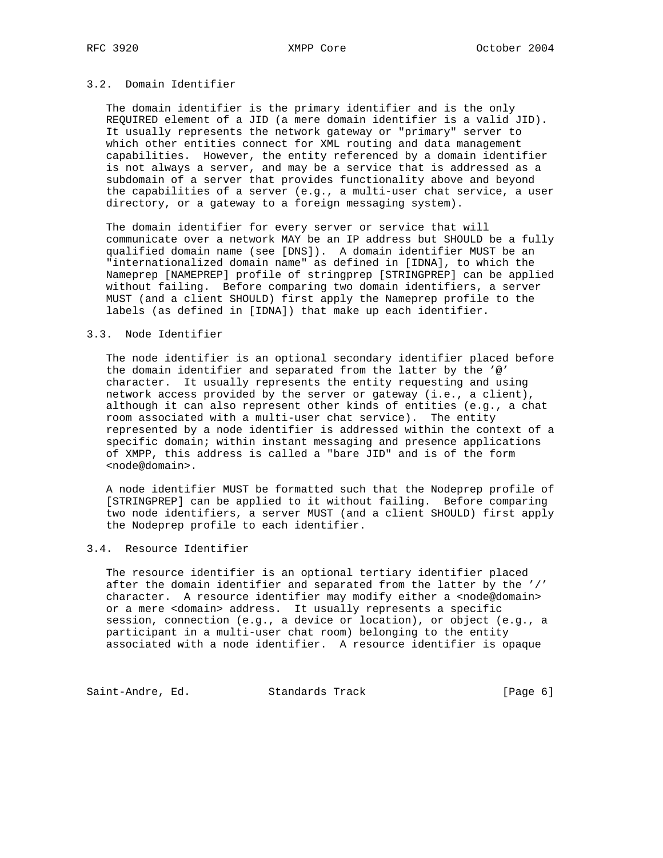## 3.2. Domain Identifier

 The domain identifier is the primary identifier and is the only REQUIRED element of a JID (a mere domain identifier is a valid JID). It usually represents the network gateway or "primary" server to which other entities connect for XML routing and data management capabilities. However, the entity referenced by a domain identifier is not always a server, and may be a service that is addressed as a subdomain of a server that provides functionality above and beyond the capabilities of a server (e.g., a multi-user chat service, a user directory, or a gateway to a foreign messaging system).

 The domain identifier for every server or service that will communicate over a network MAY be an IP address but SHOULD be a fully qualified domain name (see [DNS]). A domain identifier MUST be an "internationalized domain name" as defined in [IDNA], to which the Nameprep [NAMEPREP] profile of stringprep [STRINGPREP] can be applied without failing. Before comparing two domain identifiers, a server MUST (and a client SHOULD) first apply the Nameprep profile to the labels (as defined in [IDNA]) that make up each identifier.

#### 3.3. Node Identifier

 The node identifier is an optional secondary identifier placed before the domain identifier and separated from the latter by the '@' character. It usually represents the entity requesting and using network access provided by the server or gateway (i.e., a client), although it can also represent other kinds of entities (e.g., a chat room associated with a multi-user chat service). The entity represented by a node identifier is addressed within the context of a specific domain; within instant messaging and presence applications of XMPP, this address is called a "bare JID" and is of the form <node@domain>.

 A node identifier MUST be formatted such that the Nodeprep profile of [STRINGPREP] can be applied to it without failing. Before comparing two node identifiers, a server MUST (and a client SHOULD) first apply the Nodeprep profile to each identifier.

### 3.4. Resource Identifier

 The resource identifier is an optional tertiary identifier placed after the domain identifier and separated from the latter by the '/' character. A resource identifier may modify either a <node@domain> or a mere <domain> address. It usually represents a specific session, connection (e.g., a device or location), or object (e.g., a participant in a multi-user chat room) belonging to the entity associated with a node identifier. A resource identifier is opaque

Saint-Andre, Ed. Standards Track (Page 6)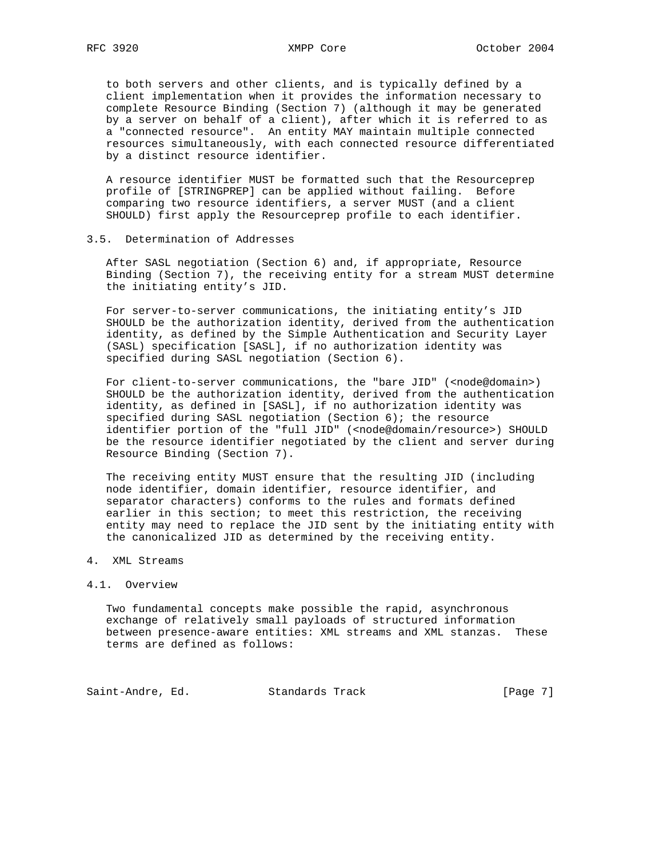to both servers and other clients, and is typically defined by a client implementation when it provides the information necessary to complete Resource Binding (Section 7) (although it may be generated by a server on behalf of a client), after which it is referred to as a "connected resource". An entity MAY maintain multiple connected resources simultaneously, with each connected resource differentiated by a distinct resource identifier.

 A resource identifier MUST be formatted such that the Resourceprep profile of [STRINGPREP] can be applied without failing. Before comparing two resource identifiers, a server MUST (and a client SHOULD) first apply the Resourceprep profile to each identifier.

#### 3.5. Determination of Addresses

 After SASL negotiation (Section 6) and, if appropriate, Resource Binding (Section 7), the receiving entity for a stream MUST determine the initiating entity's JID.

 For server-to-server communications, the initiating entity's JID SHOULD be the authorization identity, derived from the authentication identity, as defined by the Simple Authentication and Security Layer (SASL) specification [SASL], if no authorization identity was specified during SASL negotiation (Section 6).

For client-to-server communications, the "bare JID" (<node@domain>) SHOULD be the authorization identity, derived from the authentication identity, as defined in [SASL], if no authorization identity was specified during SASL negotiation (Section 6); the resource identifier portion of the "full JID" (<node@domain/resource>) SHOULD be the resource identifier negotiated by the client and server during Resource Binding (Section 7).

 The receiving entity MUST ensure that the resulting JID (including node identifier, domain identifier, resource identifier, and separator characters) conforms to the rules and formats defined earlier in this section; to meet this restriction, the receiving entity may need to replace the JID sent by the initiating entity with the canonicalized JID as determined by the receiving entity.

#### 4. XML Streams

#### 4.1. Overview

 Two fundamental concepts make possible the rapid, asynchronous exchange of relatively small payloads of structured information between presence-aware entities: XML streams and XML stanzas. These terms are defined as follows:

Saint-Andre, Ed. Standards Track [Page 7]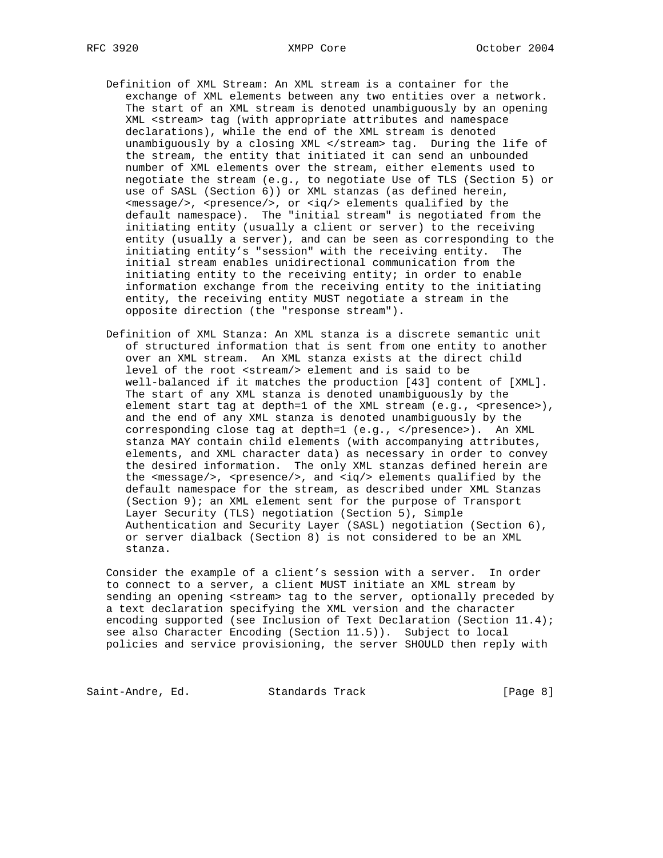- Definition of XML Stream: An XML stream is a container for the exchange of XML elements between any two entities over a network. The start of an XML stream is denoted unambiguously by an opening XML <stream> tag (with appropriate attributes and namespace declarations), while the end of the XML stream is denoted unambiguously by a closing XML </stream> tag. During the life of the stream, the entity that initiated it can send an unbounded number of XML elements over the stream, either elements used to negotiate the stream (e.g., to negotiate Use of TLS (Section 5) or use of SASL (Section 6)) or XML stanzas (as defined herein, <message/>, <presence/>, or <iq/> elements qualified by the default namespace). The "initial stream" is negotiated from the initiating entity (usually a client or server) to the receiving entity (usually a server), and can be seen as corresponding to the initiating entity's "session" with the receiving entity. The initial stream enables unidirectional communication from the initiating entity to the receiving entity; in order to enable information exchange from the receiving entity to the initiating entity, the receiving entity MUST negotiate a stream in the opposite direction (the "response stream").
- Definition of XML Stanza: An XML stanza is a discrete semantic unit of structured information that is sent from one entity to another over an XML stream. An XML stanza exists at the direct child level of the root <stream/> element and is said to be well-balanced if it matches the production [43] content of [XML]. The start of any XML stanza is denoted unambiguously by the element start tag at depth=1 of the XML stream (e.g., <presence>), and the end of any XML stanza is denoted unambiguously by the corresponding close tag at depth=1 (e.g., </presence>). An XML stanza MAY contain child elements (with accompanying attributes, elements, and XML character data) as necessary in order to convey the desired information. The only XML stanzas defined herein are the <message/>, <presence/>, and <iq/>sq/> elements qualified by the default namespace for the stream, as described under XML Stanzas (Section 9); an XML element sent for the purpose of Transport Layer Security (TLS) negotiation (Section 5), Simple Authentication and Security Layer (SASL) negotiation (Section 6), or server dialback (Section 8) is not considered to be an XML stanza.

 Consider the example of a client's session with a server. In order to connect to a server, a client MUST initiate an XML stream by sending an opening <stream> tag to the server, optionally preceded by a text declaration specifying the XML version and the character encoding supported (see Inclusion of Text Declaration (Section 11.4); see also Character Encoding (Section 11.5)). Subject to local policies and service provisioning, the server SHOULD then reply with

Saint-Andre, Ed. Standards Track (Page 8)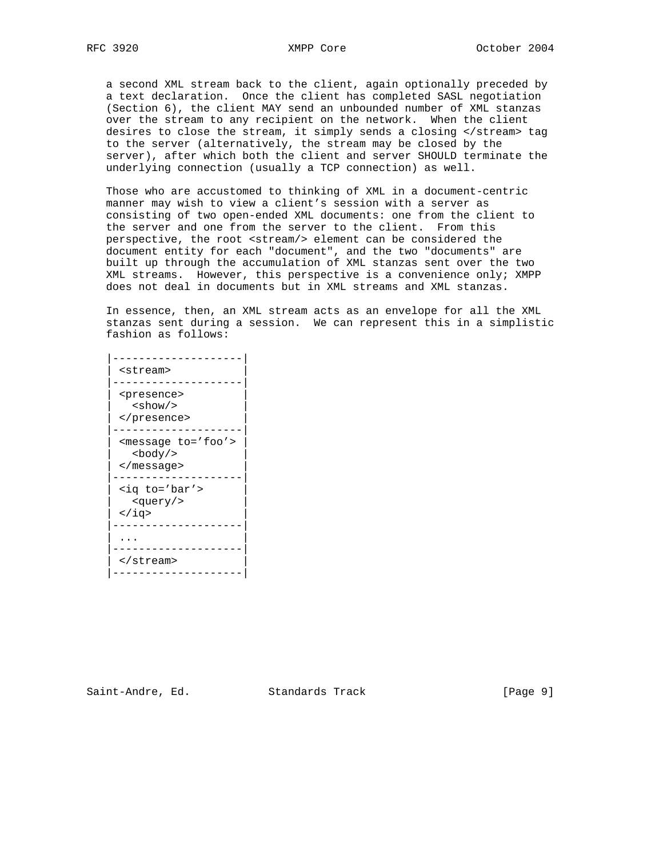a second XML stream back to the client, again optionally preceded by a text declaration. Once the client has completed SASL negotiation (Section 6), the client MAY send an unbounded number of XML stanzas over the stream to any recipient on the network. When the client desires to close the stream, it simply sends a closing </stream> tag to the server (alternatively, the stream may be closed by the server), after which both the client and server SHOULD terminate the underlying connection (usually a TCP connection) as well.

 Those who are accustomed to thinking of XML in a document-centric manner may wish to view a client's session with a server as consisting of two open-ended XML documents: one from the client to the server and one from the server to the client. From this perspective, the root <stream/> element can be considered the document entity for each "document", and the two "documents" are built up through the accumulation of XML stanzas sent over the two XML streams. However, this perspective is a convenience only; XMPP does not deal in documents but in XML streams and XML stanzas.

 In essence, then, an XML stream acts as an envelope for all the XML stanzas sent during a session. We can represent this in a simplistic fashion as follows:

| <stream></stream>                              |
|------------------------------------------------|
|                                                |
| <presence><br/><show></show></presence>        |
|                                                |
|                                                |
| <message to="foo"><br/><body></body></message> |
|                                                |
|                                                |
| <iq to="bar"><br/><query></query></iq>         |
| $\langle$ iq>                                  |
|                                                |
|                                                |
|                                                |
|                                                |
|                                                |
|                                                |

Saint-Andre, Ed. Standards Track [Page 9]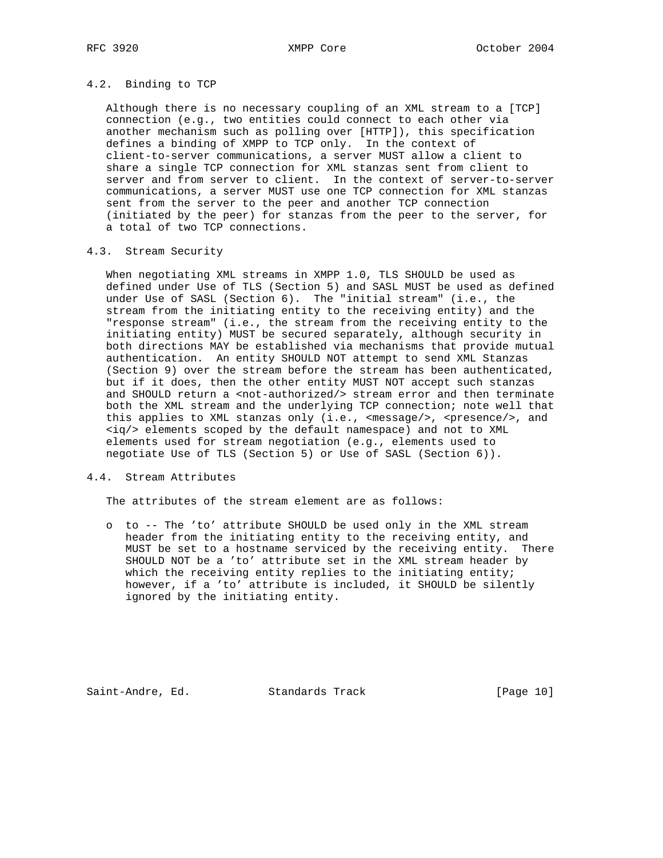## 4.2. Binding to TCP

 Although there is no necessary coupling of an XML stream to a [TCP] connection (e.g., two entities could connect to each other via another mechanism such as polling over [HTTP]), this specification defines a binding of XMPP to TCP only. In the context of client-to-server communications, a server MUST allow a client to share a single TCP connection for XML stanzas sent from client to server and from server to client. In the context of server-to-server communications, a server MUST use one TCP connection for XML stanzas sent from the server to the peer and another TCP connection (initiated by the peer) for stanzas from the peer to the server, for a total of two TCP connections.

## 4.3. Stream Security

 When negotiating XML streams in XMPP 1.0, TLS SHOULD be used as defined under Use of TLS (Section 5) and SASL MUST be used as defined under Use of SASL (Section 6). The "initial stream" (i.e., the stream from the initiating entity to the receiving entity) and the "response stream" (i.e., the stream from the receiving entity to the initiating entity) MUST be secured separately, although security in both directions MAY be established via mechanisms that provide mutual authentication. An entity SHOULD NOT attempt to send XML Stanzas (Section 9) over the stream before the stream has been authenticated, but if it does, then the other entity MUST NOT accept such stanzas and SHOULD return a <not-authorized/> stream error and then terminate both the XML stream and the underlying TCP connection; note well that this applies to XML stanzas only (i.e., <message/>, <presence/>>e/>, and <iq/> elements scoped by the default namespace) and not to XML elements used for stream negotiation (e.g., elements used to negotiate Use of TLS (Section 5) or Use of SASL (Section 6)).

#### 4.4. Stream Attributes

The attributes of the stream element are as follows:

 o to -- The 'to' attribute SHOULD be used only in the XML stream header from the initiating entity to the receiving entity, and MUST be set to a hostname serviced by the receiving entity. There SHOULD NOT be a 'to' attribute set in the XML stream header by which the receiving entity replies to the initiating entity; however, if a 'to' attribute is included, it SHOULD be silently ignored by the initiating entity.

Saint-Andre, Ed. Standards Track [Page 10]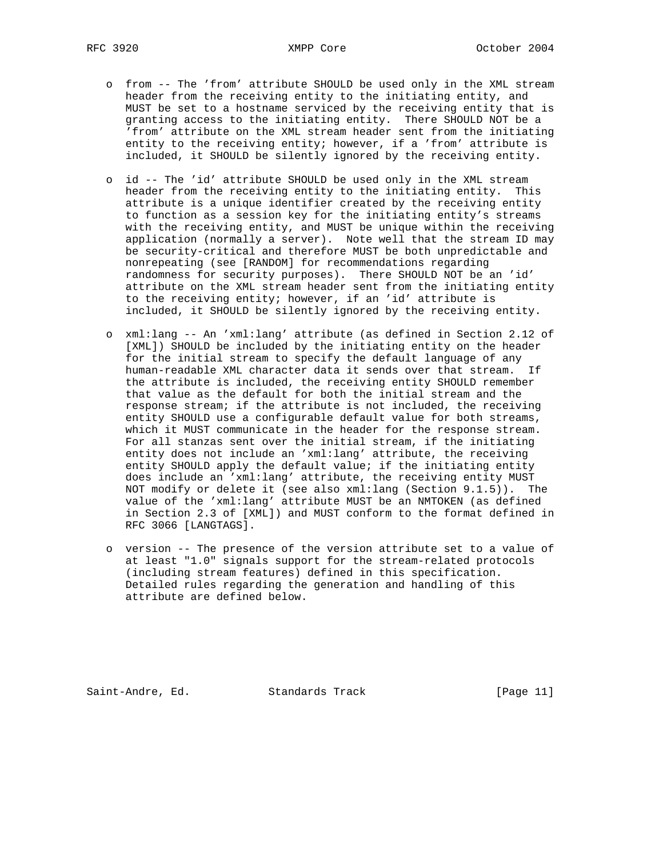- o from -- The 'from' attribute SHOULD be used only in the XML stream header from the receiving entity to the initiating entity, and MUST be set to a hostname serviced by the receiving entity that is granting access to the initiating entity. There SHOULD NOT be a 'from' attribute on the XML stream header sent from the initiating entity to the receiving entity; however, if a 'from' attribute is included, it SHOULD be silently ignored by the receiving entity.
- o id -- The 'id' attribute SHOULD be used only in the XML stream header from the receiving entity to the initiating entity. This attribute is a unique identifier created by the receiving entity to function as a session key for the initiating entity's streams with the receiving entity, and MUST be unique within the receiving application (normally a server). Note well that the stream ID may be security-critical and therefore MUST be both unpredictable and nonrepeating (see [RANDOM] for recommendations regarding randomness for security purposes). There SHOULD NOT be an 'id' attribute on the XML stream header sent from the initiating entity to the receiving entity; however, if an 'id' attribute is included, it SHOULD be silently ignored by the receiving entity.
- o xml:lang -- An 'xml:lang' attribute (as defined in Section 2.12 of [XML]) SHOULD be included by the initiating entity on the header for the initial stream to specify the default language of any human-readable XML character data it sends over that stream. If the attribute is included, the receiving entity SHOULD remember that value as the default for both the initial stream and the response stream; if the attribute is not included, the receiving entity SHOULD use a configurable default value for both streams, which it MUST communicate in the header for the response stream. For all stanzas sent over the initial stream, if the initiating entity does not include an 'xml:lang' attribute, the receiving entity SHOULD apply the default value; if the initiating entity does include an 'xml:lang' attribute, the receiving entity MUST NOT modify or delete it (see also xml:lang (Section 9.1.5)). The value of the 'xml:lang' attribute MUST be an NMTOKEN (as defined in Section 2.3 of [XML]) and MUST conform to the format defined in RFC 3066 [LANGTAGS].
- o version -- The presence of the version attribute set to a value of at least "1.0" signals support for the stream-related protocols (including stream features) defined in this specification. Detailed rules regarding the generation and handling of this attribute are defined below.

Saint-Andre, Ed. Standards Track [Page 11]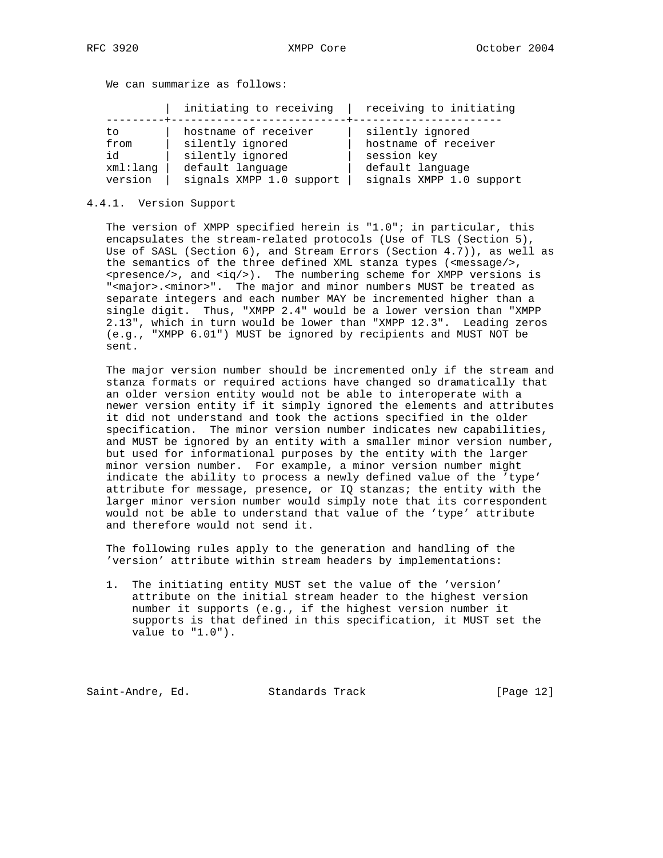We can summarize as follows:

|                         |  |  | the contract of the contract of the contract of the contract of the contract of the contract of the contract of |
|-------------------------|--|--|-----------------------------------------------------------------------------------------------------------------|
| initiating to receiving |  |  | receiving to initiating                                                                                         |
|                         |  |  |                                                                                                                 |

| to       | hostname of receiver     | silently ignored         |
|----------|--------------------------|--------------------------|
| from     | silently ignored         | hostname of receiver     |
| id       | silently ignored         | session key              |
| xml:lanq | default language         | default language         |
| version  | signals XMPP 1.0 support | signals XMPP 1.0 support |

#### 4.4.1. Version Support

 The version of XMPP specified herein is "1.0"; in particular, this encapsulates the stream-related protocols (Use of TLS (Section 5), Use of SASL (Section 6), and Stream Errors (Section 4.7)), as well as the semantics of the three defined XML stanza types (<message/>,  $<$ presence/>, and  $<$ iq/>). The numbering scheme for XMPP versions is "<major>.<minor>". The major and minor numbers MUST be treated as separate integers and each number MAY be incremented higher than a single digit. Thus, "XMPP 2.4" would be a lower version than "XMPP 2.13", which in turn would be lower than "XMPP 12.3". Leading zeros (e.g., "XMPP 6.01") MUST be ignored by recipients and MUST NOT be sent.

 The major version number should be incremented only if the stream and stanza formats or required actions have changed so dramatically that an older version entity would not be able to interoperate with a newer version entity if it simply ignored the elements and attributes it did not understand and took the actions specified in the older specification. The minor version number indicates new capabilities, and MUST be ignored by an entity with a smaller minor version number, but used for informational purposes by the entity with the larger minor version number. For example, a minor version number might indicate the ability to process a newly defined value of the 'type' attribute for message, presence, or IQ stanzas; the entity with the larger minor version number would simply note that its correspondent would not be able to understand that value of the 'type' attribute and therefore would not send it.

 The following rules apply to the generation and handling of the 'version' attribute within stream headers by implementations:

 1. The initiating entity MUST set the value of the 'version' attribute on the initial stream header to the highest version number it supports (e.g., if the highest version number it supports is that defined in this specification, it MUST set the value to "1.0").

Saint-Andre, Ed. Standards Track [Page 12]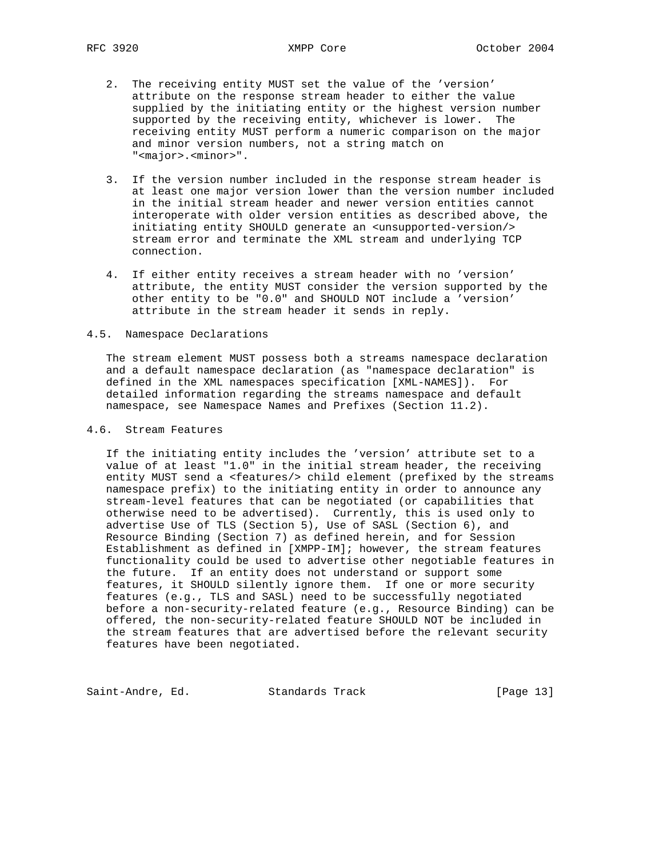- 2. The receiving entity MUST set the value of the 'version' attribute on the response stream header to either the value supplied by the initiating entity or the highest version number supported by the receiving entity, whichever is lower. The receiving entity MUST perform a numeric comparison on the major and minor version numbers, not a string match on "<major>.<minor>".
- 3. If the version number included in the response stream header is at least one major version lower than the version number included in the initial stream header and newer version entities cannot interoperate with older version entities as described above, the initiating entity SHOULD generate an <unsupported-version/> stream error and terminate the XML stream and underlying TCP connection.
- 4. If either entity receives a stream header with no 'version' attribute, the entity MUST consider the version supported by the other entity to be "0.0" and SHOULD NOT include a 'version' attribute in the stream header it sends in reply.

### 4.5. Namespace Declarations

 The stream element MUST possess both a streams namespace declaration and a default namespace declaration (as "namespace declaration" is defined in the XML namespaces specification [XML-NAMES]). For detailed information regarding the streams namespace and default namespace, see Namespace Names and Prefixes (Section 11.2).

### 4.6. Stream Features

 If the initiating entity includes the 'version' attribute set to a value of at least "1.0" in the initial stream header, the receiving entity MUST send a <features/> child element (prefixed by the streams namespace prefix) to the initiating entity in order to announce any stream-level features that can be negotiated (or capabilities that otherwise need to be advertised). Currently, this is used only to advertise Use of TLS (Section 5), Use of SASL (Section 6), and Resource Binding (Section 7) as defined herein, and for Session Establishment as defined in [XMPP-IM]; however, the stream features functionality could be used to advertise other negotiable features in the future. If an entity does not understand or support some features, it SHOULD silently ignore them. If one or more security features (e.g., TLS and SASL) need to be successfully negotiated before a non-security-related feature (e.g., Resource Binding) can be offered, the non-security-related feature SHOULD NOT be included in the stream features that are advertised before the relevant security features have been negotiated.

Saint-Andre, Ed. Standards Track [Page 13]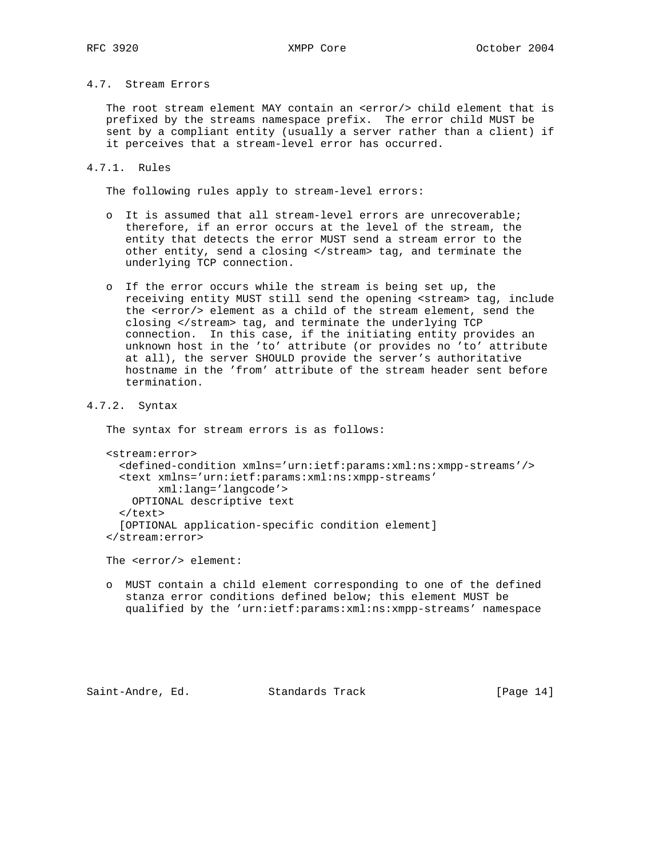# 4.7. Stream Errors

 The root stream element MAY contain an <error/> child element that is prefixed by the streams namespace prefix. The error child MUST be sent by a compliant entity (usually a server rather than a client) if it perceives that a stream-level error has occurred.

### 4.7.1. Rules

The following rules apply to stream-level errors:

- o It is assumed that all stream-level errors are unrecoverable; therefore, if an error occurs at the level of the stream, the entity that detects the error MUST send a stream error to the other entity, send a closing </stream> tag, and terminate the underlying TCP connection.
- o If the error occurs while the stream is being set up, the receiving entity MUST still send the opening <stream> tag, include the <error/> element as a child of the stream element, send the closing </stream> tag, and terminate the underlying TCP connection. In this case, if the initiating entity provides an unknown host in the 'to' attribute (or provides no 'to' attribute at all), the server SHOULD provide the server's authoritative hostname in the 'from' attribute of the stream header sent before termination.

#### 4.7.2. Syntax

The syntax for stream errors is as follows:

```
 <stream:error>
   <defined-condition xmlns='urn:ietf:params:xml:ns:xmpp-streams'/>
   <text xmlns='urn:ietf:params:xml:ns:xmpp-streams'
         xml:lang='langcode'>
     OPTIONAL descriptive text
  \langletext>
   [OPTIONAL application-specific condition element]
 </stream:error>
```
The <error/> element:

 o MUST contain a child element corresponding to one of the defined stanza error conditions defined below; this element MUST be qualified by the 'urn:ietf:params:xml:ns:xmpp-streams' namespace

Saint-Andre, Ed. Standards Track [Page 14]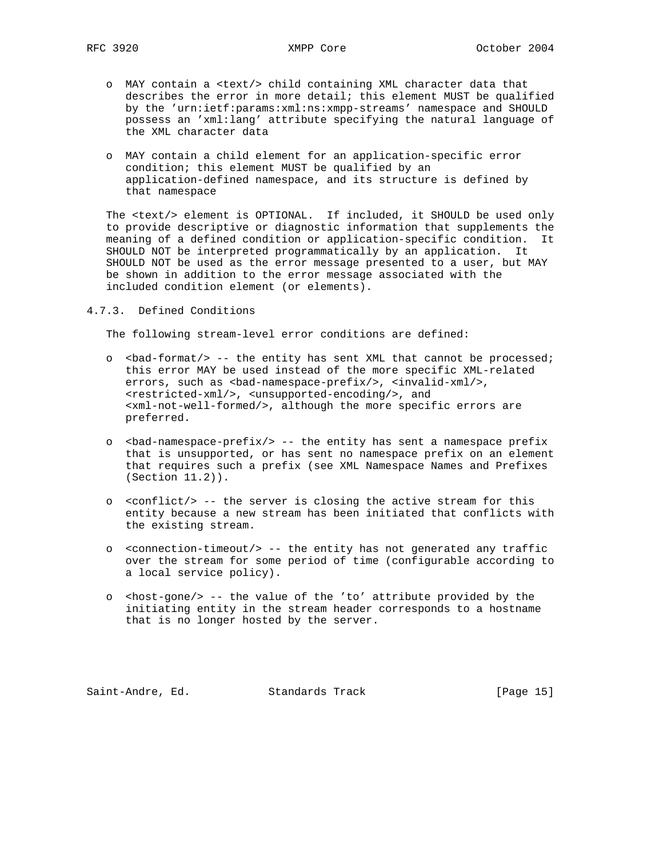- o MAY contain a <text/> child containing XML character data that describes the error in more detail; this element MUST be qualified by the 'urn:ietf:params:xml:ns:xmpp-streams' namespace and SHOULD possess an 'xml:lang' attribute specifying the natural language of the XML character data
- o MAY contain a child element for an application-specific error condition; this element MUST be qualified by an application-defined namespace, and its structure is defined by that namespace

 The <text/> element is OPTIONAL. If included, it SHOULD be used only to provide descriptive or diagnostic information that supplements the meaning of a defined condition or application-specific condition. It SHOULD NOT be interpreted programmatically by an application. It SHOULD NOT be used as the error message presented to a user, but MAY be shown in addition to the error message associated with the included condition element (or elements).

4.7.3. Defined Conditions

The following stream-level error conditions are defined:

- o <bad-format/> -- the entity has sent XML that cannot be processed; this error MAY be used instead of the more specific XML-related errors, such as <br/>bad-namespace-prefix/>, <invalid-xml/>, <restricted-xml/>, <unsupported-encoding/>, and <xml-not-well-formed/>, although the more specific errors are preferred.
- o <bad-namespace-prefix/> -- the entity has sent a namespace prefix that is unsupported, or has sent no namespace prefix on an element that requires such a prefix (see XML Namespace Names and Prefixes (Section 11.2)).
- o <conflict/> -- the server is closing the active stream for this entity because a new stream has been initiated that conflicts with the existing stream.
- o <connection-timeout/> -- the entity has not generated any traffic over the stream for some period of time (configurable according to a local service policy).
- o <host-gone/> -- the value of the 'to' attribute provided by the initiating entity in the stream header corresponds to a hostname that is no longer hosted by the server.

Saint-Andre, Ed. Standards Track [Page 15]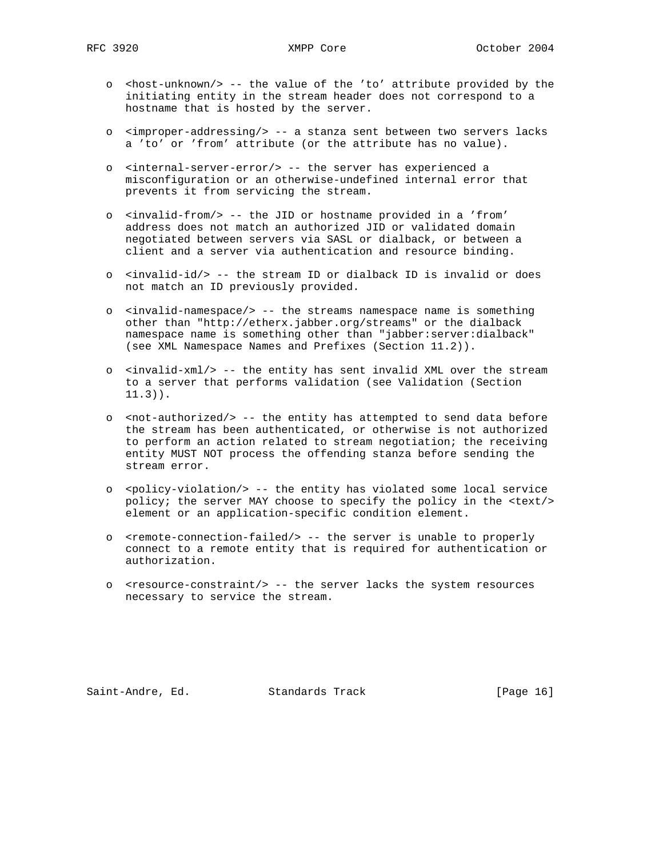- o <host-unknown/> -- the value of the 'to' attribute provided by the initiating entity in the stream header does not correspond to a hostname that is hosted by the server.
- o <improper-addressing/> -- a stanza sent between two servers lacks a 'to' or 'from' attribute (or the attribute has no value).
- o <internal-server-error/> -- the server has experienced a misconfiguration or an otherwise-undefined internal error that prevents it from servicing the stream.
- o <invalid-from/> -- the JID or hostname provided in a 'from' address does not match an authorized JID or validated domain negotiated between servers via SASL or dialback, or between a client and a server via authentication and resource binding.
- o <invalid-id/> -- the stream ID or dialback ID is invalid or does not match an ID previously provided.
- o <invalid-namespace/> -- the streams namespace name is something other than "http://etherx.jabber.org/streams" or the dialback namespace name is something other than "jabber:server:dialback" (see XML Namespace Names and Prefixes (Section 11.2)).
- o <invalid-xml/> -- the entity has sent invalid XML over the stream to a server that performs validation (see Validation (Section 11.3)).
- o <not-authorized/> -- the entity has attempted to send data before the stream has been authenticated, or otherwise is not authorized to perform an action related to stream negotiation; the receiving entity MUST NOT process the offending stanza before sending the stream error.
- o <policy-violation/> -- the entity has violated some local service policy; the server MAY choose to specify the policy in the <text/> element or an application-specific condition element.
- o <remote-connection-failed/> -- the server is unable to properly connect to a remote entity that is required for authentication or authorization.
- o <resource-constraint/> -- the server lacks the system resources necessary to service the stream.

Saint-Andre, Ed. Standards Track [Page 16]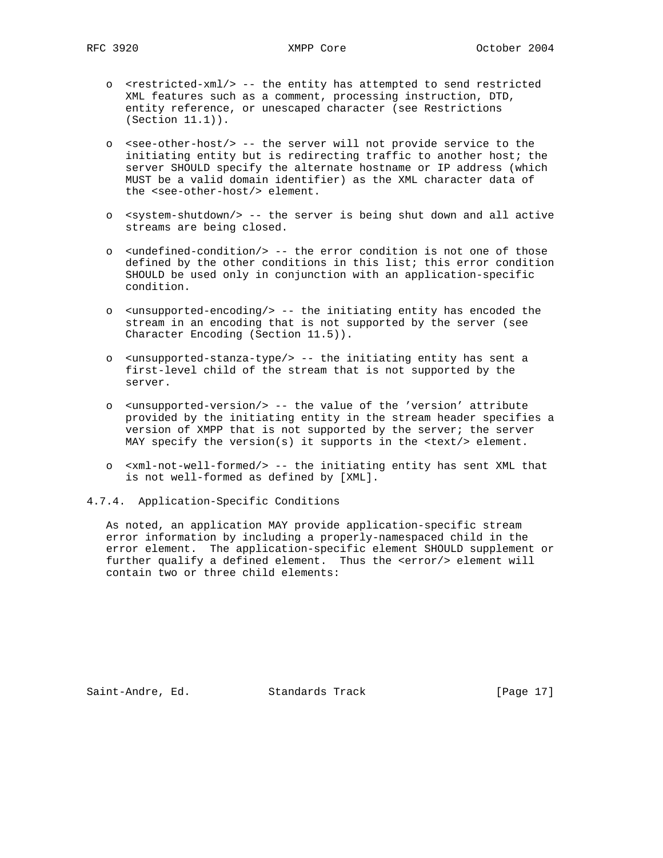- o <restricted-xml/> -- the entity has attempted to send restricted XML features such as a comment, processing instruction, DTD, entity reference, or unescaped character (see Restrictions (Section 11.1)).
- o <see-other-host/> -- the server will not provide service to the initiating entity but is redirecting traffic to another host; the server SHOULD specify the alternate hostname or IP address (which MUST be a valid domain identifier) as the XML character data of the <see-other-host/> element.
- o <system-shutdown/> -- the server is being shut down and all active streams are being closed.
- o <undefined-condition/> -- the error condition is not one of those defined by the other conditions in this list; this error condition SHOULD be used only in conjunction with an application-specific condition.
- o <unsupported-encoding/> -- the initiating entity has encoded the stream in an encoding that is not supported by the server (see Character Encoding (Section 11.5)).
- o <unsupported-stanza-type/> -- the initiating entity has sent a first-level child of the stream that is not supported by the server.
- o <unsupported-version/> -- the value of the 'version' attribute provided by the initiating entity in the stream header specifies a version of XMPP that is not supported by the server; the server MAY specify the version(s) it supports in the <text/> element.
- o <xml-not-well-formed/> -- the initiating entity has sent XML that is not well-formed as defined by [XML].
- 4.7.4. Application-Specific Conditions

 As noted, an application MAY provide application-specific stream error information by including a properly-namespaced child in the error element. The application-specific element SHOULD supplement or further qualify a defined element. Thus the <error/> element will contain two or three child elements:

Saint-Andre, Ed. Standards Track [Page 17]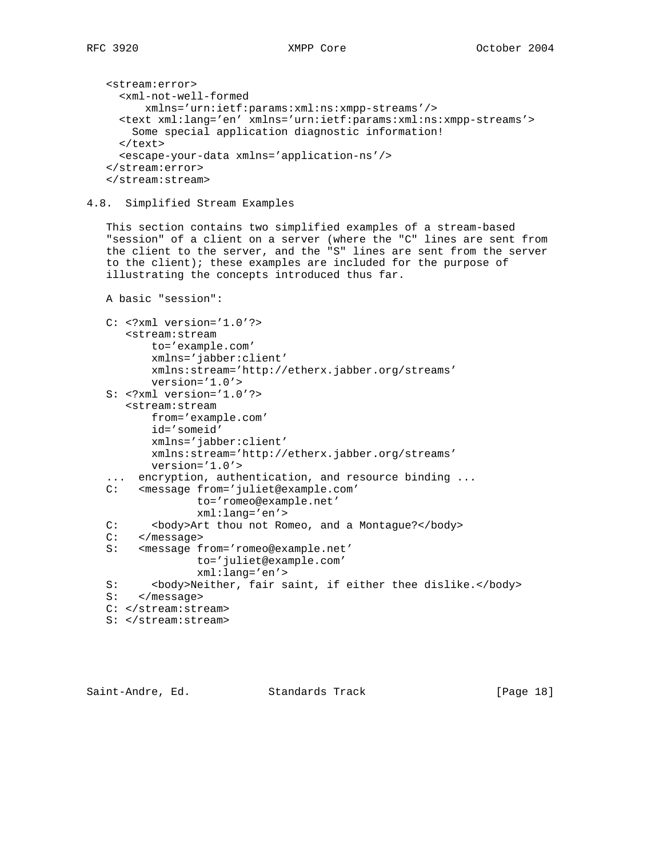```
 <stream:error>
   <xml-not-well-formed
       xmlns='urn:ietf:params:xml:ns:xmpp-streams'/>
   <text xml:lang='en' xmlns='urn:ietf:params:xml:ns:xmpp-streams'>
     Some special application diagnostic information!
  \langletext>
   <escape-your-data xmlns='application-ns'/>
 </stream:error>
 </stream:stream>
```
### 4.8. Simplified Stream Examples

 This section contains two simplified examples of a stream-based "session" of a client on a server (where the "C" lines are sent from the client to the server, and the "S" lines are sent from the server to the client); these examples are included for the purpose of illustrating the concepts introduced thus far.

```
 A basic "session":
```

```
 C: <?xml version='1.0'?>
    <stream:stream
        to='example.com'
        xmlns='jabber:client'
        xmlns:stream='http://etherx.jabber.org/streams'
        version='1.0'>
 S: <?xml version='1.0'?>
    <stream:stream
        from='example.com'
        id='someid'
        xmlns='jabber:client'
       xmlns:stream='http://etherx.jabber.org/streams'
        version='1.0'>
 ... encryption, authentication, and resource binding ...
 C: <message from='juliet@example.com'
               to='romeo@example.net'
               xml:lang='en'>
C: <br/>>body>Art thou not Romeo, and a Montague?</body>
```

```
 C: </message>
```

```
 S: <message from='romeo@example.net'
```

```
 to='juliet@example.com'
```

```
 xml:lang='en'>
```

```
S: <br/>>body>Neither, fair saint, if either thee dislike.</body>
```

```
 S: </message>
```

```
 C: </stream:stream>
```

```
 S: </stream:stream>
```
Saint-Andre, Ed. Standards Track [Page 18]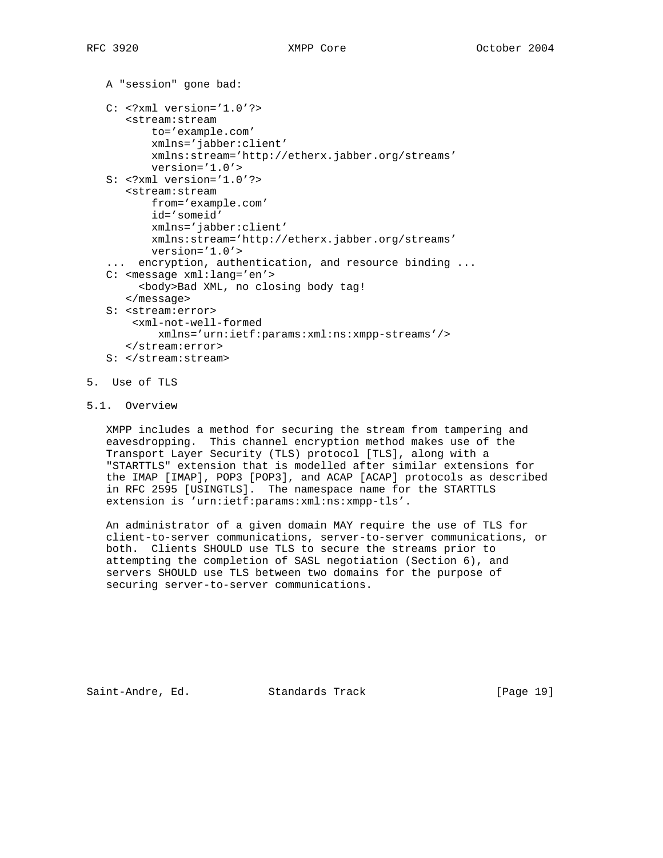```
 A "session" gone bad:
 C: <?xml version='1.0'?>
    <stream:stream
        to='example.com'
        xmlns='jabber:client'
        xmlns:stream='http://etherx.jabber.org/streams'
        version='1.0'>
 S: <?xml version='1.0'?>
    <stream:stream
        from='example.com'
        id='someid'
        xmlns='jabber:client'
        xmlns:stream='http://etherx.jabber.org/streams'
        version='1.0'>
 ... encryption, authentication, and resource binding ...
 C: <message xml:lang='en'>
      <body>Bad XML, no closing body tag!
    </message>
 S: <stream:error>
     <xml-not-well-formed
         xmlns='urn:ietf:params:xml:ns:xmpp-streams'/>
    </stream:error>
 S: </stream:stream>
```
- 5. Use of TLS
- 5.1. Overview

 XMPP includes a method for securing the stream from tampering and eavesdropping. This channel encryption method makes use of the Transport Layer Security (TLS) protocol [TLS], along with a "STARTTLS" extension that is modelled after similar extensions for the IMAP [IMAP], POP3 [POP3], and ACAP [ACAP] protocols as described in RFC 2595 [USINGTLS]. The namespace name for the STARTTLS extension is 'urn:ietf:params:xml:ns:xmpp-tls'.

 An administrator of a given domain MAY require the use of TLS for client-to-server communications, server-to-server communications, or both. Clients SHOULD use TLS to secure the streams prior to attempting the completion of SASL negotiation (Section 6), and servers SHOULD use TLS between two domains for the purpose of securing server-to-server communications.

Saint-Andre, Ed. Standards Track [Page 19]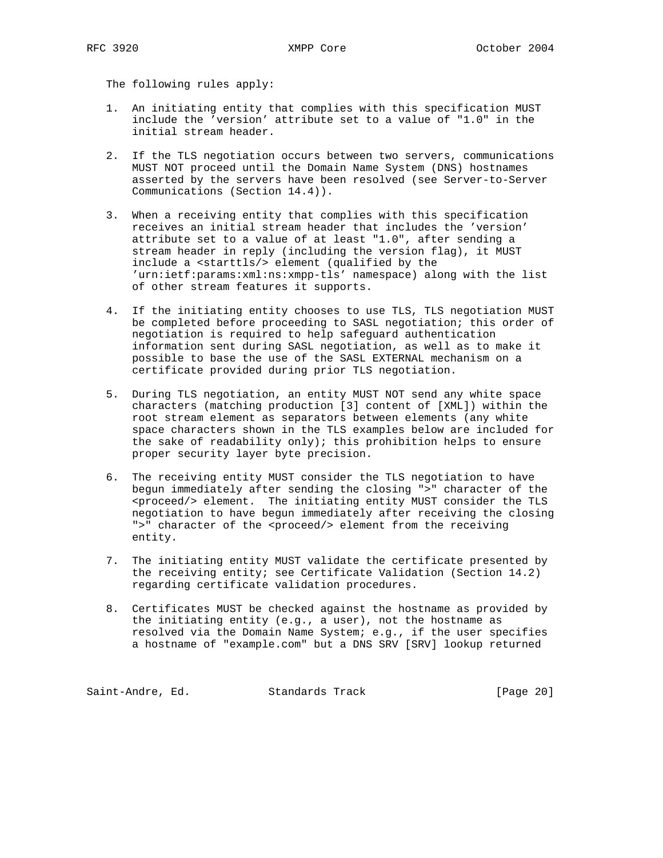The following rules apply:

- 1. An initiating entity that complies with this specification MUST include the 'version' attribute set to a value of "1.0" in the initial stream header.
- 2. If the TLS negotiation occurs between two servers, communications MUST NOT proceed until the Domain Name System (DNS) hostnames asserted by the servers have been resolved (see Server-to-Server Communications (Section 14.4)).
- 3. When a receiving entity that complies with this specification receives an initial stream header that includes the 'version' attribute set to a value of at least "1.0", after sending a stream header in reply (including the version flag), it MUST include a <starttls/> element (qualified by the 'urn:ietf:params:xml:ns:xmpp-tls' namespace) along with the list of other stream features it supports.
- 4. If the initiating entity chooses to use TLS, TLS negotiation MUST be completed before proceeding to SASL negotiation; this order of negotiation is required to help safeguard authentication information sent during SASL negotiation, as well as to make it possible to base the use of the SASL EXTERNAL mechanism on a certificate provided during prior TLS negotiation.
- 5. During TLS negotiation, an entity MUST NOT send any white space characters (matching production [3] content of [XML]) within the root stream element as separators between elements (any white space characters shown in the TLS examples below are included for the sake of readability only); this prohibition helps to ensure proper security layer byte precision.
- 6. The receiving entity MUST consider the TLS negotiation to have begun immediately after sending the closing ">" character of the <proceed/> element. The initiating entity MUST consider the TLS negotiation to have begun immediately after receiving the closing ">" character of the <proceed/> element from the receiving entity.
- 7. The initiating entity MUST validate the certificate presented by the receiving entity; see Certificate Validation (Section 14.2) regarding certificate validation procedures.
- 8. Certificates MUST be checked against the hostname as provided by the initiating entity (e.g., a user), not the hostname as resolved via the Domain Name System; e.g., if the user specifies a hostname of "example.com" but a DNS SRV [SRV] lookup returned

Saint-Andre, Ed. Standards Track [Page 20]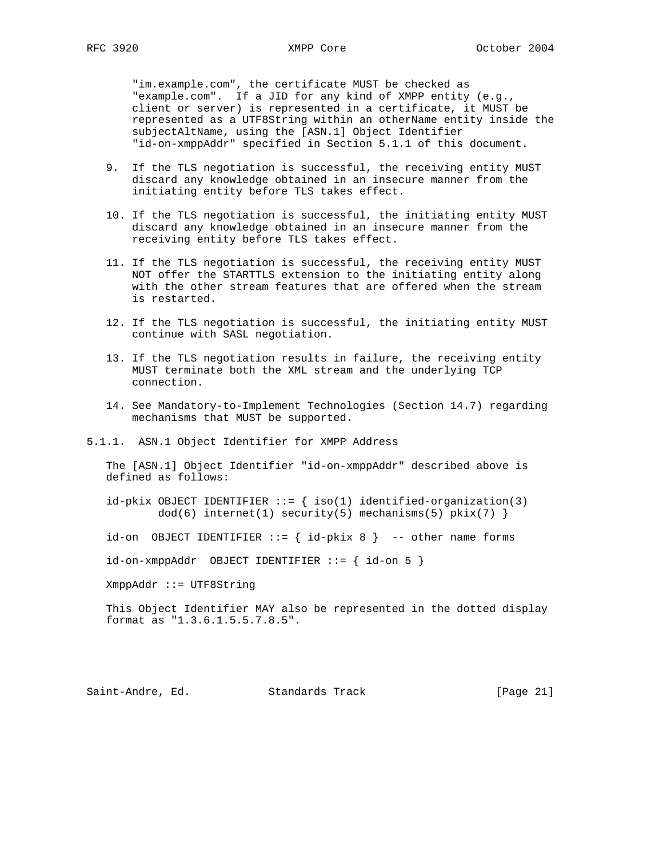"im.example.com", the certificate MUST be checked as "example.com". If a JID for any kind of XMPP entity (e.g., client or server) is represented in a certificate, it MUST be represented as a UTF8String within an otherName entity inside the subjectAltName, using the [ASN.1] Object Identifier "id-on-xmppAddr" specified in Section 5.1.1 of this document.

- 9. If the TLS negotiation is successful, the receiving entity MUST discard any knowledge obtained in an insecure manner from the initiating entity before TLS takes effect.
- 10. If the TLS negotiation is successful, the initiating entity MUST discard any knowledge obtained in an insecure manner from the receiving entity before TLS takes effect.
- 11. If the TLS negotiation is successful, the receiving entity MUST NOT offer the STARTTLS extension to the initiating entity along with the other stream features that are offered when the stream is restarted.
- 12. If the TLS negotiation is successful, the initiating entity MUST continue with SASL negotiation.
- 13. If the TLS negotiation results in failure, the receiving entity MUST terminate both the XML stream and the underlying TCP connection.
- 14. See Mandatory-to-Implement Technologies (Section 14.7) regarding mechanisms that MUST be supported.
- 5.1.1. ASN.1 Object Identifier for XMPP Address

 The [ASN.1] Object Identifier "id-on-xmppAddr" described above is defined as follows:

id-pkix OBJECT IDENTIFIER  $::=$  { iso(1) identified-organization(3)  $dod(6)$  internet(1) security(5) mechanisms(5) pkix(7) }

id-on OBJECT IDENTIFIER  $::=$  {  $id-pkix 8$  } -- other name forms

id-on-xmppAddr OBJECT IDENTIFIER ::= { id-on 5 }

XmppAddr ::= UTF8String

 This Object Identifier MAY also be represented in the dotted display format as "1.3.6.1.5.5.7.8.5".

Saint-Andre, Ed. Standards Track [Page 21]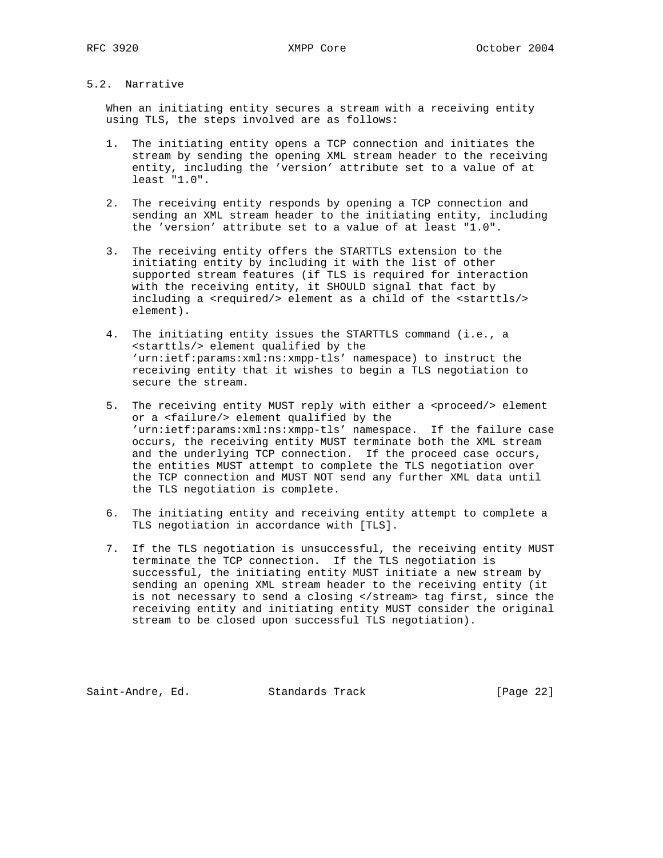## 5.2. Narrative

 When an initiating entity secures a stream with a receiving entity using TLS, the steps involved are as follows:

- 1. The initiating entity opens a TCP connection and initiates the stream by sending the opening XML stream header to the receiving entity, including the 'version' attribute set to a value of at least "1.0".
- 2. The receiving entity responds by opening a TCP connection and sending an XML stream header to the initiating entity, including the 'version' attribute set to a value of at least "1.0".
- 3. The receiving entity offers the STARTTLS extension to the initiating entity by including it with the list of other supported stream features (if TLS is required for interaction with the receiving entity, it SHOULD signal that fact by including a <required/> element as a child of the <starttls/> element).
- 4. The initiating entity issues the STARTTLS command (i.e., a <starttls/> element qualified by the 'urn:ietf:params:xml:ns:xmpp-tls' namespace) to instruct the receiving entity that it wishes to begin a TLS negotiation to secure the stream.
- 5. The receiving entity MUST reply with either a <proceed/> element or a <failure/> element qualified by the 'urn:ietf:params:xml:ns:xmpp-tls' namespace. If the failure case occurs, the receiving entity MUST terminate both the XML stream and the underlying TCP connection. If the proceed case occurs, the entities MUST attempt to complete the TLS negotiation over the TCP connection and MUST NOT send any further XML data until the TLS negotiation is complete.
- 6. The initiating entity and receiving entity attempt to complete a TLS negotiation in accordance with [TLS].
- 7. If the TLS negotiation is unsuccessful, the receiving entity MUST terminate the TCP connection. If the TLS negotiation is successful, the initiating entity MUST initiate a new stream by sending an opening XML stream header to the receiving entity (it is not necessary to send a closing </stream> tag first, since the receiving entity and initiating entity MUST consider the original stream to be closed upon successful TLS negotiation).

Saint-Andre, Ed. Standards Track [Page 22]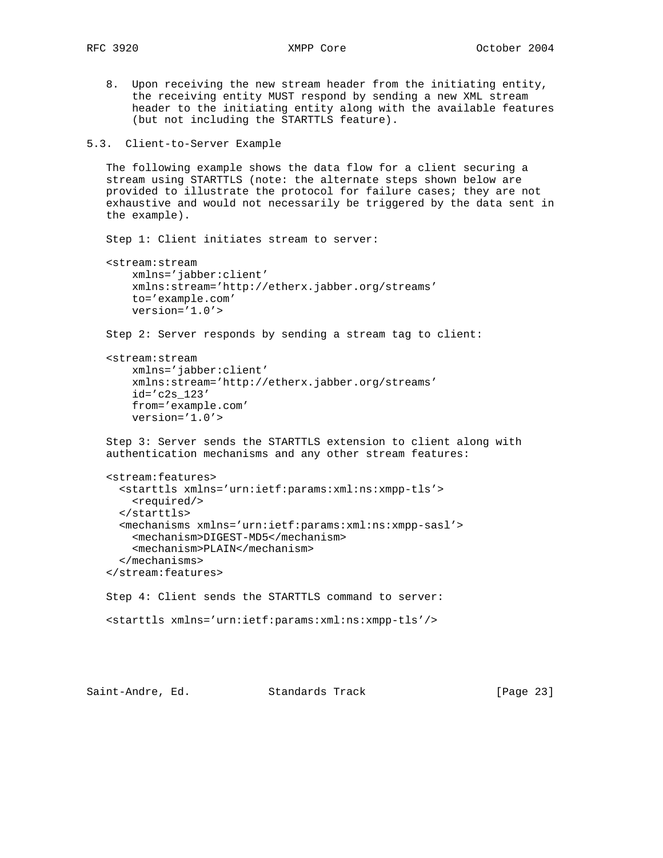8. Upon receiving the new stream header from the initiating entity, the receiving entity MUST respond by sending a new XML stream header to the initiating entity along with the available features (but not including the STARTTLS feature).

5.3. Client-to-Server Example

 The following example shows the data flow for a client securing a stream using STARTTLS (note: the alternate steps shown below are provided to illustrate the protocol for failure cases; they are not exhaustive and would not necessarily be triggered by the data sent in the example).

Step 1: Client initiates stream to server:

```
 <stream:stream
     xmlns='jabber:client'
     xmlns:stream='http://etherx.jabber.org/streams'
     to='example.com'
     version='1.0'>
```
Step 2: Server responds by sending a stream tag to client:

```
 <stream:stream
     xmlns='jabber:client'
     xmlns:stream='http://etherx.jabber.org/streams'
     id='c2s_123'
     from='example.com'
     version='1.0'>
```
 Step 3: Server sends the STARTTLS extension to client along with authentication mechanisms and any other stream features:

```
 <stream:features>
  <starttls xmlns='urn:ietf:params:xml:ns:xmpp-tls'>
     <required/>
  </starttls>
   <mechanisms xmlns='urn:ietf:params:xml:ns:xmpp-sasl'>
     <mechanism>DIGEST-MD5</mechanism>
     <mechanism>PLAIN</mechanism>
   </mechanisms>
 </stream:features>
```

```
 Step 4: Client sends the STARTTLS command to server:
 <starttls xmlns='urn:ietf:params:xml:ns:xmpp-tls'/>
```

```
Saint-Andre, Ed. Standards Track [Page 23]
```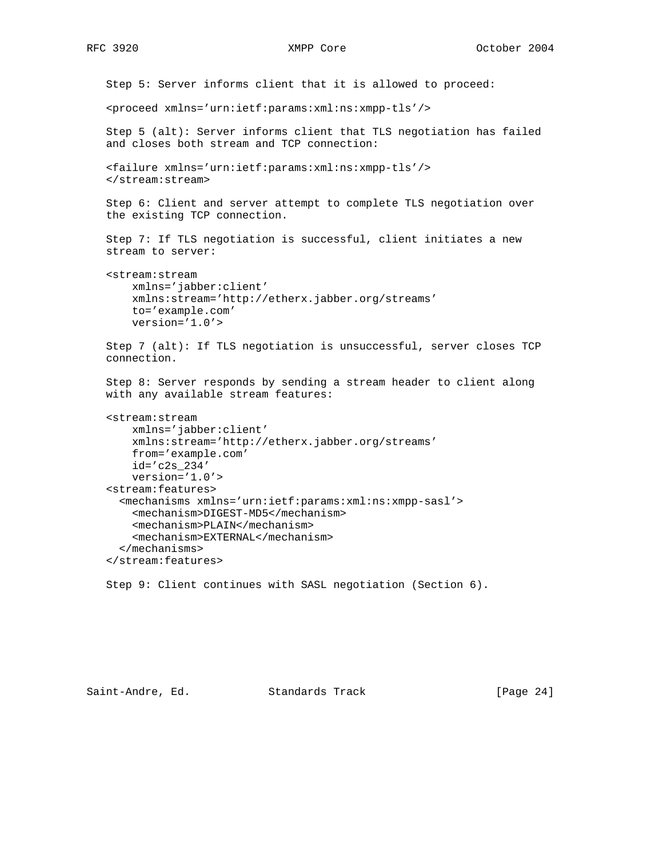Step 5: Server informs client that it is allowed to proceed: <proceed xmlns='urn:ietf:params:xml:ns:xmpp-tls'/> Step 5 (alt): Server informs client that TLS negotiation has failed and closes both stream and TCP connection: <failure xmlns='urn:ietf:params:xml:ns:xmpp-tls'/> </stream:stream> Step 6: Client and server attempt to complete TLS negotiation over the existing TCP connection. Step 7: If TLS negotiation is successful, client initiates a new stream to server: <stream:stream xmlns='jabber:client' xmlns:stream='http://etherx.jabber.org/streams' to='example.com' version='1.0'> Step 7 (alt): If TLS negotiation is unsuccessful, server closes TCP connection. Step 8: Server responds by sending a stream header to client along with any available stream features: <stream:stream xmlns='jabber:client' xmlns:stream='http://etherx.jabber.org/streams' from='example.com' id='c2s\_234' version='1.0'> <stream:features> <mechanisms xmlns='urn:ietf:params:xml:ns:xmpp-sasl'> <mechanism>DIGEST-MD5</mechanism> <mechanism>PLAIN</mechanism> <mechanism>EXTERNAL</mechanism> </mechanisms> </stream:features>

Step 9: Client continues with SASL negotiation (Section 6).

Saint-Andre, Ed. Standards Track [Page 24]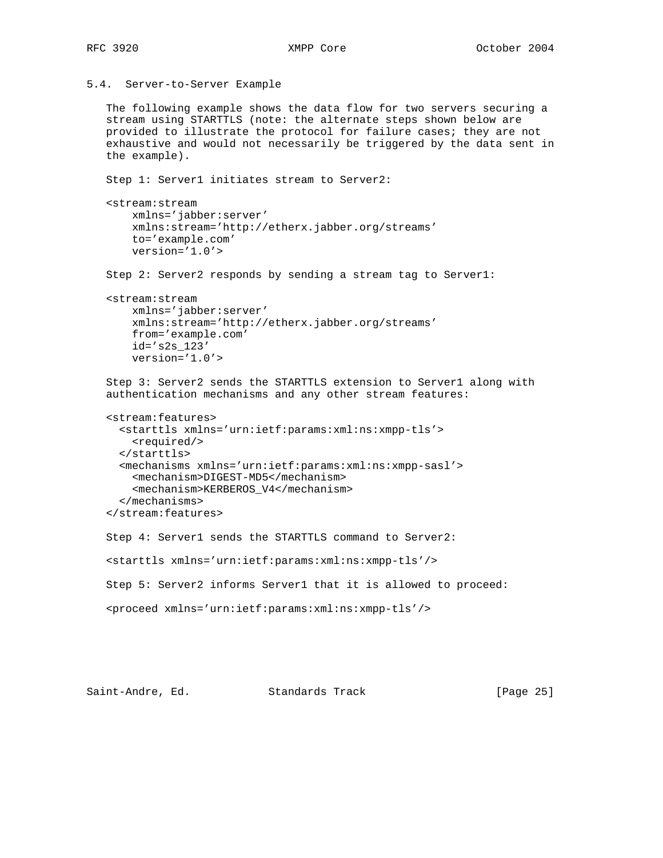```
5.4. Server-to-Server Example
```
 The following example shows the data flow for two servers securing a stream using STARTTLS (note: the alternate steps shown below are provided to illustrate the protocol for failure cases; they are not exhaustive and would not necessarily be triggered by the data sent in the example).

Step 1: Server1 initiates stream to Server2:

```
 <stream:stream
     xmlns='jabber:server'
     xmlns:stream='http://etherx.jabber.org/streams'
     to='example.com'
     version='1.0'>
```
Step 2: Server2 responds by sending a stream tag to Server1:

```
 <stream:stream
    xmlns='jabber:server'
     xmlns:stream='http://etherx.jabber.org/streams'
     from='example.com'
    id='s2s_123'
     version='1.0'>
```

```
 Step 3: Server2 sends the STARTTLS extension to Server1 along with
 authentication mechanisms and any other stream features:
```

```
 <stream:features>
  <starttls xmlns='urn:ietf:params:xml:ns:xmpp-tls'>
    <required/>
   </starttls>
   <mechanisms xmlns='urn:ietf:params:xml:ns:xmpp-sasl'>
     <mechanism>DIGEST-MD5</mechanism>
     <mechanism>KERBEROS_V4</mechanism>
   </mechanisms>
 </stream:features>
```
Step 4: Server1 sends the STARTTLS command to Server2:

<starttls xmlns='urn:ietf:params:xml:ns:xmpp-tls'/>

```
 Step 5: Server2 informs Server1 that it is allowed to proceed:
```

```
 <proceed xmlns='urn:ietf:params:xml:ns:xmpp-tls'/>
```
Saint-Andre, Ed. Standards Track [Page 25]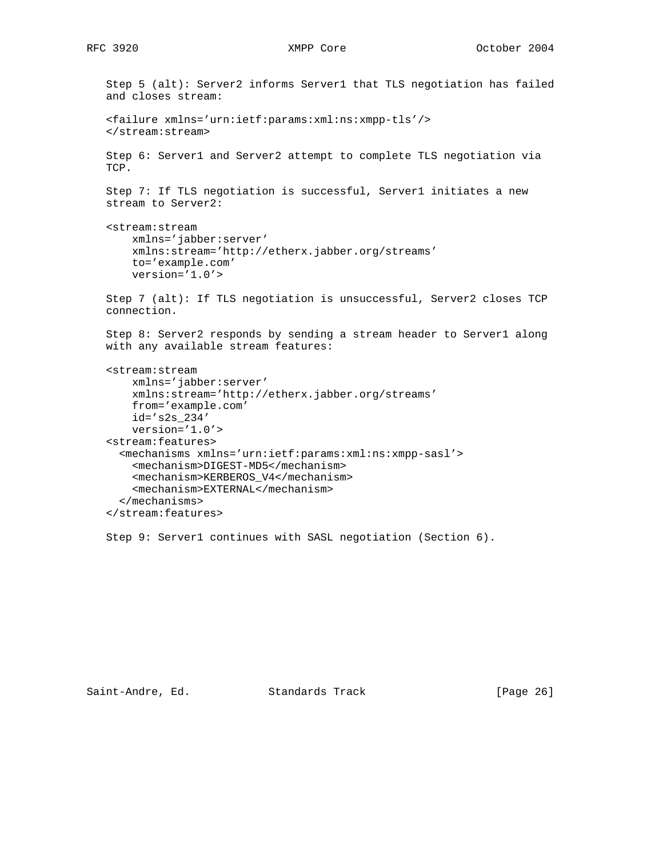```
 Step 5 (alt): Server2 informs Server1 that TLS negotiation has failed
 and closes stream:
 <failure xmlns='urn:ietf:params:xml:ns:xmpp-tls'/>
 </stream:stream>
 Step 6: Server1 and Server2 attempt to complete TLS negotiation via
 TCP.
Step 7: If TLS negotiation is successful, Server1 initiates a new
 stream to Server2:
 <stream:stream
     xmlns='jabber:server'
     xmlns:stream='http://etherx.jabber.org/streams'
     to='example.com'
     version='1.0'>
 Step 7 (alt): If TLS negotiation is unsuccessful, Server2 closes TCP
 connection.
 Step 8: Server2 responds by sending a stream header to Server1 along
 with any available stream features:
 <stream:stream
     xmlns='jabber:server'
     xmlns:stream='http://etherx.jabber.org/streams'
     from='example.com'
     id='s2s_234'
     version='1.0'>
 <stream:features>
   <mechanisms xmlns='urn:ietf:params:xml:ns:xmpp-sasl'>
     <mechanism>DIGEST-MD5</mechanism>
     <mechanism>KERBEROS_V4</mechanism>
     <mechanism>EXTERNAL</mechanism>
   </mechanisms>
 </stream:features>
```
Saint-Andre, Ed. Standards Track [Page 26]

Step 9: Server1 continues with SASL negotiation (Section 6).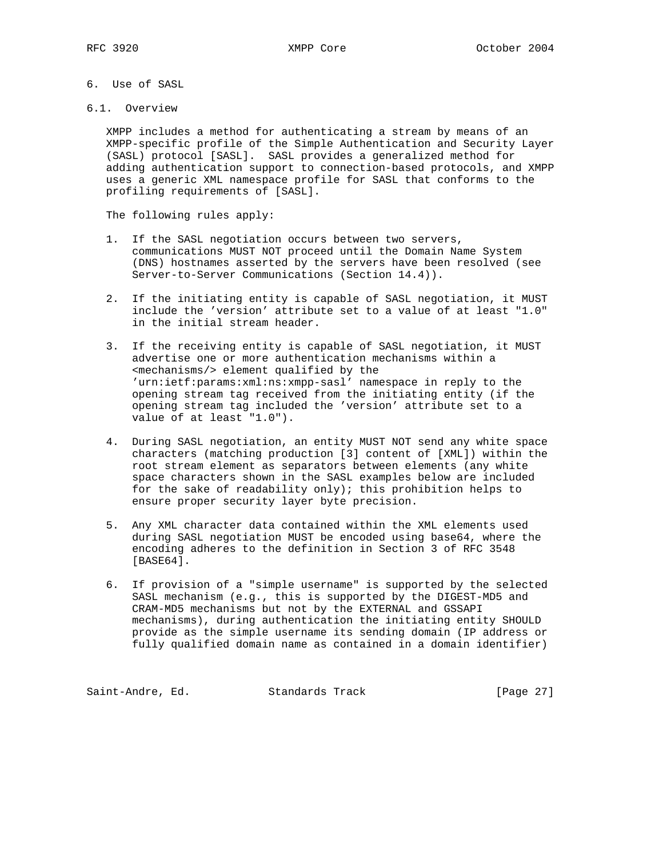- 6. Use of SASL
- 6.1. Overview

 XMPP includes a method for authenticating a stream by means of an XMPP-specific profile of the Simple Authentication and Security Layer (SASL) protocol [SASL]. SASL provides a generalized method for adding authentication support to connection-based protocols, and XMPP uses a generic XML namespace profile for SASL that conforms to the profiling requirements of [SASL].

The following rules apply:

- 1. If the SASL negotiation occurs between two servers, communications MUST NOT proceed until the Domain Name System (DNS) hostnames asserted by the servers have been resolved (see Server-to-Server Communications (Section 14.4)).
- 2. If the initiating entity is capable of SASL negotiation, it MUST include the 'version' attribute set to a value of at least "1.0" in the initial stream header.
- 3. If the receiving entity is capable of SASL negotiation, it MUST advertise one or more authentication mechanisms within a <mechanisms/> element qualified by the 'urn:ietf:params:xml:ns:xmpp-sasl' namespace in reply to the opening stream tag received from the initiating entity (if the opening stream tag included the 'version' attribute set to a value of at least "1.0").
- 4. During SASL negotiation, an entity MUST NOT send any white space characters (matching production [3] content of [XML]) within the root stream element as separators between elements (any white space characters shown in the SASL examples below are included for the sake of readability only); this prohibition helps to ensure proper security layer byte precision.
- 5. Any XML character data contained within the XML elements used during SASL negotiation MUST be encoded using base64, where the encoding adheres to the definition in Section 3 of RFC 3548 [BASE64].
- 6. If provision of a "simple username" is supported by the selected SASL mechanism (e.g., this is supported by the DIGEST-MD5 and CRAM-MD5 mechanisms but not by the EXTERNAL and GSSAPI mechanisms), during authentication the initiating entity SHOULD provide as the simple username its sending domain (IP address or fully qualified domain name as contained in a domain identifier)

Saint-Andre, Ed. Standards Track [Page 27]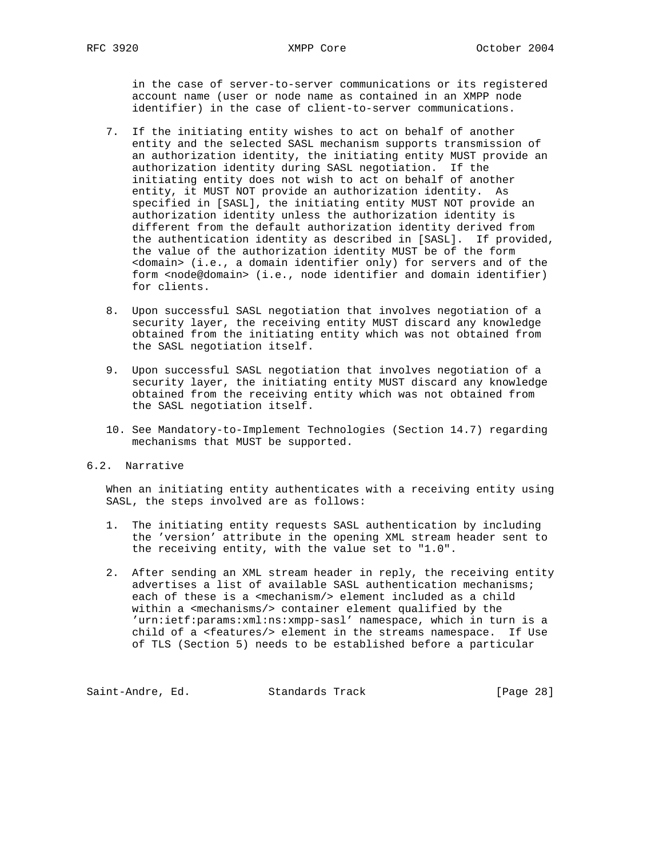in the case of server-to-server communications or its registered account name (user or node name as contained in an XMPP node identifier) in the case of client-to-server communications.

- 7. If the initiating entity wishes to act on behalf of another entity and the selected SASL mechanism supports transmission of an authorization identity, the initiating entity MUST provide an authorization identity during SASL negotiation. If the initiating entity does not wish to act on behalf of another entity, it MUST NOT provide an authorization identity. As specified in [SASL], the initiating entity MUST NOT provide an authorization identity unless the authorization identity is different from the default authorization identity derived from the authentication identity as described in [SASL]. If provided, the value of the authorization identity MUST be of the form <domain> (i.e., a domain identifier only) for servers and of the form <node@domain> (i.e., node identifier and domain identifier) for clients.
- 8. Upon successful SASL negotiation that involves negotiation of a security layer, the receiving entity MUST discard any knowledge obtained from the initiating entity which was not obtained from the SASL negotiation itself.
- 9. Upon successful SASL negotiation that involves negotiation of a security layer, the initiating entity MUST discard any knowledge obtained from the receiving entity which was not obtained from the SASL negotiation itself.
- 10. See Mandatory-to-Implement Technologies (Section 14.7) regarding mechanisms that MUST be supported.
- 6.2. Narrative

 When an initiating entity authenticates with a receiving entity using SASL, the steps involved are as follows:

- 1. The initiating entity requests SASL authentication by including the 'version' attribute in the opening XML stream header sent to the receiving entity, with the value set to "1.0".
- 2. After sending an XML stream header in reply, the receiving entity advertises a list of available SASL authentication mechanisms; each of these is a <mechanism/> element included as a child within a <mechanisms/> container element qualified by the 'urn:ietf:params:xml:ns:xmpp-sasl' namespace, which in turn is a child of a <features/> element in the streams namespace. If Use of TLS (Section 5) needs to be established before a particular

Saint-Andre, Ed. Standards Track [Page 28]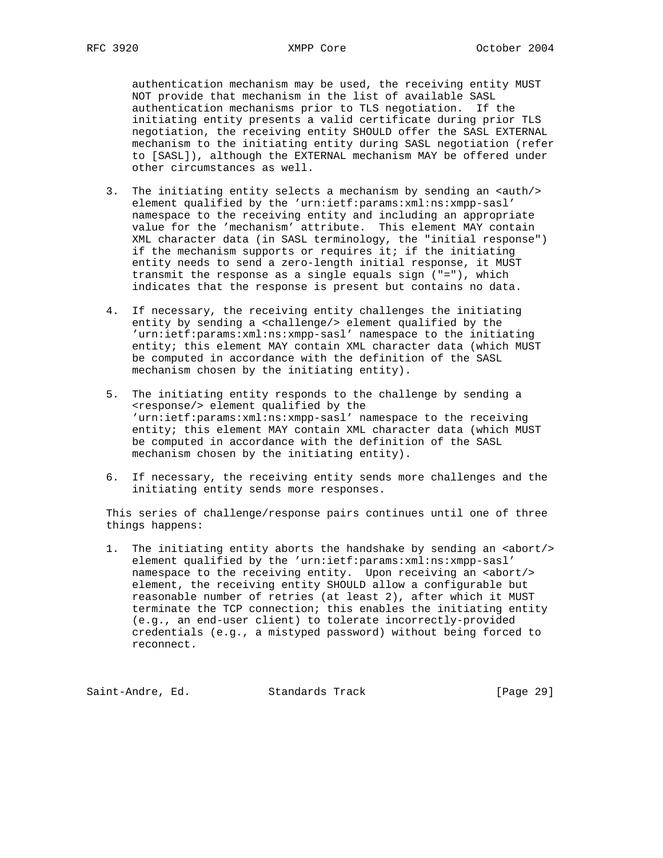authentication mechanism may be used, the receiving entity MUST NOT provide that mechanism in the list of available SASL authentication mechanisms prior to TLS negotiation. If the initiating entity presents a valid certificate during prior TLS negotiation, the receiving entity SHOULD offer the SASL EXTERNAL mechanism to the initiating entity during SASL negotiation (refer to [SASL]), although the EXTERNAL mechanism MAY be offered under other circumstances as well.

- 3. The initiating entity selects a mechanism by sending an  $\langle \text{auth}/\rangle$  element qualified by the 'urn:ietf:params:xml:ns:xmpp-sasl' namespace to the receiving entity and including an appropriate value for the 'mechanism' attribute. This element MAY contain XML character data (in SASL terminology, the "initial response") if the mechanism supports or requires it; if the initiating entity needs to send a zero-length initial response, it MUST transmit the response as a single equals sign ("="), which indicates that the response is present but contains no data.
- 4. If necessary, the receiving entity challenges the initiating entity by sending a <challenge/> element qualified by the 'urn:ietf:params:xml:ns:xmpp-sasl' namespace to the initiating entity; this element MAY contain XML character data (which MUST be computed in accordance with the definition of the SASL mechanism chosen by the initiating entity).
- 5. The initiating entity responds to the challenge by sending a <response/> element qualified by the 'urn:ietf:params:xml:ns:xmpp-sasl' namespace to the receiving entity; this element MAY contain XML character data (which MUST be computed in accordance with the definition of the SASL mechanism chosen by the initiating entity).
- 6. If necessary, the receiving entity sends more challenges and the initiating entity sends more responses.

 This series of challenge/response pairs continues until one of three things happens:

1. The initiating entity aborts the handshake by sending an <abort/>>/>> element qualified by the 'urn:ietf:params:xml:ns:xmpp-sasl' namespace to the receiving entity. Upon receiving an <abort/> element, the receiving entity SHOULD allow a configurable but reasonable number of retries (at least 2), after which it MUST terminate the TCP connection; this enables the initiating entity (e.g., an end-user client) to tolerate incorrectly-provided credentials (e.g., a mistyped password) without being forced to reconnect.

Saint-Andre, Ed. Standards Track [Page 29]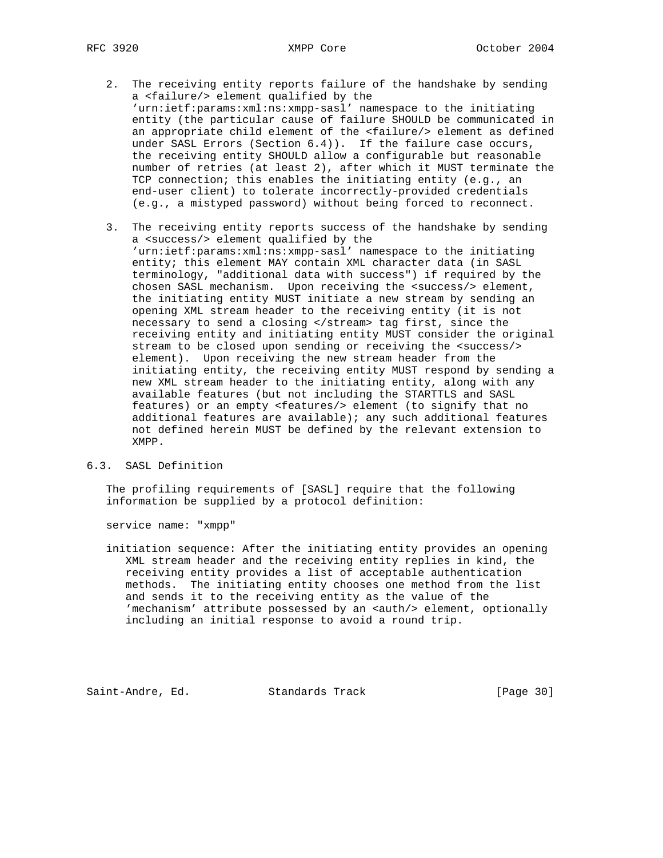- 2. The receiving entity reports failure of the handshake by sending a <failure/> element qualified by the 'urn:ietf:params:xml:ns:xmpp-sasl' namespace to the initiating entity (the particular cause of failure SHOULD be communicated in an appropriate child element of the <failure/> element as defined under SASL Errors (Section 6.4)). If the failure case occurs, the receiving entity SHOULD allow a configurable but reasonable number of retries (at least 2), after which it MUST terminate the TCP connection; this enables the initiating entity (e.g., an end-user client) to tolerate incorrectly-provided credentials (e.g., a mistyped password) without being forced to reconnect.
- 3. The receiving entity reports success of the handshake by sending a <success/> element qualified by the 'urn:ietf:params:xml:ns:xmpp-sasl' namespace to the initiating entity; this element MAY contain XML character data (in SASL terminology, "additional data with success") if required by the chosen SASL mechanism. Upon receiving the <success/> element, the initiating entity MUST initiate a new stream by sending an opening XML stream header to the receiving entity (it is not necessary to send a closing </stream> tag first, since the receiving entity and initiating entity MUST consider the original stream to be closed upon sending or receiving the <success/> element). Upon receiving the new stream header from the initiating entity, the receiving entity MUST respond by sending a new XML stream header to the initiating entity, along with any available features (but not including the STARTTLS and SASL features) or an empty <features/> element (to signify that no additional features are available); any such additional features not defined herein MUST be defined by the relevant extension to XMPP.

## 6.3. SASL Definition

 The profiling requirements of [SASL] require that the following information be supplied by a protocol definition:

service name: "xmpp"

 initiation sequence: After the initiating entity provides an opening XML stream header and the receiving entity replies in kind, the receiving entity provides a list of acceptable authentication methods. The initiating entity chooses one method from the list and sends it to the receiving entity as the value of the 'mechanism' attribute possessed by an <auth/> element, optionally including an initial response to avoid a round trip.

Saint-Andre, Ed. Standards Track [Page 30]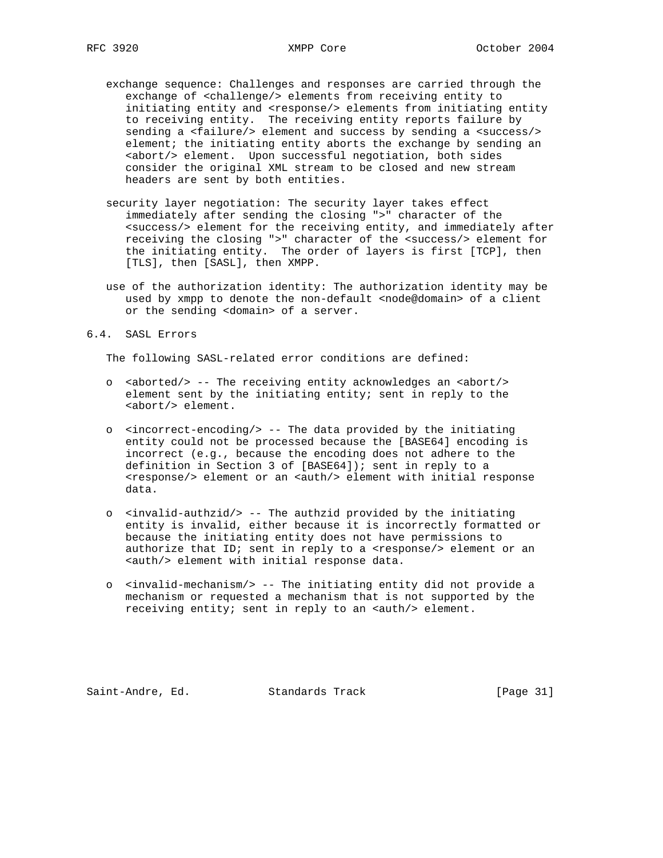- exchange sequence: Challenges and responses are carried through the exchange of <challenge/> elements from receiving entity to initiating entity and <response/> elements from initiating entity to receiving entity. The receiving entity reports failure by sending a <failure/> element and success by sending a <success/> element; the initiating entity aborts the exchange by sending an <abort/> element. Upon successful negotiation, both sides consider the original XML stream to be closed and new stream headers are sent by both entities.
- security layer negotiation: The security layer takes effect immediately after sending the closing ">" character of the <success/> element for the receiving entity, and immediately after receiving the closing ">" character of the <success/> element for the initiating entity. The order of layers is first [TCP], then [TLS], then [SASL], then XMPP.
	- use of the authorization identity: The authorization identity may be used by xmpp to denote the non-default <node@domain> of a client or the sending <domain> of a server.

#### 6.4. SASL Errors

The following SASL-related error conditions are defined:

- o <aborted/> -- The receiving entity acknowledges an <abort/> element sent by the initiating entity; sent in reply to the <abort/> element.
- o <incorrect-encoding/> -- The data provided by the initiating entity could not be processed because the [BASE64] encoding is incorrect (e.g., because the encoding does not adhere to the definition in Section 3 of [BASE64]); sent in reply to a <response/> element or an <auth/> element with initial response data.
- o <invalid-authzid/> -- The authzid provided by the initiating entity is invalid, either because it is incorrectly formatted or because the initiating entity does not have permissions to authorize that ID; sent in reply to a <response/> element or an <auth/> element with initial response data.
- o <invalid-mechanism/> -- The initiating entity did not provide a mechanism or requested a mechanism that is not supported by the receiving entity; sent in reply to an <auth/> element.

Saint-Andre, Ed. Standards Track [Page 31]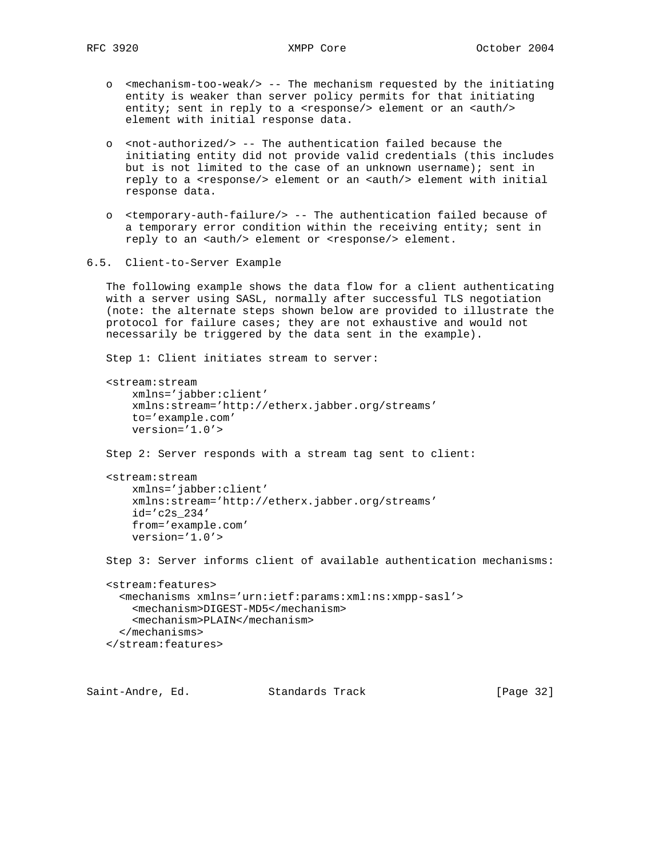- o <mechanism-too-weak/> -- The mechanism requested by the initiating entity is weaker than server policy permits for that initiating entity; sent in reply to a <response/> element or an <auth/>> $\geq$ element with initial response data.
- o <not-authorized/> -- The authentication failed because the initiating entity did not provide valid credentials (this includes but is not limited to the case of an unknown username); sent in reply to a <response/> element or an <auth/> element with initial response data.
- o <temporary-auth-failure/> -- The authentication failed because of a temporary error condition within the receiving entity; sent in reply to an <auth/> element or <response/> element.
- 6.5. Client-to-Server Example

 The following example shows the data flow for a client authenticating with a server using SASL, normally after successful TLS negotiation (note: the alternate steps shown below are provided to illustrate the protocol for failure cases; they are not exhaustive and would not necessarily be triggered by the data sent in the example).

Step 1: Client initiates stream to server:

```
 <stream:stream
    xmlns='jabber:client'
    xmlns:stream='http://etherx.jabber.org/streams'
     to='example.com'
    version='1.0'>
 Step 2: Server responds with a stream tag sent to client:
 <stream:stream
    xmlns='jabber:client'
```

```
 xmlns:stream='http://etherx.jabber.org/streams'
 id='c2s_234'
 from='example.com'
 version='1.0'>
```
Step 3: Server informs client of available authentication mechanisms:

```
 <stream:features>
   <mechanisms xmlns='urn:ietf:params:xml:ns:xmpp-sasl'>
     <mechanism>DIGEST-MD5</mechanism>
     <mechanism>PLAIN</mechanism>
   </mechanisms>
 </stream:features>
```
Saint-Andre, Ed. Standards Track [Page 32]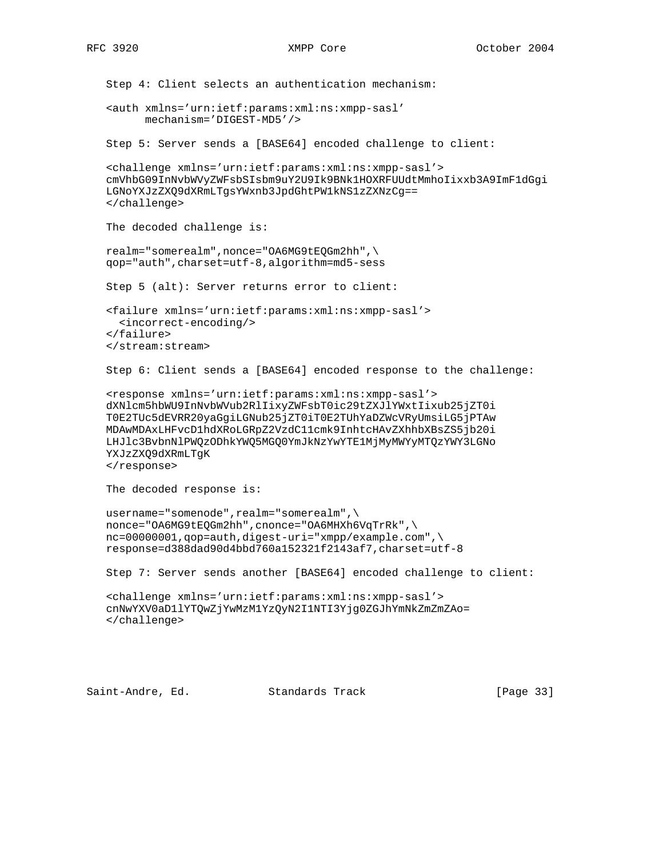```
 Step 4: Client selects an authentication mechanism:
 <auth xmlns='urn:ietf:params:xml:ns:xmpp-sasl'
       mechanism='DIGEST-MD5'/>
 Step 5: Server sends a [BASE64] encoded challenge to client:
 <challenge xmlns='urn:ietf:params:xml:ns:xmpp-sasl'>
 cmVhbG09InNvbWVyZWFsbSIsbm9uY2U9Ik9BNk1HOXRFUUdtMmhoIixxb3A9ImF1dGgi
 LGNoYXJzZXQ9dXRmLTgsYWxnb3JpdGhtPW1kNS1zZXNzCg==
 </challenge>
 The decoded challenge is:
 realm="somerealm",nonce="OA6MG9tEQGm2hh",\
 qop="auth",charset=utf-8,algorithm=md5-sess
 Step 5 (alt): Server returns error to client:
 <failure xmlns='urn:ietf:params:xml:ns:xmpp-sasl'>
  <incorrect-encoding/>
 </failure>
 </stream:stream>
 Step 6: Client sends a [BASE64] encoded response to the challenge:
 <response xmlns='urn:ietf:params:xml:ns:xmpp-sasl'>
 dXNlcm5hbWU9InNvbWVub2RlIixyZWFsbT0ic29tZXJlYWxtIixub25jZT0i
 T0E2TUc5dEVRR20yaGgiLGNub25jZT0iT0E2TUhYaDZWcVRyUmsiLG5jPTAw
 MDAwMDAxLHFvcD1hdXRoLGRpZ2VzdC11cmk9InhtcHAvZXhhbXBsZS5jb20i
 LHJlc3BvbnNlPWQzODhkYWQ5MGQ0YmJkNzYwYTE1MjMyMWYyMTQzYWY3LGNo
 YXJzZXQ9dXRmLTgK
 </response>
 The decoded response is:
username="somenode", realm="somerealm", \
nonce="OA6MG9tEQGm2hh", cnonce="OA6MHXh6VqTrRk",\
 nc=00000001,qop=auth,digest-uri="xmpp/example.com",\
 response=d388dad90d4bbd760a152321f2143af7,charset=utf-8
 Step 7: Server sends another [BASE64] encoded challenge to client:
 <challenge xmlns='urn:ietf:params:xml:ns:xmpp-sasl'>
 cnNwYXV0aD1lYTQwZjYwMzM1YzQyN2I1NTI3Yjg0ZGJhYmNkZmZmZAo=
 </challenge>
```
Saint-Andre, Ed. Standards Track [Page 33]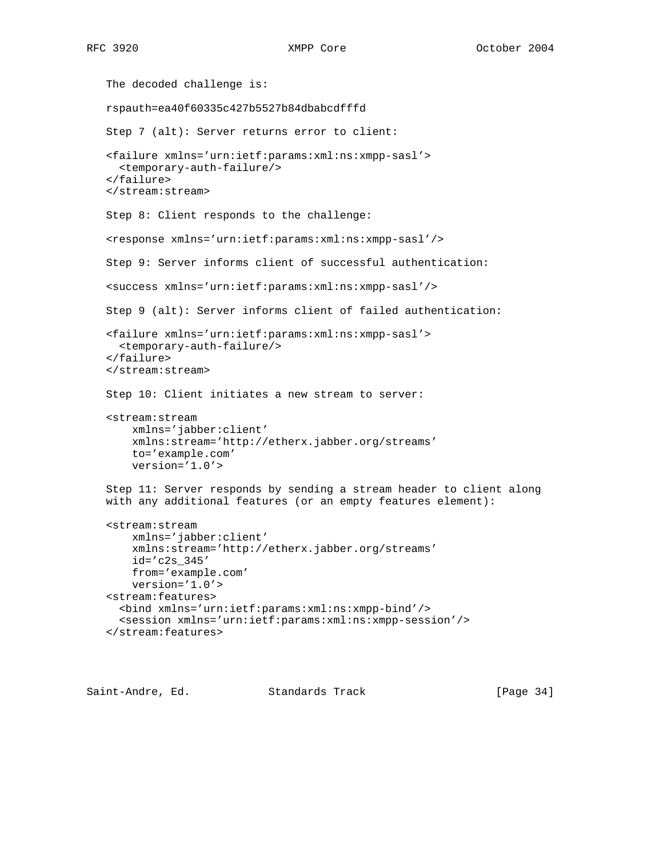```
 The decoded challenge is:
 rspauth=ea40f60335c427b5527b84dbabcdfffd
 Step 7 (alt): Server returns error to client:
 <failure xmlns='urn:ietf:params:xml:ns:xmpp-sasl'>
   <temporary-auth-failure/>
 </failure>
 </stream:stream>
 Step 8: Client responds to the challenge:
 <response xmlns='urn:ietf:params:xml:ns:xmpp-sasl'/>
 Step 9: Server informs client of successful authentication:
 <success xmlns='urn:ietf:params:xml:ns:xmpp-sasl'/>
 Step 9 (alt): Server informs client of failed authentication:
 <failure xmlns='urn:ietf:params:xml:ns:xmpp-sasl'>
  <temporary-auth-failure/>
 </failure>
 </stream:stream>
 Step 10: Client initiates a new stream to server:
 <stream:stream
     xmlns='jabber:client'
     xmlns:stream='http://etherx.jabber.org/streams'
    to='example.com'
     version='1.0'>
 Step 11: Server responds by sending a stream header to client along
 with any additional features (or an empty features element):
 <stream:stream
     xmlns='jabber:client'
     xmlns:stream='http://etherx.jabber.org/streams'
     id='c2s_345'
     from='example.com'
     version='1.0'>
 <stream:features>
   <bind xmlns='urn:ietf:params:xml:ns:xmpp-bind'/>
   <session xmlns='urn:ietf:params:xml:ns:xmpp-session'/>
 </stream:features>
```
Saint-Andre, Ed. Standards Track [Page 34]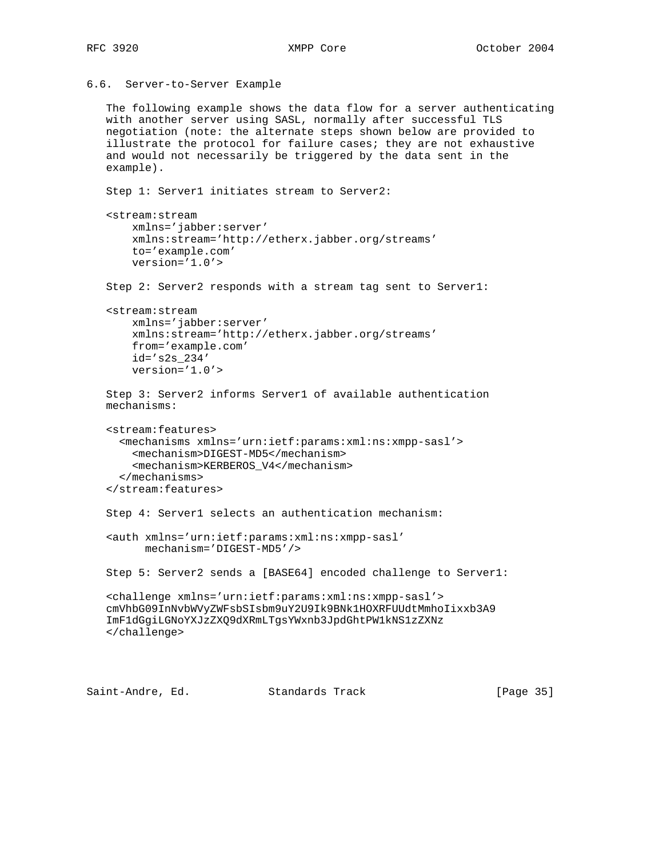```
6.6. Server-to-Server Example
```

```
 The following example shows the data flow for a server authenticating
 with another server using SASL, normally after successful TLS
 negotiation (note: the alternate steps shown below are provided to
 illustrate the protocol for failure cases; they are not exhaustive
 and would not necessarily be triggered by the data sent in the
 example).
 Step 1: Server1 initiates stream to Server2:
 <stream:stream
     xmlns='jabber:server'
     xmlns:stream='http://etherx.jabber.org/streams'
     to='example.com'
     version='1.0'>
 Step 2: Server2 responds with a stream tag sent to Server1:
 <stream:stream
     xmlns='jabber:server'
     xmlns:stream='http://etherx.jabber.org/streams'
     from='example.com'
    id='s2s_234'
     version='1.0'>
 Step 3: Server2 informs Server1 of available authentication
 mechanisms:
 <stream:features>
   <mechanisms xmlns='urn:ietf:params:xml:ns:xmpp-sasl'>
     <mechanism>DIGEST-MD5</mechanism>
     <mechanism>KERBEROS_V4</mechanism>
   </mechanisms>
 </stream:features>
 Step 4: Server1 selects an authentication mechanism:
 <auth xmlns='urn:ietf:params:xml:ns:xmpp-sasl'
       mechanism='DIGEST-MD5'/>
 Step 5: Server2 sends a [BASE64] encoded challenge to Server1:
 <challenge xmlns='urn:ietf:params:xml:ns:xmpp-sasl'>
 cmVhbG09InNvbWVyZWFsbSIsbm9uY2U9Ik9BNk1HOXRFUUdtMmhoIixxb3A9
 ImF1dGgiLGNoYXJzZXQ9dXRmLTgsYWxnb3JpdGhtPW1kNS1zZXNz
 </challenge>
```
Saint-Andre, Ed. Standards Track [Page 35]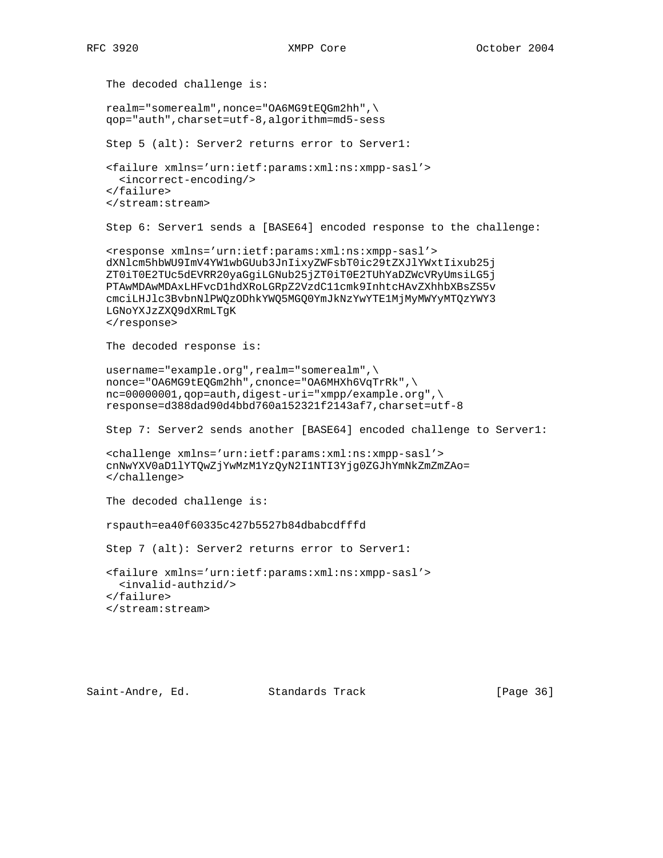```
 The decoded challenge is:
 realm="somerealm",nonce="OA6MG9tEQGm2hh",\
 qop="auth",charset=utf-8,algorithm=md5-sess
 Step 5 (alt): Server2 returns error to Server1:
 <failure xmlns='urn:ietf:params:xml:ns:xmpp-sasl'>
   <incorrect-encoding/>
 </failure>
 </stream:stream>
 Step 6: Server1 sends a [BASE64] encoded response to the challenge:
 <response xmlns='urn:ietf:params:xml:ns:xmpp-sasl'>
 dXNlcm5hbWU9ImV4YW1wbGUub3JnIixyZWFsbT0ic29tZXJlYWxtIixub25j
 ZT0iT0E2TUc5dEVRR20yaGgiLGNub25jZT0iT0E2TUhYaDZWcVRyUmsiLG5j
 PTAwMDAwMDAxLHFvcD1hdXRoLGRpZ2VzdC11cmk9InhtcHAvZXhhbXBsZS5v
 cmciLHJlc3BvbnNlPWQzODhkYWQ5MGQ0YmJkNzYwYTE1MjMyMWYyMTQzYWY3
 LGNoYXJzZXQ9dXRmLTgK
 </response>
 The decoded response is:
 username="example.org",realm="somerealm",\
nonce="OA6MG9tEQGm2hh", cnonce="OA6MHXh6VqTrRk",\
 nc=00000001,qop=auth,digest-uri="xmpp/example.org",\
 response=d388dad90d4bbd760a152321f2143af7,charset=utf-8
 Step 7: Server2 sends another [BASE64] encoded challenge to Server1:
 <challenge xmlns='urn:ietf:params:xml:ns:xmpp-sasl'>
 cnNwYXV0aD1lYTQwZjYwMzM1YzQyN2I1NTI3Yjg0ZGJhYmNkZmZmZAo=
 </challenge>
 The decoded challenge is:
 rspauth=ea40f60335c427b5527b84dbabcdfffd
 Step 7 (alt): Server2 returns error to Server1:
 <failure xmlns='urn:ietf:params:xml:ns:xmpp-sasl'>
  <invalid-authzid/>
 </failure>
 </stream:stream>
```
Saint-Andre, Ed. Standards Track [Page 36]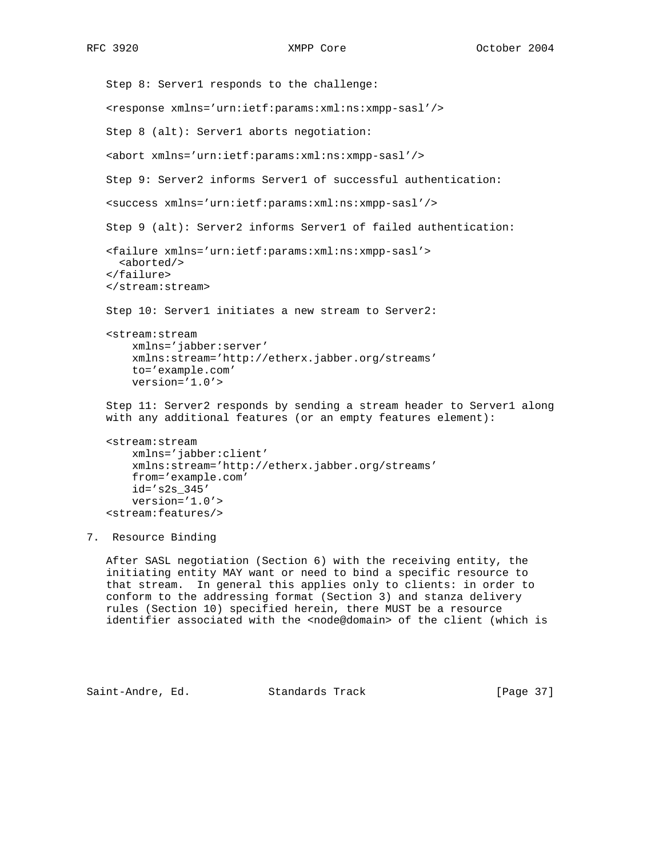```
 Step 8: Server1 responds to the challenge:
    <response xmlns='urn:ietf:params:xml:ns:xmpp-sasl'/>
    Step 8 (alt): Server1 aborts negotiation:
    <abort xmlns='urn:ietf:params:xml:ns:xmpp-sasl'/>
    Step 9: Server2 informs Server1 of successful authentication:
    <success xmlns='urn:ietf:params:xml:ns:xmpp-sasl'/>
    Step 9 (alt): Server2 informs Server1 of failed authentication:
    <failure xmlns='urn:ietf:params:xml:ns:xmpp-sasl'>
      <aborted/>
    </failure>
    </stream:stream>
    Step 10: Server1 initiates a new stream to Server2:
    <stream:stream
        xmlns='jabber:server'
        xmlns:stream='http://etherx.jabber.org/streams'
        to='example.com'
        version='1.0'>
    Step 11: Server2 responds by sending a stream header to Server1 along
    with any additional features (or an empty features element):
    <stream:stream
        xmlns='jabber:client'
        xmlns:stream='http://etherx.jabber.org/streams'
        from='example.com'
        id='s2s_345'
        version='1.0'>
    <stream:features/>
7. Resource Binding
```
 After SASL negotiation (Section 6) with the receiving entity, the initiating entity MAY want or need to bind a specific resource to that stream. In general this applies only to clients: in order to conform to the addressing format (Section 3) and stanza delivery rules (Section 10) specified herein, there MUST be a resource identifier associated with the <node@domain> of the client (which is

Saint-Andre, Ed. Standards Track [Page 37]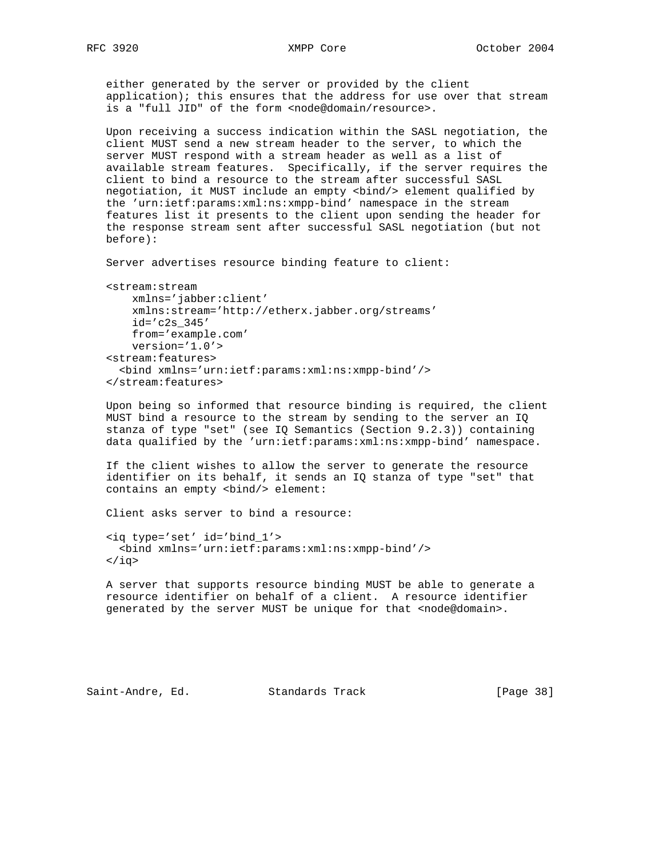either generated by the server or provided by the client application); this ensures that the address for use over that stream is a "full JID" of the form <node@domain/resource>.

 Upon receiving a success indication within the SASL negotiation, the client MUST send a new stream header to the server, to which the server MUST respond with a stream header as well as a list of available stream features. Specifically, if the server requires the client to bind a resource to the stream after successful SASL negotiation, it MUST include an empty <bind/> element qualified by the 'urn:ietf:params:xml:ns:xmpp-bind' namespace in the stream features list it presents to the client upon sending the header for the response stream sent after successful SASL negotiation (but not before):

Server advertises resource binding feature to client:

```
 <stream:stream
    xmlns='jabber:client'
    xmlns:stream='http://etherx.jabber.org/streams'
    id='c2s_345'
    from='example.com'
    version='1.0'>
 <stream:features>
   <bind xmlns='urn:ietf:params:xml:ns:xmpp-bind'/>
 </stream:features>
```
 Upon being so informed that resource binding is required, the client MUST bind a resource to the stream by sending to the server an IQ stanza of type "set" (see IQ Semantics (Section 9.2.3)) containing data qualified by the 'urn:ietf:params:xml:ns:xmpp-bind' namespace.

 If the client wishes to allow the server to generate the resource identifier on its behalf, it sends an IQ stanza of type "set" that contains an empty <br/> <br/>bind/> element:

Client asks server to bind a resource:

```
 <iq type='set' id='bind_1'>
   <bind xmlns='urn:ietf:params:xml:ns:xmpp-bind'/>
 </iq>
```
 A server that supports resource binding MUST be able to generate a resource identifier on behalf of a client. A resource identifier generated by the server MUST be unique for that <node@domain>.

```
Saint-Andre, Ed. Standards Track [Page 38]
```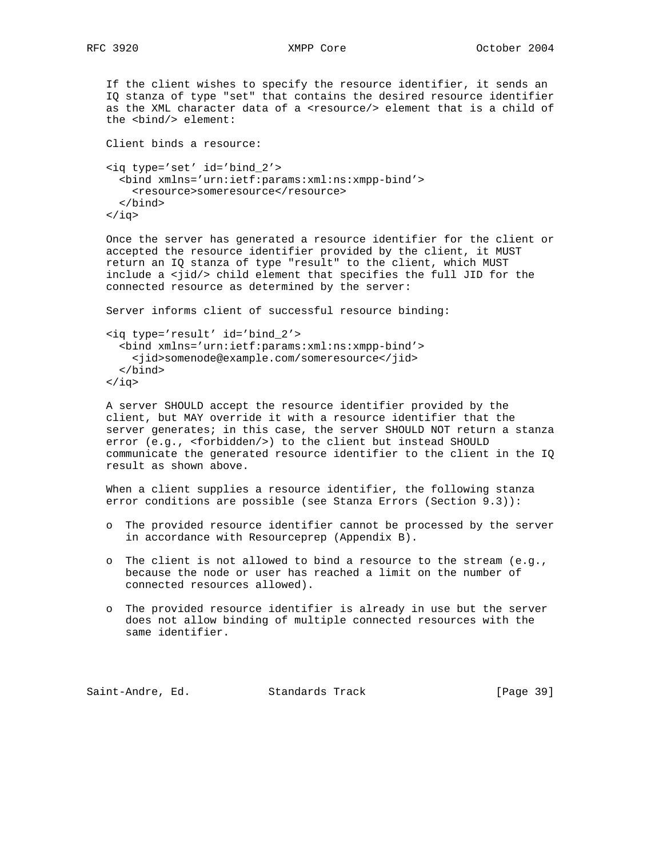If the client wishes to specify the resource identifier, it sends an IQ stanza of type "set" that contains the desired resource identifier as the XML character data of a <resource/> element that is a child of the <bind/> element:

```
 Client binds a resource:
 <iq type='set' id='bind_2'>
   <bind xmlns='urn:ietf:params:xml:ns:xmpp-bind'>
     <resource>someresource</resource>
   </bind>
\langleiq>
```
 Once the server has generated a resource identifier for the client or accepted the resource identifier provided by the client, it MUST return an IQ stanza of type "result" to the client, which MUST include a <jid/> child element that specifies the full JID for the connected resource as determined by the server:

Server informs client of successful resource binding:

```
 <iq type='result' id='bind_2'>
   <bind xmlns='urn:ietf:params:xml:ns:xmpp-bind'>
    <jid>somenode@example.com/someresource</jid>
   </bind>
 </iq>
```
 A server SHOULD accept the resource identifier provided by the client, but MAY override it with a resource identifier that the server generates; in this case, the server SHOULD NOT return a stanza error (e.g., <forbidden/>) to the client but instead SHOULD communicate the generated resource identifier to the client in the IQ result as shown above.

 When a client supplies a resource identifier, the following stanza error conditions are possible (see Stanza Errors (Section 9.3)):

- o The provided resource identifier cannot be processed by the server in accordance with Resourceprep (Appendix B).
- o The client is not allowed to bind a resource to the stream (e.g., because the node or user has reached a limit on the number of connected resources allowed).
- o The provided resource identifier is already in use but the server does not allow binding of multiple connected resources with the same identifier.

Saint-Andre, Ed. Standards Track [Page 39]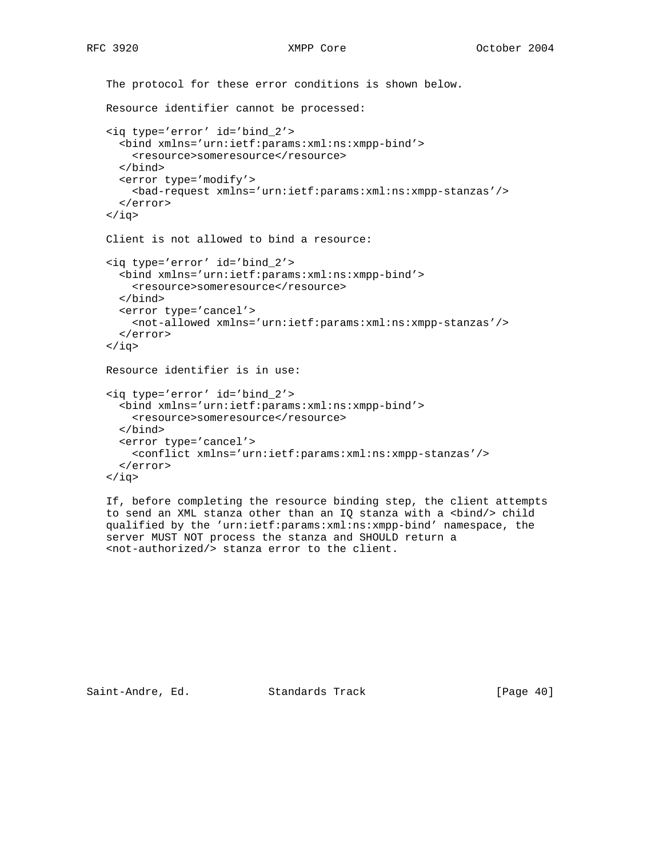```
 The protocol for these error conditions is shown below.
 Resource identifier cannot be processed:
 <iq type='error' id='bind_2'>
   <bind xmlns='urn:ietf:params:xml:ns:xmpp-bind'>
     <resource>someresource</resource>
   </bind>
   <error type='modify'>
     <bad-request xmlns='urn:ietf:params:xml:ns:xmpp-stanzas'/>
   </error>
\langleiq>
 Client is not allowed to bind a resource:
 <iq type='error' id='bind_2'>
   <bind xmlns='urn:ietf:params:xml:ns:xmpp-bind'>
     <resource>someresource</resource>
   </bind>
   <error type='cancel'>
     <not-allowed xmlns='urn:ietf:params:xml:ns:xmpp-stanzas'/>
   </error>
\langleiq>
 Resource identifier is in use:
 <iq type='error' id='bind_2'>
   <bind xmlns='urn:ietf:params:xml:ns:xmpp-bind'>
     <resource>someresource</resource>
   </bind>
   <error type='cancel'>
     <conflict xmlns='urn:ietf:params:xml:ns:xmpp-stanzas'/>
   </error>
\langleiq>
 If, before completing the resource binding step, the client attempts
to send an XML stanza other than an IQ stanza with a <br/> <br/>kind/>> child
 qualified by the 'urn:ietf:params:xml:ns:xmpp-bind' namespace, the
```
Saint-Andre, Ed. Standards Track [Page 40]

server MUST NOT process the stanza and SHOULD return a

<not-authorized/> stanza error to the client.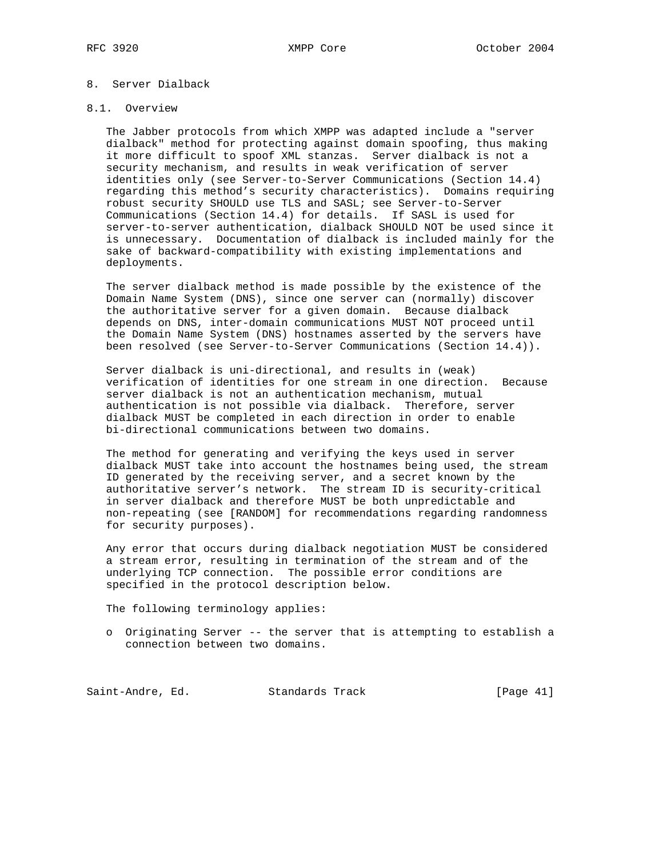# 8. Server Dialback

#### 8.1. Overview

 The Jabber protocols from which XMPP was adapted include a "server dialback" method for protecting against domain spoofing, thus making it more difficult to spoof XML stanzas. Server dialback is not a security mechanism, and results in weak verification of server identities only (see Server-to-Server Communications (Section 14.4) regarding this method's security characteristics). Domains requiring robust security SHOULD use TLS and SASL; see Server-to-Server Communications (Section 14.4) for details. If SASL is used for server-to-server authentication, dialback SHOULD NOT be used since it is unnecessary. Documentation of dialback is included mainly for the sake of backward-compatibility with existing implementations and deployments.

 The server dialback method is made possible by the existence of the Domain Name System (DNS), since one server can (normally) discover the authoritative server for a given domain. Because dialback depends on DNS, inter-domain communications MUST NOT proceed until the Domain Name System (DNS) hostnames asserted by the servers have been resolved (see Server-to-Server Communications (Section 14.4)).

 Server dialback is uni-directional, and results in (weak) verification of identities for one stream in one direction. Because server dialback is not an authentication mechanism, mutual authentication is not possible via dialback. Therefore, server dialback MUST be completed in each direction in order to enable bi-directional communications between two domains.

 The method for generating and verifying the keys used in server dialback MUST take into account the hostnames being used, the stream ID generated by the receiving server, and a secret known by the authoritative server's network. The stream ID is security-critical in server dialback and therefore MUST be both unpredictable and non-repeating (see [RANDOM] for recommendations regarding randomness for security purposes).

 Any error that occurs during dialback negotiation MUST be considered a stream error, resulting in termination of the stream and of the underlying TCP connection. The possible error conditions are specified in the protocol description below.

The following terminology applies:

 o Originating Server -- the server that is attempting to establish a connection between two domains.

Saint-Andre, Ed. Standards Track [Page 41]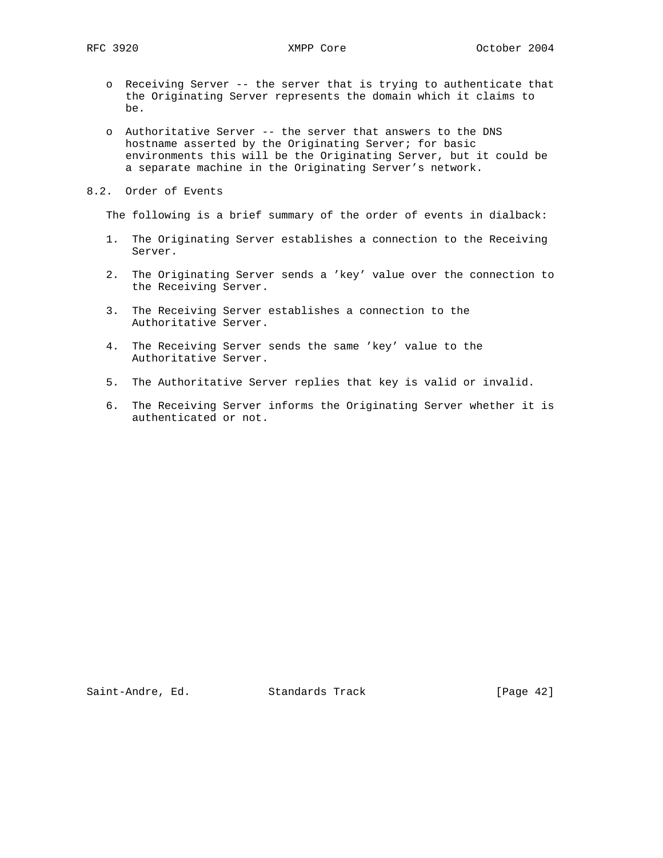- o Receiving Server -- the server that is trying to authenticate that the Originating Server represents the domain which it claims to be.
- o Authoritative Server -- the server that answers to the DNS hostname asserted by the Originating Server; for basic environments this will be the Originating Server, but it could be a separate machine in the Originating Server's network.
- 8.2. Order of Events

The following is a brief summary of the order of events in dialback:

- 1. The Originating Server establishes a connection to the Receiving Server.
- 2. The Originating Server sends a 'key' value over the connection to the Receiving Server.
- 3. The Receiving Server establishes a connection to the Authoritative Server.
- 4. The Receiving Server sends the same 'key' value to the Authoritative Server.
- 5. The Authoritative Server replies that key is valid or invalid.
- 6. The Receiving Server informs the Originating Server whether it is authenticated or not.

Saint-Andre, Ed. Standards Track [Page 42]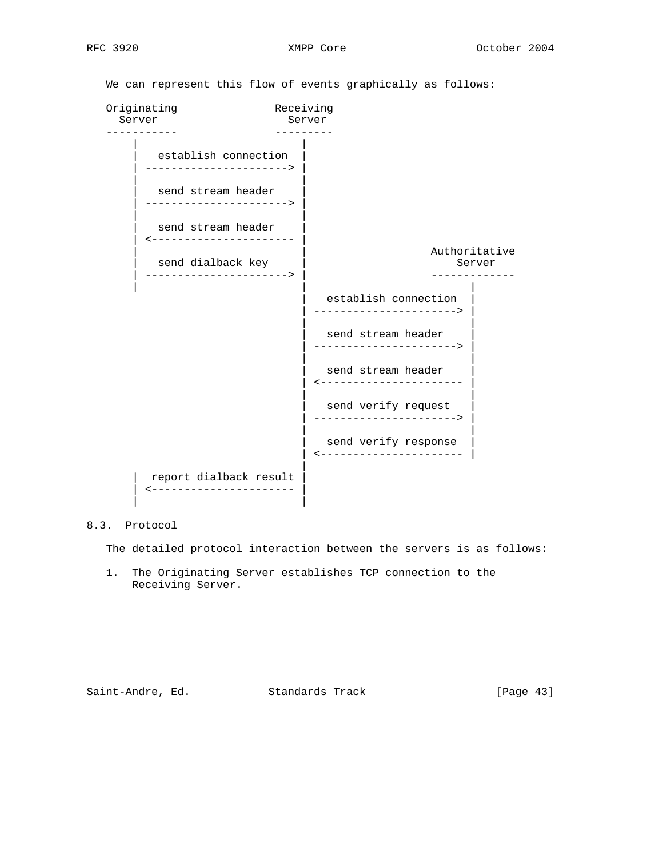We can represent this flow of events graphically as follows: Originating Receiving Server Server ----------- --------- | | establish connection | ----------------------> | | | send stream header | ----------------------> | | | send stream header | <---------------------- | Authoritative<br>Server send dialback key | ----------------------> | ------------- | | | establish connection | ----------------------> | | | send stream header | ----------------------> | | | send stream header | <---------------------- | | | send verify request | ----------------------> | | | send verify response | <---------------------- | | report dialback result | <---------------------- | | |

8.3. Protocol

The detailed protocol interaction between the servers is as follows:

 1. The Originating Server establishes TCP connection to the Receiving Server.

Saint-Andre, Ed. Standards Track [Page 43]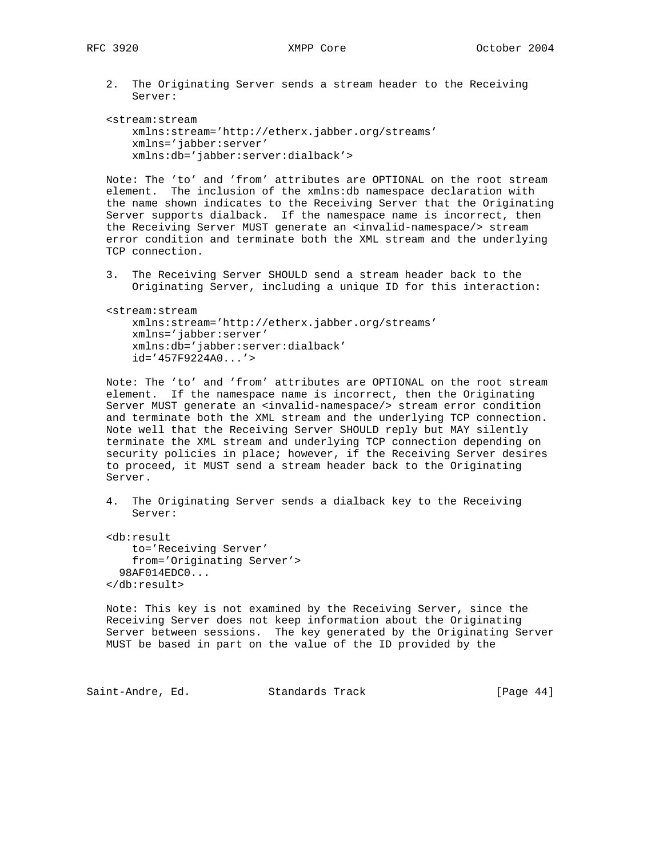2. The Originating Server sends a stream header to the Receiving Server:

```
 <stream:stream
    xmlns:stream='http://etherx.jabber.org/streams'
    xmlns='jabber:server'
    xmlns:db='jabber:server:dialback'>
```
 Note: The 'to' and 'from' attributes are OPTIONAL on the root stream element. The inclusion of the xmlns:db namespace declaration with the name shown indicates to the Receiving Server that the Originating Server supports dialback. If the namespace name is incorrect, then the Receiving Server MUST generate an <invalid-namespace/> stream error condition and terminate both the XML stream and the underlying TCP connection.

 3. The Receiving Server SHOULD send a stream header back to the Originating Server, including a unique ID for this interaction:

 <stream:stream xmlns:stream='http://etherx.jabber.org/streams' xmlns='jabber:server' xmlns:db='jabber:server:dialback' id='457F9224A0...'>

 Note: The 'to' and 'from' attributes are OPTIONAL on the root stream element. If the namespace name is incorrect, then the Originating Server MUST generate an <invalid-namespace/> stream error condition and terminate both the XML stream and the underlying TCP connection. Note well that the Receiving Server SHOULD reply but MAY silently terminate the XML stream and underlying TCP connection depending on security policies in place; however, if the Receiving Server desires to proceed, it MUST send a stream header back to the Originating Server.

 4. The Originating Server sends a dialback key to the Receiving Server:

 <db:result to='Receiving Server' from='Originating Server'> 98AF014EDC0... </db:result>

 Note: This key is not examined by the Receiving Server, since the Receiving Server does not keep information about the Originating Server between sessions. The key generated by the Originating Server MUST be based in part on the value of the ID provided by the

Saint-Andre, Ed. Standards Track [Page 44]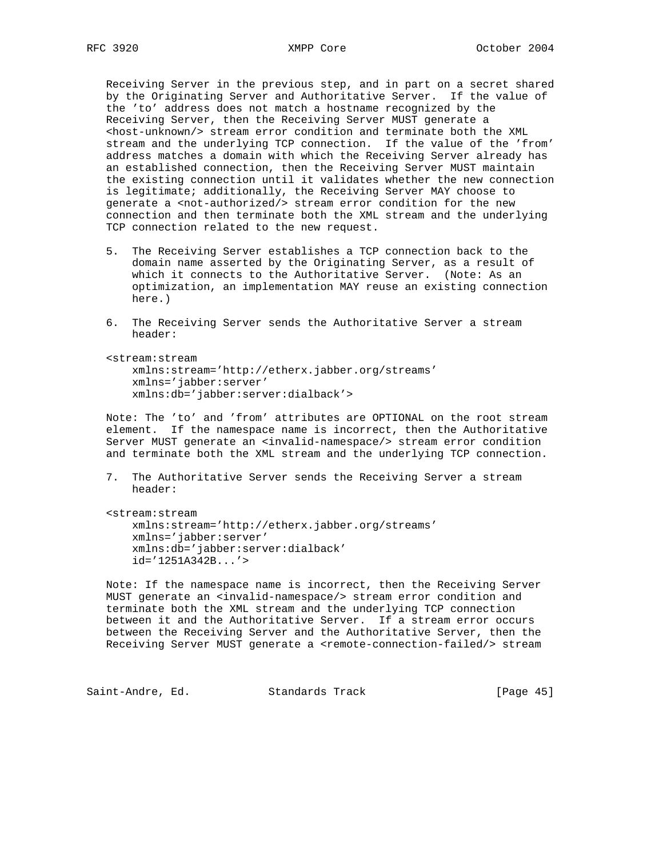Receiving Server in the previous step, and in part on a secret shared by the Originating Server and Authoritative Server. If the value of the 'to' address does not match a hostname recognized by the Receiving Server, then the Receiving Server MUST generate a <host-unknown/> stream error condition and terminate both the XML stream and the underlying TCP connection. If the value of the 'from' address matches a domain with which the Receiving Server already has an established connection, then the Receiving Server MUST maintain the existing connection until it validates whether the new connection is legitimate; additionally, the Receiving Server MAY choose to generate a <not-authorized/> stream error condition for the new connection and then terminate both the XML stream and the underlying TCP connection related to the new request.

- 5. The Receiving Server establishes a TCP connection back to the domain name asserted by the Originating Server, as a result of which it connects to the Authoritative Server. (Note: As an optimization, an implementation MAY reuse an existing connection here.)
- 6. The Receiving Server sends the Authoritative Server a stream header:

 <stream:stream xmlns:stream='http://etherx.jabber.org/streams' xmlns='jabber:server' xmlns:db='jabber:server:dialback'>

 Note: The 'to' and 'from' attributes are OPTIONAL on the root stream element. If the namespace name is incorrect, then the Authoritative Server MUST generate an <invalid-namespace/> stream error condition and terminate both the XML stream and the underlying TCP connection.

 7. The Authoritative Server sends the Receiving Server a stream header:

<stream:stream

 xmlns:stream='http://etherx.jabber.org/streams' xmlns='jabber:server' xmlns:db='jabber:server:dialback' id='1251A342B...'>

 Note: If the namespace name is incorrect, then the Receiving Server MUST generate an <invalid-namespace/> stream error condition and terminate both the XML stream and the underlying TCP connection between it and the Authoritative Server. If a stream error occurs between the Receiving Server and the Authoritative Server, then the Receiving Server MUST generate a <remote-connection-failed/> stream

Saint-Andre, Ed. Standards Track [Page 45]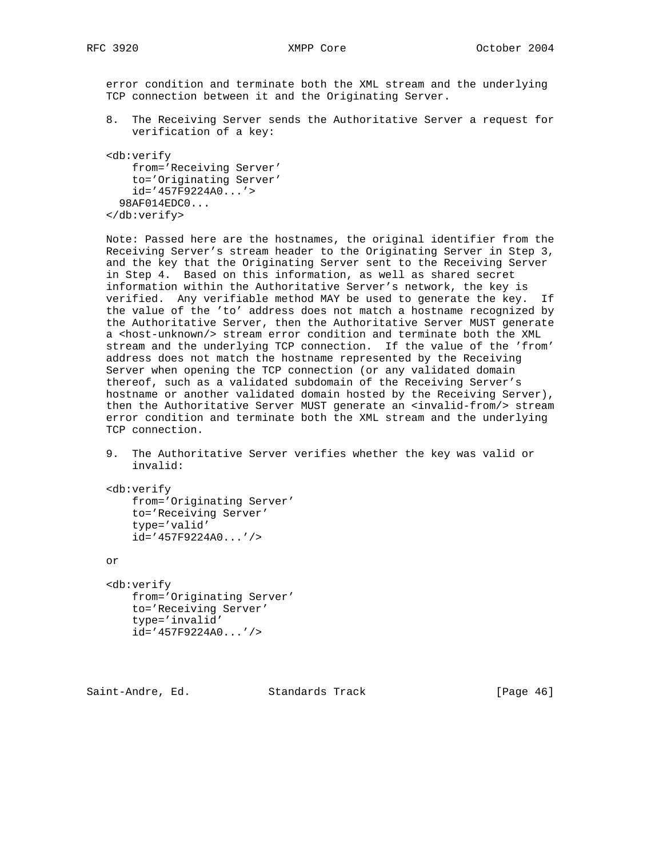error condition and terminate both the XML stream and the underlying TCP connection between it and the Originating Server.

 8. The Receiving Server sends the Authoritative Server a request for verification of a key:

 <db:verify from='Receiving Server' to='Originating Server' id='457F9224A0...'> 98AF014EDC0... </db:verify>

 Note: Passed here are the hostnames, the original identifier from the Receiving Server's stream header to the Originating Server in Step 3, and the key that the Originating Server sent to the Receiving Server in Step 4. Based on this information, as well as shared secret information within the Authoritative Server's network, the key is verified. Any verifiable method MAY be used to generate the key. If the value of the 'to' address does not match a hostname recognized by the Authoritative Server, then the Authoritative Server MUST generate a <host-unknown/> stream error condition and terminate both the XML stream and the underlying TCP connection. If the value of the 'from' address does not match the hostname represented by the Receiving Server when opening the TCP connection (or any validated domain thereof, such as a validated subdomain of the Receiving Server's hostname or another validated domain hosted by the Receiving Server), then the Authoritative Server MUST generate an <invalid-from/> stream error condition and terminate both the XML stream and the underlying TCP connection.

 9. The Authoritative Server verifies whether the key was valid or invalid:

 <db:verify from='Originating Server' to='Receiving Server' type='valid' id='457F9224A0...'/>

or

 <db:verify from='Originating Server' to='Receiving Server' type='invalid' id='457F9224A0...'/>

Saint-Andre, Ed. Standards Track [Page 46]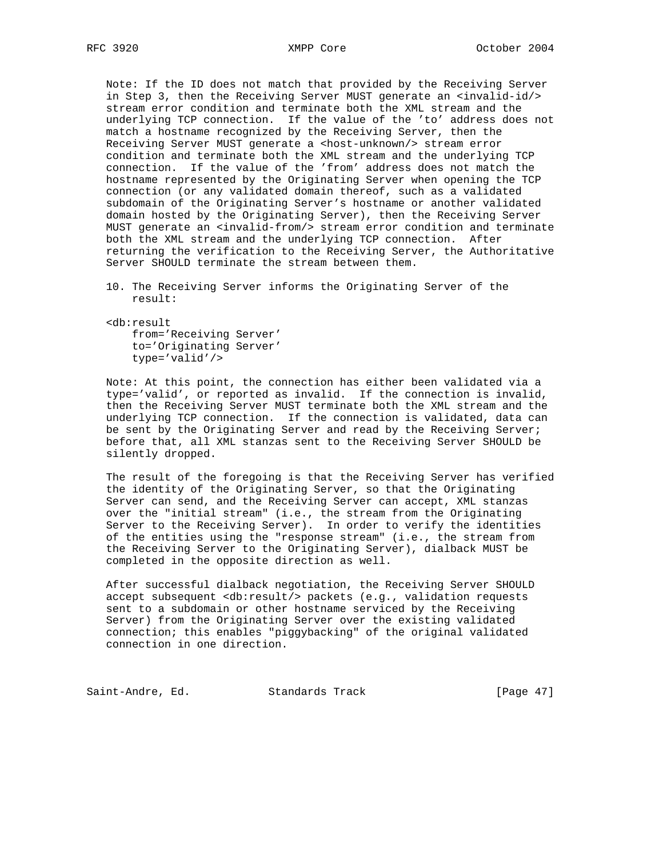Note: If the ID does not match that provided by the Receiving Server in Step 3, then the Receiving Server MUST generate an <invalid-id/> stream error condition and terminate both the XML stream and the underlying TCP connection. If the value of the 'to' address does not match a hostname recognized by the Receiving Server, then the Receiving Server MUST generate a <host-unknown/> stream error condition and terminate both the XML stream and the underlying TCP connection. If the value of the 'from' address does not match the hostname represented by the Originating Server when opening the TCP connection (or any validated domain thereof, such as a validated subdomain of the Originating Server's hostname or another validated domain hosted by the Originating Server), then the Receiving Server MUST generate an <invalid-from/> stream error condition and terminate both the XML stream and the underlying TCP connection. After returning the verification to the Receiving Server, the Authoritative Server SHOULD terminate the stream between them.

- 10. The Receiving Server informs the Originating Server of the result:
- <db:result from='Receiving Server' to='Originating Server' type='valid'/>

 Note: At this point, the connection has either been validated via a type='valid', or reported as invalid. If the connection is invalid, then the Receiving Server MUST terminate both the XML stream and the underlying TCP connection. If the connection is validated, data can be sent by the Originating Server and read by the Receiving Server; before that, all XML stanzas sent to the Receiving Server SHOULD be silently dropped.

 The result of the foregoing is that the Receiving Server has verified the identity of the Originating Server, so that the Originating Server can send, and the Receiving Server can accept, XML stanzas over the "initial stream" (i.e., the stream from the Originating Server to the Receiving Server). In order to verify the identities of the entities using the "response stream" (i.e., the stream from the Receiving Server to the Originating Server), dialback MUST be completed in the opposite direction as well.

 After successful dialback negotiation, the Receiving Server SHOULD accept subsequent <db:result/> packets (e.g., validation requests sent to a subdomain or other hostname serviced by the Receiving Server) from the Originating Server over the existing validated connection; this enables "piggybacking" of the original validated connection in one direction.

Saint-Andre, Ed. Standards Track [Page 47]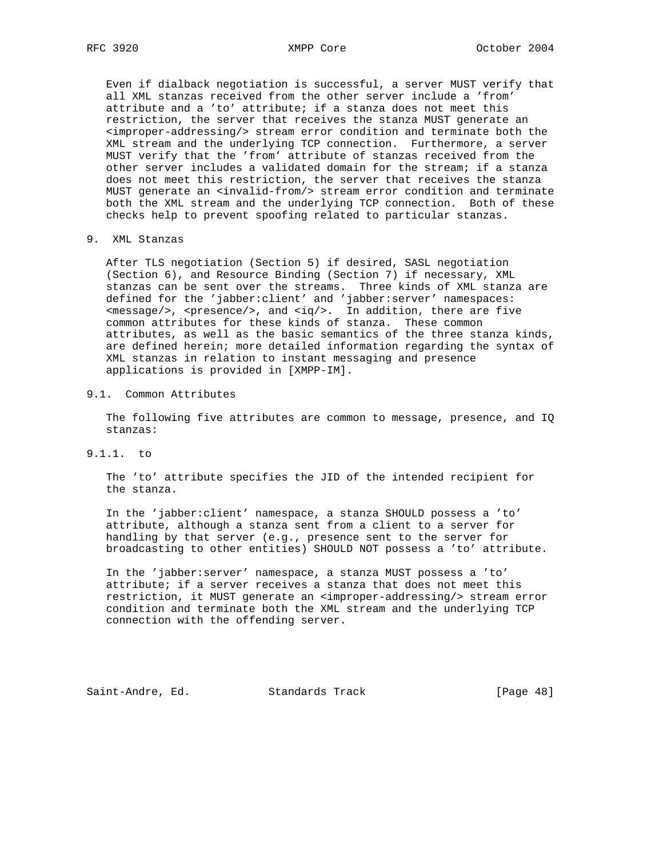Even if dialback negotiation is successful, a server MUST verify that all XML stanzas received from the other server include a 'from' attribute and a 'to' attribute; if a stanza does not meet this restriction, the server that receives the stanza MUST generate an <improper-addressing/> stream error condition and terminate both the XML stream and the underlying TCP connection. Furthermore, a server MUST verify that the 'from' attribute of stanzas received from the other server includes a validated domain for the stream; if a stanza does not meet this restriction, the server that receives the stanza MUST generate an <invalid-from/> stream error condition and terminate both the XML stream and the underlying TCP connection. Both of these checks help to prevent spoofing related to particular stanzas.

9. XML Stanzas

 After TLS negotiation (Section 5) if desired, SASL negotiation (Section 6), and Resource Binding (Section 7) if necessary, XML stanzas can be sent over the streams. Three kinds of XML stanza are defined for the 'jabber:client' and 'jabber:server' namespaces:  $<sub>emessage/></sub>$ ,  $<sub>presence/></sub>$ , and  $<sub>iq/></sub>$ . In addition, there are five</sub></sub></sub> common attributes for these kinds of stanza. These common attributes, as well as the basic semantics of the three stanza kinds, are defined herein; more detailed information regarding the syntax of XML stanzas in relation to instant messaging and presence applications is provided in [XMPP-IM].

## 9.1. Common Attributes

 The following five attributes are common to message, presence, and IQ stanzas:

9.1.1. to

 The 'to' attribute specifies the JID of the intended recipient for the stanza.

 In the 'jabber:client' namespace, a stanza SHOULD possess a 'to' attribute, although a stanza sent from a client to a server for handling by that server (e.g., presence sent to the server for broadcasting to other entities) SHOULD NOT possess a 'to' attribute.

 In the 'jabber:server' namespace, a stanza MUST possess a 'to' attribute; if a server receives a stanza that does not meet this restriction, it MUST generate an <improper-addressing/> stream error condition and terminate both the XML stream and the underlying TCP connection with the offending server.

Saint-Andre, Ed. Standards Track [Page 48]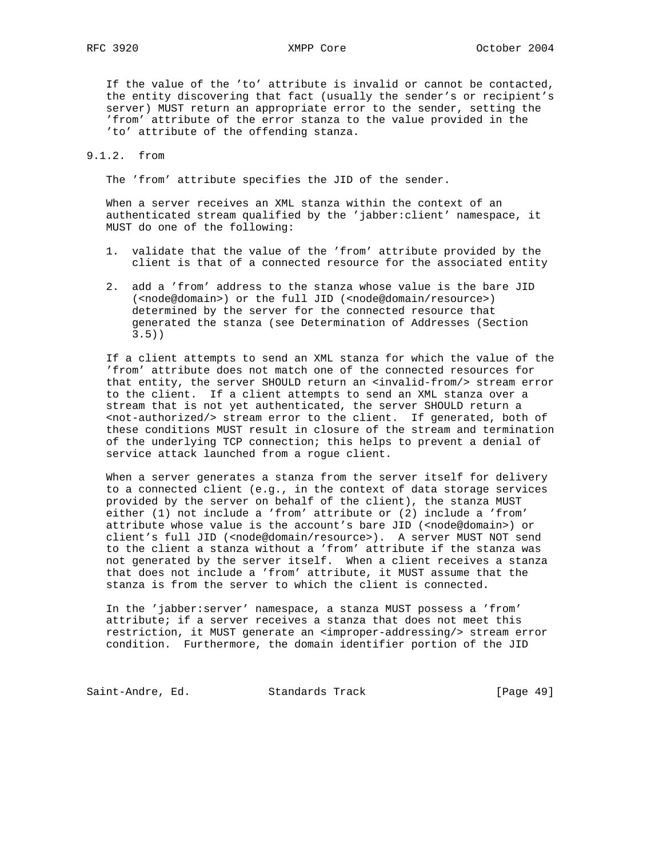If the value of the 'to' attribute is invalid or cannot be contacted, the entity discovering that fact (usually the sender's or recipient's server) MUST return an appropriate error to the sender, setting the 'from' attribute of the error stanza to the value provided in the 'to' attribute of the offending stanza.

## 9.1.2. from

The 'from' attribute specifies the JID of the sender.

 When a server receives an XML stanza within the context of an authenticated stream qualified by the 'jabber:client' namespace, it MUST do one of the following:

- 1. validate that the value of the 'from' attribute provided by the client is that of a connected resource for the associated entity
- 2. add a 'from' address to the stanza whose value is the bare JID (<node@domain>) or the full JID (<node@domain/resource>) determined by the server for the connected resource that generated the stanza (see Determination of Addresses (Section 3.5))

 If a client attempts to send an XML stanza for which the value of the 'from' attribute does not match one of the connected resources for that entity, the server SHOULD return an <invalid-from/> stream error to the client. If a client attempts to send an XML stanza over a stream that is not yet authenticated, the server SHOULD return a <not-authorized/> stream error to the client. If generated, both of these conditions MUST result in closure of the stream and termination of the underlying TCP connection; this helps to prevent a denial of service attack launched from a rogue client.

 When a server generates a stanza from the server itself for delivery to a connected client (e.g., in the context of data storage services provided by the server on behalf of the client), the stanza MUST either (1) not include a 'from' attribute or (2) include a 'from' attribute whose value is the account's bare JID (<node@domain>) or client's full JID (<node@domain/resource>). A server MUST NOT send to the client a stanza without a 'from' attribute if the stanza was not generated by the server itself. When a client receives a stanza that does not include a 'from' attribute, it MUST assume that the stanza is from the server to which the client is connected.

 In the 'jabber:server' namespace, a stanza MUST possess a 'from' attribute; if a server receives a stanza that does not meet this restriction, it MUST generate an <improper-addressing/> stream error condition. Furthermore, the domain identifier portion of the JID

Saint-Andre, Ed. Standards Track [Page 49]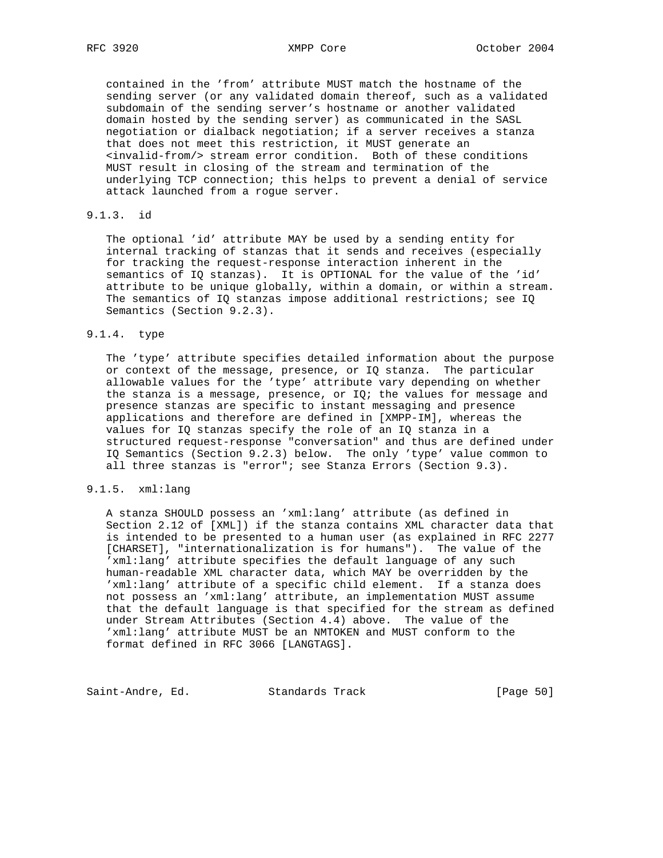contained in the 'from' attribute MUST match the hostname of the sending server (or any validated domain thereof, such as a validated subdomain of the sending server's hostname or another validated domain hosted by the sending server) as communicated in the SASL negotiation or dialback negotiation; if a server receives a stanza that does not meet this restriction, it MUST generate an <invalid-from/> stream error condition. Both of these conditions MUST result in closing of the stream and termination of the underlying TCP connection; this helps to prevent a denial of service attack launched from a rogue server.

# 9.1.3. id

 The optional 'id' attribute MAY be used by a sending entity for internal tracking of stanzas that it sends and receives (especially for tracking the request-response interaction inherent in the semantics of IQ stanzas). It is OPTIONAL for the value of the 'id' attribute to be unique globally, within a domain, or within a stream. The semantics of IQ stanzas impose additional restrictions; see IQ Semantics (Section 9.2.3).

### 9.1.4. type

 The 'type' attribute specifies detailed information about the purpose or context of the message, presence, or IQ stanza. The particular allowable values for the 'type' attribute vary depending on whether the stanza is a message, presence, or  $IQ$ ; the values for message and presence stanzas are specific to instant messaging and presence applications and therefore are defined in [XMPP-IM], whereas the values for IQ stanzas specify the role of an IQ stanza in a structured request-response "conversation" and thus are defined under IQ Semantics (Section 9.2.3) below. The only 'type' value common to all three stanzas is "error"; see Stanza Errors (Section 9.3).

## 9.1.5. xml:lang

 A stanza SHOULD possess an 'xml:lang' attribute (as defined in Section 2.12 of [XML]) if the stanza contains XML character data that is intended to be presented to a human user (as explained in RFC 2277 [CHARSET], "internationalization is for humans"). The value of the 'xml:lang' attribute specifies the default language of any such human-readable XML character data, which MAY be overridden by the 'xml:lang' attribute of a specific child element. If a stanza does not possess an 'xml:lang' attribute, an implementation MUST assume that the default language is that specified for the stream as defined under Stream Attributes (Section 4.4) above. The value of the 'xml:lang' attribute MUST be an NMTOKEN and MUST conform to the format defined in RFC 3066 [LANGTAGS].

Saint-Andre, Ed. Standards Track [Page 50]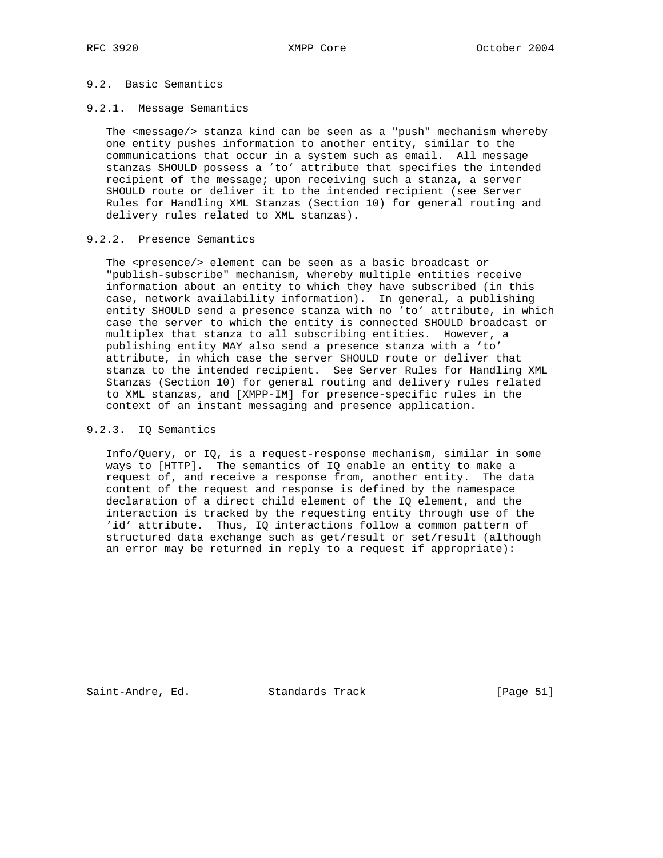## 9.2. Basic Semantics

## 9.2.1. Message Semantics

 The <message/> stanza kind can be seen as a "push" mechanism whereby one entity pushes information to another entity, similar to the communications that occur in a system such as email. All message stanzas SHOULD possess a 'to' attribute that specifies the intended recipient of the message; upon receiving such a stanza, a server SHOULD route or deliver it to the intended recipient (see Server Rules for Handling XML Stanzas (Section 10) for general routing and delivery rules related to XML stanzas).

## 9.2.2. Presence Semantics

The <presence/> element can be seen as a basic broadcast or "publish-subscribe" mechanism, whereby multiple entities receive information about an entity to which they have subscribed (in this case, network availability information). In general, a publishing entity SHOULD send a presence stanza with no 'to' attribute, in which case the server to which the entity is connected SHOULD broadcast or multiplex that stanza to all subscribing entities. However, a publishing entity MAY also send a presence stanza with a 'to' attribute, in which case the server SHOULD route or deliver that stanza to the intended recipient. See Server Rules for Handling XML Stanzas (Section 10) for general routing and delivery rules related to XML stanzas, and [XMPP-IM] for presence-specific rules in the context of an instant messaging and presence application.

## 9.2.3. IQ Semantics

 Info/Query, or IQ, is a request-response mechanism, similar in some ways to [HTTP]. The semantics of IQ enable an entity to make a request of, and receive a response from, another entity. The data content of the request and response is defined by the namespace declaration of a direct child element of the IQ element, and the interaction is tracked by the requesting entity through use of the 'id' attribute. Thus, IQ interactions follow a common pattern of structured data exchange such as get/result or set/result (although an error may be returned in reply to a request if appropriate):

Saint-Andre, Ed. Standards Track [Page 51]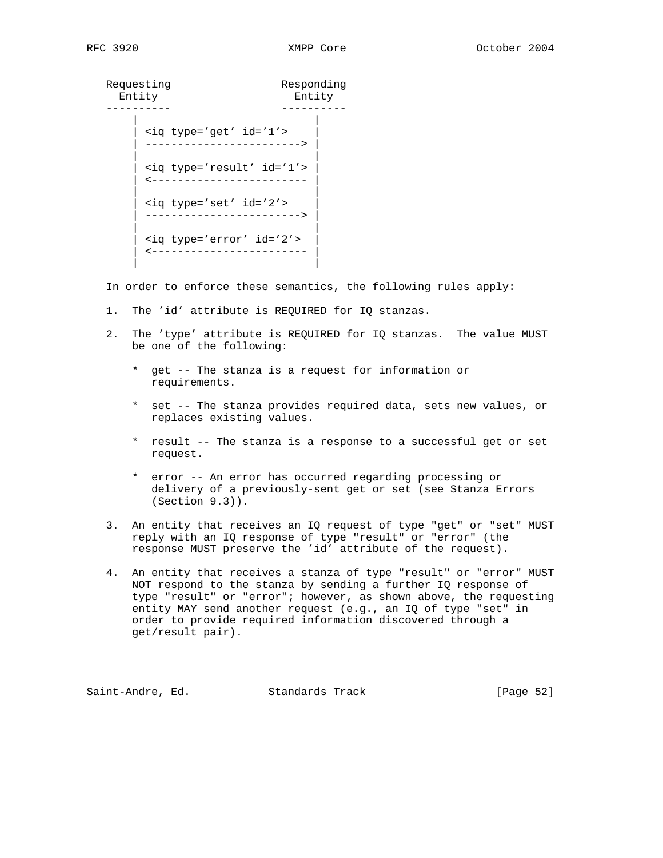| Requesting<br>Entity |                                | Responding<br>Entity |
|----------------------|--------------------------------|----------------------|
|                      | <iq id="1" type="get"></iq>    |                      |
|                      | <iq id="1" type="result"></iq> |                      |
|                      | <iq id="2" type="set"></iq>    |                      |
|                      | <iq id="2" type="error"></iq>  |                      |
|                      |                                |                      |

In order to enforce these semantics, the following rules apply:

- 1. The 'id' attribute is REQUIRED for IQ stanzas.
- 2. The 'type' attribute is REQUIRED for IQ stanzas. The value MUST be one of the following:
	- \* get -- The stanza is a request for information or requirements.
	- \* set -- The stanza provides required data, sets new values, or replaces existing values.
	- \* result -- The stanza is a response to a successful get or set request.
	- \* error -- An error has occurred regarding processing or delivery of a previously-sent get or set (see Stanza Errors (Section 9.3)).
- 3. An entity that receives an IQ request of type "get" or "set" MUST reply with an IQ response of type "result" or "error" (the response MUST preserve the 'id' attribute of the request).
- 4. An entity that receives a stanza of type "result" or "error" MUST NOT respond to the stanza by sending a further IQ response of type "result" or "error"; however, as shown above, the requesting entity MAY send another request (e.g., an IQ of type "set" in order to provide required information discovered through a get/result pair).

Saint-Andre, Ed. Standards Track [Page 52]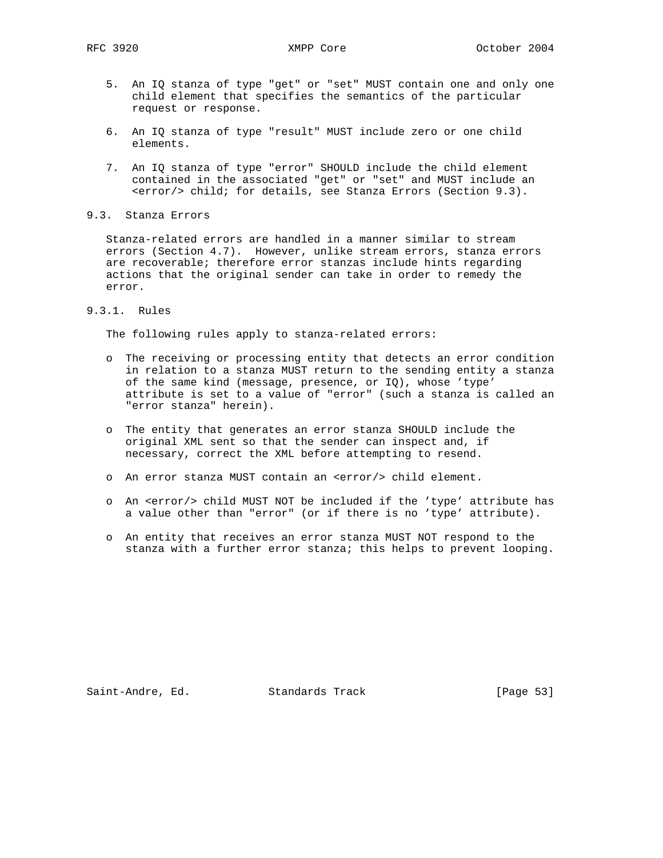- 5. An IQ stanza of type "get" or "set" MUST contain one and only one child element that specifies the semantics of the particular request or response.
- 6. An IQ stanza of type "result" MUST include zero or one child elements.
- 7. An IQ stanza of type "error" SHOULD include the child element contained in the associated "get" or "set" and MUST include an <error/> child; for details, see Stanza Errors (Section 9.3).
- 9.3. Stanza Errors

 Stanza-related errors are handled in a manner similar to stream errors (Section 4.7). However, unlike stream errors, stanza errors are recoverable; therefore error stanzas include hints regarding actions that the original sender can take in order to remedy the error.

9.3.1. Rules

The following rules apply to stanza-related errors:

- o The receiving or processing entity that detects an error condition in relation to a stanza MUST return to the sending entity a stanza of the same kind (message, presence, or IQ), whose 'type' attribute is set to a value of "error" (such a stanza is called an "error stanza" herein).
- o The entity that generates an error stanza SHOULD include the original XML sent so that the sender can inspect and, if necessary, correct the XML before attempting to resend.
- o An error stanza MUST contain an <error/> child element.
- o An <error/> child MUST NOT be included if the 'type' attribute has a value other than "error" (or if there is no 'type' attribute).
- o An entity that receives an error stanza MUST NOT respond to the stanza with a further error stanza; this helps to prevent looping.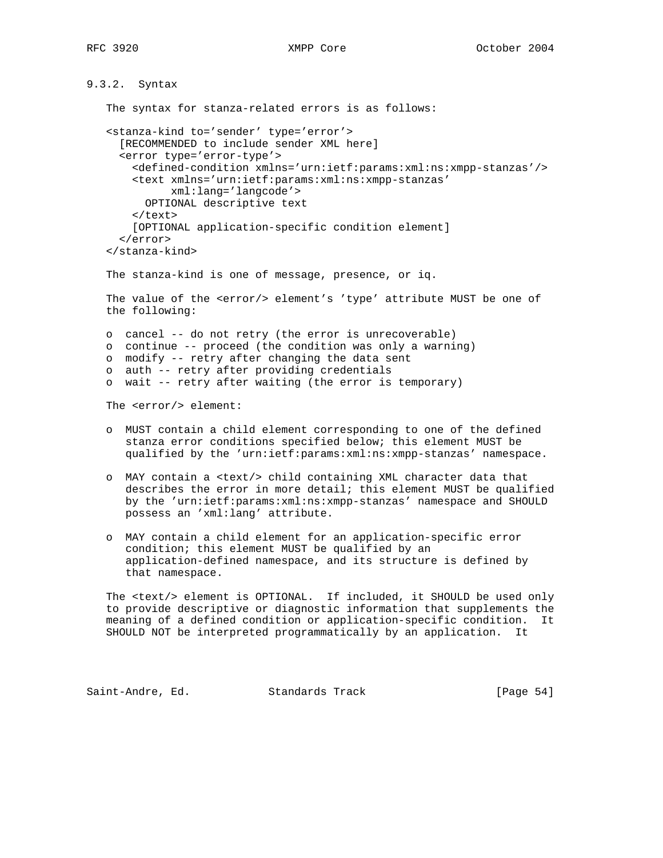# 9.3.2. Syntax

The syntax for stanza-related errors is as follows:

```
 <stanza-kind to='sender' type='error'>
   [RECOMMENDED to include sender XML here]
   <error type='error-type'>
     <defined-condition xmlns='urn:ietf:params:xml:ns:xmpp-stanzas'/>
     <text xmlns='urn:ietf:params:xml:ns:xmpp-stanzas'
           xml:lang='langcode'>
       OPTIONAL descriptive text
     </text>
     [OPTIONAL application-specific condition element]
   </error>
 </stanza-kind>
 The stanza-kind is one of message, presence, or iq.
 The value of the <error/> element's 'type' attribute MUST be one of
 the following:
 o cancel -- do not retry (the error is unrecoverable)
 o continue -- proceed (the condition was only a warning)
 o modify -- retry after changing the data sent
 o auth -- retry after providing credentials
 o wait -- retry after waiting (the error is temporary)
 The <error/> element:
```
- o MUST contain a child element corresponding to one of the defined stanza error conditions specified below; this element MUST be qualified by the 'urn:ietf:params:xml:ns:xmpp-stanzas' namespace.
- o MAY contain a <text/> child containing XML character data that describes the error in more detail; this element MUST be qualified by the 'urn:ietf:params:xml:ns:xmpp-stanzas' namespace and SHOULD possess an 'xml:lang' attribute.
- o MAY contain a child element for an application-specific error condition; this element MUST be qualified by an application-defined namespace, and its structure is defined by that namespace.

 The <text/> element is OPTIONAL. If included, it SHOULD be used only to provide descriptive or diagnostic information that supplements the meaning of a defined condition or application-specific condition. It SHOULD NOT be interpreted programmatically by an application. It

Saint-Andre, Ed. Standards Track [Page 54]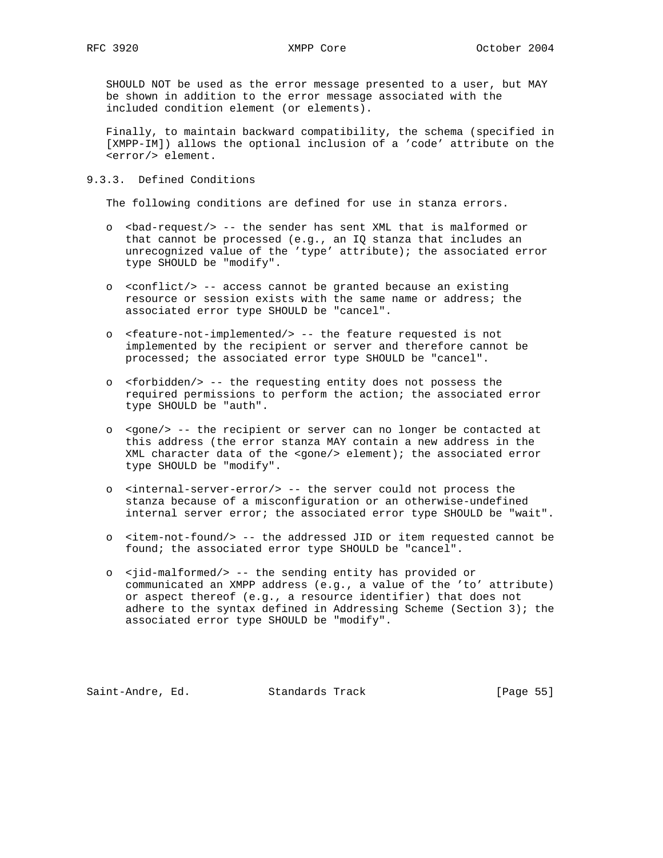SHOULD NOT be used as the error message presented to a user, but MAY be shown in addition to the error message associated with the included condition element (or elements).

 Finally, to maintain backward compatibility, the schema (specified in [XMPP-IM]) allows the optional inclusion of a 'code' attribute on the <error/> element.

## 9.3.3. Defined Conditions

The following conditions are defined for use in stanza errors.

- o <bad-request/> -- the sender has sent XML that is malformed or that cannot be processed (e.g., an IQ stanza that includes an unrecognized value of the 'type' attribute); the associated error type SHOULD be "modify".
- o <conflict/> -- access cannot be granted because an existing resource or session exists with the same name or address; the associated error type SHOULD be "cancel".
- o <feature-not-implemented/> -- the feature requested is not implemented by the recipient or server and therefore cannot be processed; the associated error type SHOULD be "cancel".
- o <forbidden/> -- the requesting entity does not possess the required permissions to perform the action; the associated error type SHOULD be "auth".
- o <gone/> -- the recipient or server can no longer be contacted at this address (the error stanza MAY contain a new address in the XML character data of the <gone/> element); the associated error type SHOULD be "modify".
- o <internal-server-error/> -- the server could not process the stanza because of a misconfiguration or an otherwise-undefined internal server error; the associated error type SHOULD be "wait".
- o <item-not-found/> -- the addressed JID or item requested cannot be found; the associated error type SHOULD be "cancel".
- o <jid-malformed/> -- the sending entity has provided or communicated an XMPP address (e.g., a value of the 'to' attribute) or aspect thereof (e.g., a resource identifier) that does not adhere to the syntax defined in Addressing Scheme (Section 3); the associated error type SHOULD be "modify".

Saint-Andre, Ed. Standards Track [Page 55]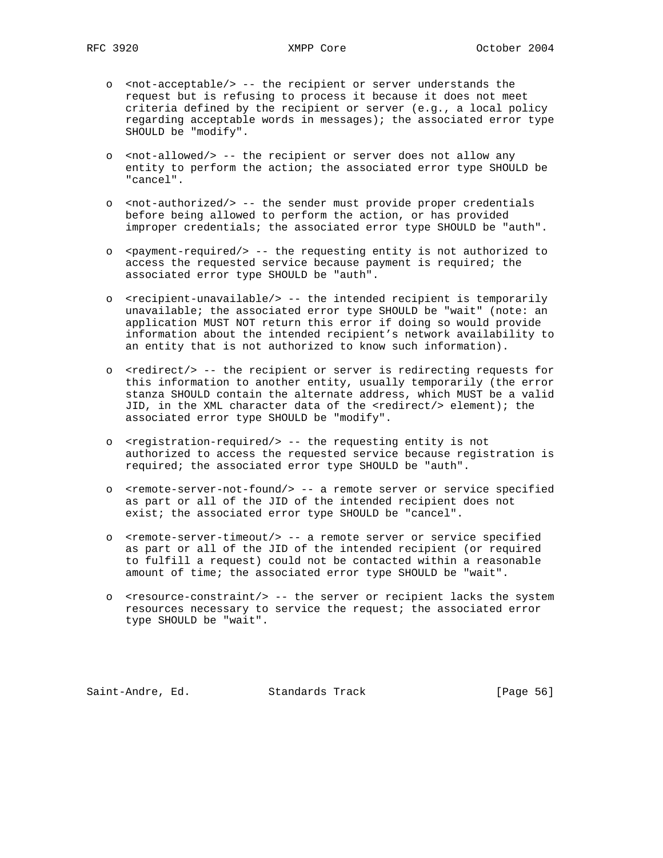- o <not-acceptable/> -- the recipient or server understands the request but is refusing to process it because it does not meet criteria defined by the recipient or server (e.g., a local policy regarding acceptable words in messages); the associated error type SHOULD be "modify".
- o <not-allowed/> -- the recipient or server does not allow any entity to perform the action; the associated error type SHOULD be "cancel".
- o <not-authorized/> -- the sender must provide proper credentials before being allowed to perform the action, or has provided improper credentials; the associated error type SHOULD be "auth".
- o <payment-required/> -- the requesting entity is not authorized to access the requested service because payment is required; the associated error type SHOULD be "auth".
- o <recipient-unavailable/> -- the intended recipient is temporarily unavailable; the associated error type SHOULD be "wait" (note: an application MUST NOT return this error if doing so would provide information about the intended recipient's network availability to an entity that is not authorized to know such information).
- o <redirect/> -- the recipient or server is redirecting requests for this information to another entity, usually temporarily (the error stanza SHOULD contain the alternate address, which MUST be a valid JID, in the XML character data of the <redirect/> element); the associated error type SHOULD be "modify".
- o <registration-required/> -- the requesting entity is not authorized to access the requested service because registration is required; the associated error type SHOULD be "auth".
- o <remote-server-not-found/> -- a remote server or service specified as part or all of the JID of the intended recipient does not exist; the associated error type SHOULD be "cancel".
- o <remote-server-timeout/> -- a remote server or service specified as part or all of the JID of the intended recipient (or required to fulfill a request) could not be contacted within a reasonable amount of time; the associated error type SHOULD be "wait".
- o <resource-constraint/> -- the server or recipient lacks the system resources necessary to service the request; the associated error type SHOULD be "wait".

Saint-Andre, Ed. Standards Track [Page 56]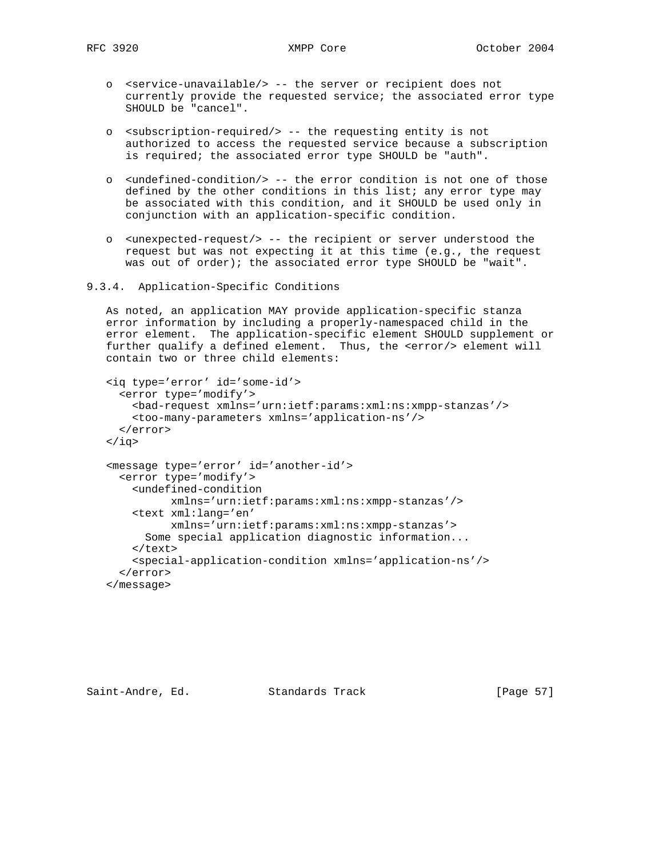- o <service-unavailable/> -- the server or recipient does not currently provide the requested service; the associated error type SHOULD be "cancel".
- o <subscription-required/> -- the requesting entity is not authorized to access the requested service because a subscription is required; the associated error type SHOULD be "auth".
- o <undefined-condition/> -- the error condition is not one of those defined by the other conditions in this list; any error type may be associated with this condition, and it SHOULD be used only in conjunction with an application-specific condition.
- o <unexpected-request/> -- the recipient or server understood the request but was not expecting it at this time (e.g., the request was out of order); the associated error type SHOULD be "wait".

```
9.3.4. Application-Specific Conditions
```
 As noted, an application MAY provide application-specific stanza error information by including a properly-namespaced child in the error element. The application-specific element SHOULD supplement or further qualify a defined element. Thus, the <error/> element will contain two or three child elements:

```
 <iq type='error' id='some-id'>
   <error type='modify'>
     <bad-request xmlns='urn:ietf:params:xml:ns:xmpp-stanzas'/>
     <too-many-parameters xmlns='application-ns'/>
   </error>
\langleiq>
 <message type='error' id='another-id'>
   <error type='modify'>
    <undefined-condition
           xmlns='urn:ietf:params:xml:ns:xmpp-stanzas'/>
     <text xml:lang='en'
           xmlns='urn:ietf:params:xml:ns:xmpp-stanzas'>
       Some special application diagnostic information...
    \langletext>
     <special-application-condition xmlns='application-ns'/>
   </error>
 </message>
```
Saint-Andre, Ed. Standards Track [Page 57]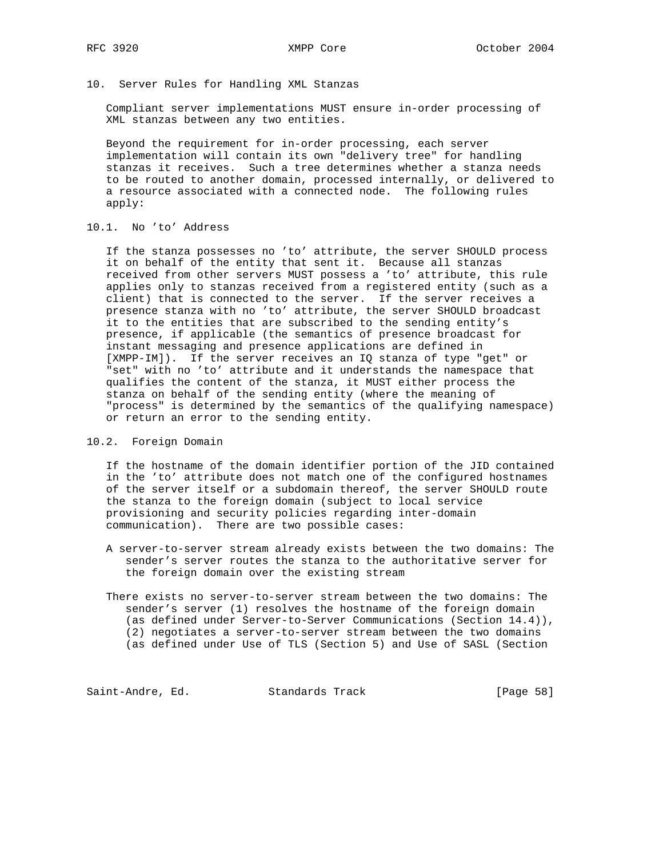10. Server Rules for Handling XML Stanzas

 Compliant server implementations MUST ensure in-order processing of XML stanzas between any two entities.

 Beyond the requirement for in-order processing, each server implementation will contain its own "delivery tree" for handling stanzas it receives. Such a tree determines whether a stanza needs to be routed to another domain, processed internally, or delivered to a resource associated with a connected node. The following rules apply:

10.1. No 'to' Address

 If the stanza possesses no 'to' attribute, the server SHOULD process it on behalf of the entity that sent it. Because all stanzas received from other servers MUST possess a 'to' attribute, this rule applies only to stanzas received from a registered entity (such as a client) that is connected to the server. If the server receives a presence stanza with no 'to' attribute, the server SHOULD broadcast it to the entities that are subscribed to the sending entity's presence, if applicable (the semantics of presence broadcast for instant messaging and presence applications are defined in [XMPP-IM]). If the server receives an IQ stanza of type "get" or "set" with no 'to' attribute and it understands the namespace that qualifies the content of the stanza, it MUST either process the stanza on behalf of the sending entity (where the meaning of "process" is determined by the semantics of the qualifying namespace) or return an error to the sending entity.

10.2. Foreign Domain

 If the hostname of the domain identifier portion of the JID contained in the 'to' attribute does not match one of the configured hostnames of the server itself or a subdomain thereof, the server SHOULD route the stanza to the foreign domain (subject to local service provisioning and security policies regarding inter-domain communication). There are two possible cases:

 A server-to-server stream already exists between the two domains: The sender's server routes the stanza to the authoritative server for the foreign domain over the existing stream

 There exists no server-to-server stream between the two domains: The sender's server (1) resolves the hostname of the foreign domain (as defined under Server-to-Server Communications (Section 14.4)), (2) negotiates a server-to-server stream between the two domains (as defined under Use of TLS (Section 5) and Use of SASL (Section

Saint-Andre, Ed. Standards Track [Page 58]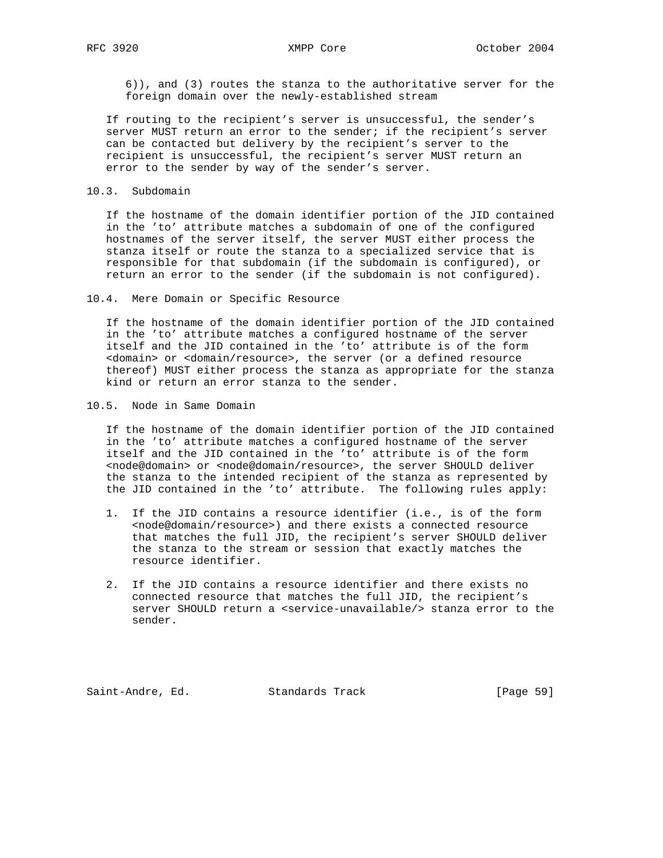6)), and (3) routes the stanza to the authoritative server for the foreign domain over the newly-established stream

 If routing to the recipient's server is unsuccessful, the sender's server MUST return an error to the sender; if the recipient's server can be contacted but delivery by the recipient's server to the recipient is unsuccessful, the recipient's server MUST return an error to the sender by way of the sender's server.

10.3. Subdomain

 If the hostname of the domain identifier portion of the JID contained in the 'to' attribute matches a subdomain of one of the configured hostnames of the server itself, the server MUST either process the stanza itself or route the stanza to a specialized service that is responsible for that subdomain (if the subdomain is configured), or return an error to the sender (if the subdomain is not configured).

10.4. Mere Domain or Specific Resource

 If the hostname of the domain identifier portion of the JID contained in the 'to' attribute matches a configured hostname of the server itself and the JID contained in the 'to' attribute is of the form <domain> or <domain/resource>, the server (or a defined resource thereof) MUST either process the stanza as appropriate for the stanza kind or return an error stanza to the sender.

10.5. Node in Same Domain

 If the hostname of the domain identifier portion of the JID contained in the 'to' attribute matches a configured hostname of the server itself and the JID contained in the 'to' attribute is of the form <node@domain> or <node@domain/resource>, the server SHOULD deliver the stanza to the intended recipient of the stanza as represented by the JID contained in the 'to' attribute. The following rules apply:

- 1. If the JID contains a resource identifier (i.e., is of the form <node@domain/resource>) and there exists a connected resource that matches the full JID, the recipient's server SHOULD deliver the stanza to the stream or session that exactly matches the resource identifier.
- 2. If the JID contains a resource identifier and there exists no connected resource that matches the full JID, the recipient's server SHOULD return a <service-unavailable/> stanza error to the sender.

Saint-Andre, Ed. Standards Track [Page 59]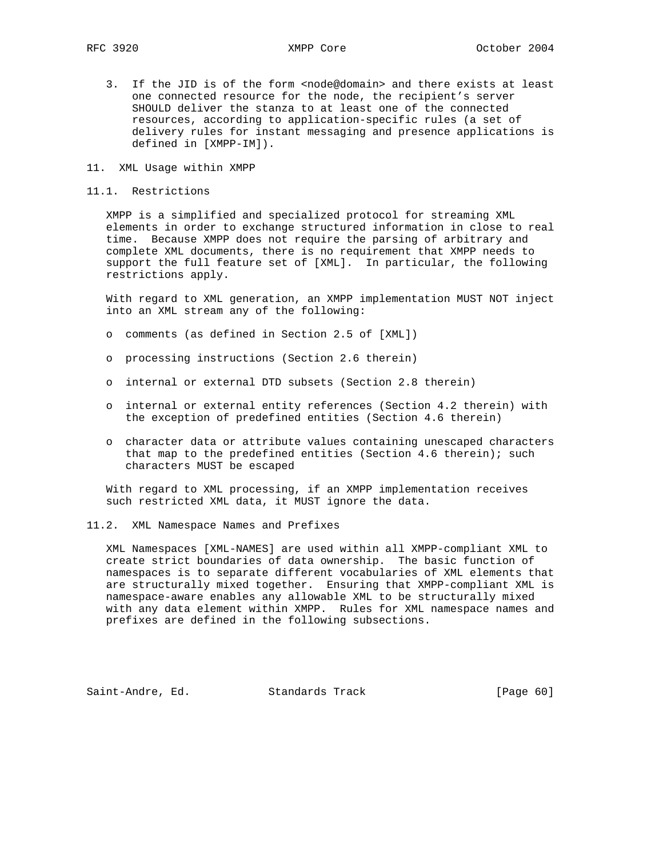- 3. If the JID is of the form <node@domain> and there exists at least one connected resource for the node, the recipient's server SHOULD deliver the stanza to at least one of the connected resources, according to application-specific rules (a set of delivery rules for instant messaging and presence applications is defined in [XMPP-IM]).
- 11. XML Usage within XMPP
- 11.1. Restrictions

 XMPP is a simplified and specialized protocol for streaming XML elements in order to exchange structured information in close to real time. Because XMPP does not require the parsing of arbitrary and complete XML documents, there is no requirement that XMPP needs to support the full feature set of [XML]. In particular, the following restrictions apply.

 With regard to XML generation, an XMPP implementation MUST NOT inject into an XML stream any of the following:

- o comments (as defined in Section 2.5 of [XML])
- o processing instructions (Section 2.6 therein)
- o internal or external DTD subsets (Section 2.8 therein)
- o internal or external entity references (Section 4.2 therein) with the exception of predefined entities (Section 4.6 therein)
- o character data or attribute values containing unescaped characters that map to the predefined entities (Section 4.6 therein); such characters MUST be escaped

 With regard to XML processing, if an XMPP implementation receives such restricted XML data, it MUST ignore the data.

11.2. XML Namespace Names and Prefixes

 XML Namespaces [XML-NAMES] are used within all XMPP-compliant XML to create strict boundaries of data ownership. The basic function of namespaces is to separate different vocabularies of XML elements that are structurally mixed together. Ensuring that XMPP-compliant XML is namespace-aware enables any allowable XML to be structurally mixed with any data element within XMPP. Rules for XML namespace names and prefixes are defined in the following subsections.

Saint-Andre, Ed. Standards Track [Page 60]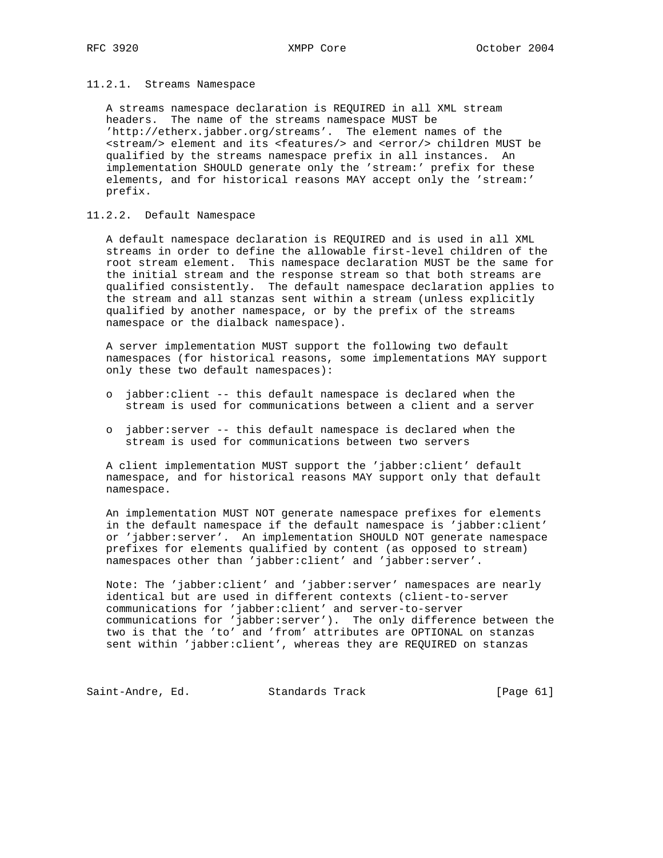#### 11.2.1. Streams Namespace

 A streams namespace declaration is REQUIRED in all XML stream headers. The name of the streams namespace MUST be 'http://etherx.jabber.org/streams'. The element names of the <stream/> element and its <features/> and <error/> children MUST be qualified by the streams namespace prefix in all instances. An implementation SHOULD generate only the 'stream:' prefix for these elements, and for historical reasons MAY accept only the 'stream:' prefix.

## 11.2.2. Default Namespace

 A default namespace declaration is REQUIRED and is used in all XML streams in order to define the allowable first-level children of the root stream element. This namespace declaration MUST be the same for the initial stream and the response stream so that both streams are qualified consistently. The default namespace declaration applies to the stream and all stanzas sent within a stream (unless explicitly qualified by another namespace, or by the prefix of the streams namespace or the dialback namespace).

 A server implementation MUST support the following two default namespaces (for historical reasons, some implementations MAY support only these two default namespaces):

- o jabber:client -- this default namespace is declared when the stream is used for communications between a client and a server
- o jabber:server -- this default namespace is declared when the stream is used for communications between two servers

 A client implementation MUST support the 'jabber:client' default namespace, and for historical reasons MAY support only that default namespace.

 An implementation MUST NOT generate namespace prefixes for elements in the default namespace if the default namespace is 'jabber:client' or 'jabber:server'. An implementation SHOULD NOT generate namespace prefixes for elements qualified by content (as opposed to stream) namespaces other than 'jabber:client' and 'jabber:server'.

 Note: The 'jabber:client' and 'jabber:server' namespaces are nearly identical but are used in different contexts (client-to-server communications for 'jabber:client' and server-to-server communications for 'jabber:server'). The only difference between the two is that the 'to' and 'from' attributes are OPTIONAL on stanzas sent within 'jabber:client', whereas they are REQUIRED on stanzas

Saint-Andre, Ed. Standards Track [Page 61]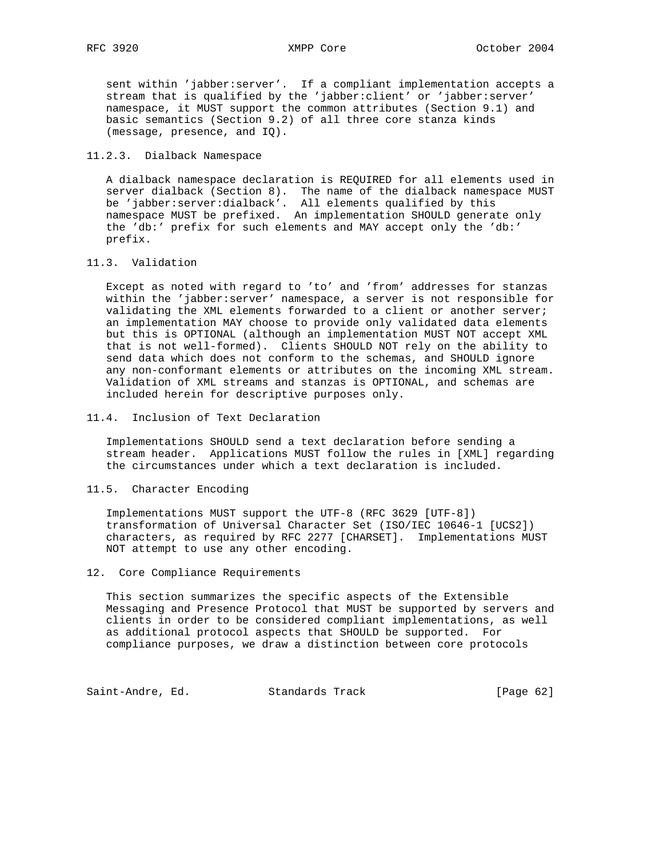sent within 'jabber:server'. If a compliant implementation accepts a stream that is qualified by the 'jabber:client' or 'jabber:server' namespace, it MUST support the common attributes (Section 9.1) and basic semantics (Section 9.2) of all three core stanza kinds (message, presence, and IQ).

#### 11.2.3. Dialback Namespace

 A dialback namespace declaration is REQUIRED for all elements used in server dialback (Section 8). The name of the dialback namespace MUST be 'jabber:server:dialback'. All elements qualified by this namespace MUST be prefixed. An implementation SHOULD generate only the 'db:' prefix for such elements and MAY accept only the 'db:' prefix.

#### 11.3. Validation

 Except as noted with regard to 'to' and 'from' addresses for stanzas within the 'jabber:server' namespace, a server is not responsible for validating the XML elements forwarded to a client or another server; an implementation MAY choose to provide only validated data elements but this is OPTIONAL (although an implementation MUST NOT accept XML that is not well-formed). Clients SHOULD NOT rely on the ability to send data which does not conform to the schemas, and SHOULD ignore any non-conformant elements or attributes on the incoming XML stream. Validation of XML streams and stanzas is OPTIONAL, and schemas are included herein for descriptive purposes only.

11.4. Inclusion of Text Declaration

 Implementations SHOULD send a text declaration before sending a stream header. Applications MUST follow the rules in [XML] regarding the circumstances under which a text declaration is included.

#### 11.5. Character Encoding

 Implementations MUST support the UTF-8 (RFC 3629 [UTF-8]) transformation of Universal Character Set (ISO/IEC 10646-1 [UCS2]) characters, as required by RFC 2277 [CHARSET]. Implementations MUST NOT attempt to use any other encoding.

#### 12. Core Compliance Requirements

 This section summarizes the specific aspects of the Extensible Messaging and Presence Protocol that MUST be supported by servers and clients in order to be considered compliant implementations, as well as additional protocol aspects that SHOULD be supported. For compliance purposes, we draw a distinction between core protocols

Saint-Andre, Ed. Standards Track [Page 62]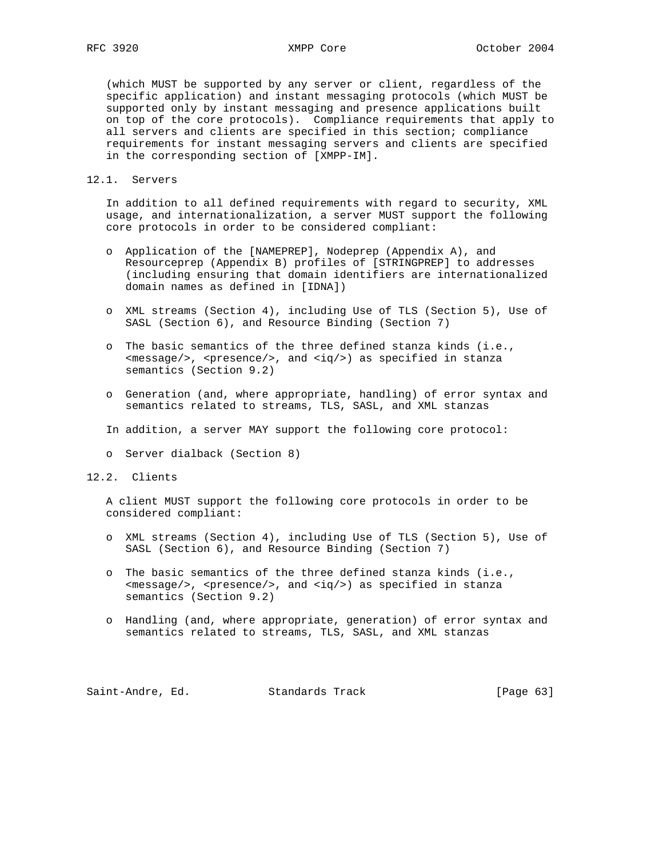(which MUST be supported by any server or client, regardless of the specific application) and instant messaging protocols (which MUST be supported only by instant messaging and presence applications built on top of the core protocols). Compliance requirements that apply to all servers and clients are specified in this section; compliance requirements for instant messaging servers and clients are specified in the corresponding section of [XMPP-IM].

## 12.1. Servers

 In addition to all defined requirements with regard to security, XML usage, and internationalization, a server MUST support the following core protocols in order to be considered compliant:

- o Application of the [NAMEPREP], Nodeprep (Appendix A), and Resourceprep (Appendix B) profiles of [STRINGPREP] to addresses (including ensuring that domain identifiers are internationalized domain names as defined in [IDNA])
- o XML streams (Section 4), including Use of TLS (Section 5), Use of SASL (Section 6), and Resource Binding (Section 7)
- o The basic semantics of the three defined stanza kinds (i.e.,  $<$ message/>,  $<$ presence/>, and  $<$ iq/>) as specified in stanza semantics (Section 9.2)
- o Generation (and, where appropriate, handling) of error syntax and semantics related to streams, TLS, SASL, and XML stanzas
- In addition, a server MAY support the following core protocol:
- o Server dialback (Section 8)
- 12.2. Clients

 A client MUST support the following core protocols in order to be considered compliant:

- o XML streams (Section 4), including Use of TLS (Section 5), Use of SASL (Section 6), and Resource Binding (Section 7)
- o The basic semantics of the three defined stanza kinds (i.e.,  $<sub>emessage/></sub>$ ,  $<sub>presence/></sub>$ , and  $<sub>iq/></sub>$  as specified in stanza</sub></sub></sub> semantics (Section 9.2)
- o Handling (and, where appropriate, generation) of error syntax and semantics related to streams, TLS, SASL, and XML stanzas

Saint-Andre, Ed. Standards Track [Page 63]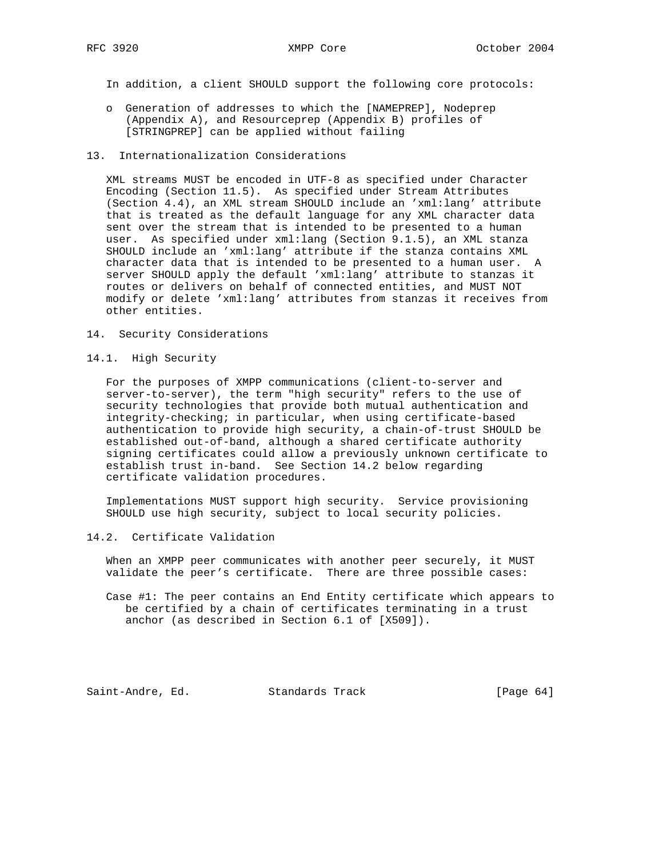In addition, a client SHOULD support the following core protocols:

 o Generation of addresses to which the [NAMEPREP], Nodeprep (Appendix A), and Resourceprep (Appendix B) profiles of [STRINGPREP] can be applied without failing

### 13. Internationalization Considerations

 XML streams MUST be encoded in UTF-8 as specified under Character Encoding (Section 11.5). As specified under Stream Attributes (Section 4.4), an XML stream SHOULD include an 'xml:lang' attribute that is treated as the default language for any XML character data sent over the stream that is intended to be presented to a human user. As specified under xml:lang (Section 9.1.5), an XML stanza SHOULD include an 'xml:lang' attribute if the stanza contains XML character data that is intended to be presented to a human user. A server SHOULD apply the default 'xml:lang' attribute to stanzas it routes or delivers on behalf of connected entities, and MUST NOT modify or delete 'xml:lang' attributes from stanzas it receives from other entities.

- 14. Security Considerations
- 14.1. High Security

 For the purposes of XMPP communications (client-to-server and server-to-server), the term "high security" refers to the use of security technologies that provide both mutual authentication and integrity-checking; in particular, when using certificate-based authentication to provide high security, a chain-of-trust SHOULD be established out-of-band, although a shared certificate authority signing certificates could allow a previously unknown certificate to establish trust in-band. See Section 14.2 below regarding certificate validation procedures.

 Implementations MUST support high security. Service provisioning SHOULD use high security, subject to local security policies.

14.2. Certificate Validation

 When an XMPP peer communicates with another peer securely, it MUST validate the peer's certificate. There are three possible cases:

 Case #1: The peer contains an End Entity certificate which appears to be certified by a chain of certificates terminating in a trust anchor (as described in Section 6.1 of [X509]).

Saint-Andre, Ed. Standards Track [Page 64]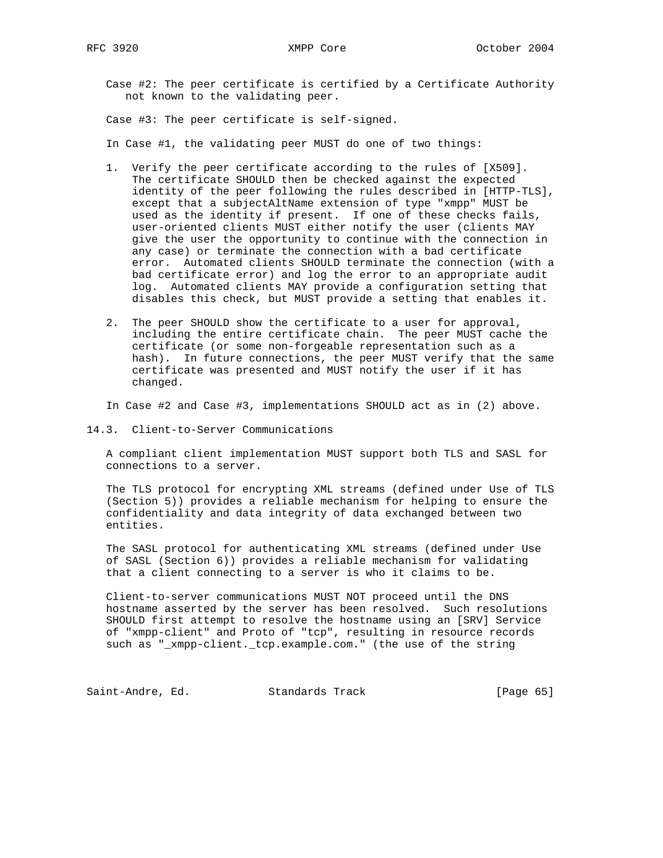Case #2: The peer certificate is certified by a Certificate Authority not known to the validating peer.

Case #3: The peer certificate is self-signed.

In Case #1, the validating peer MUST do one of two things:

- 1. Verify the peer certificate according to the rules of [X509]. The certificate SHOULD then be checked against the expected identity of the peer following the rules described in [HTTP-TLS], except that a subjectAltName extension of type "xmpp" MUST be used as the identity if present. If one of these checks fails, user-oriented clients MUST either notify the user (clients MAY give the user the opportunity to continue with the connection in any case) or terminate the connection with a bad certificate error. Automated clients SHOULD terminate the connection (with a bad certificate error) and log the error to an appropriate audit log. Automated clients MAY provide a configuration setting that disables this check, but MUST provide a setting that enables it.
- 2. The peer SHOULD show the certificate to a user for approval, including the entire certificate chain. The peer MUST cache the certificate (or some non-forgeable representation such as a hash). In future connections, the peer MUST verify that the same certificate was presented and MUST notify the user if it has changed.

In Case #2 and Case #3, implementations SHOULD act as in (2) above.

14.3. Client-to-Server Communications

 A compliant client implementation MUST support both TLS and SASL for connections to a server.

 The TLS protocol for encrypting XML streams (defined under Use of TLS (Section 5)) provides a reliable mechanism for helping to ensure the confidentiality and data integrity of data exchanged between two entities.

 The SASL protocol for authenticating XML streams (defined under Use of SASL (Section 6)) provides a reliable mechanism for validating that a client connecting to a server is who it claims to be.

 Client-to-server communications MUST NOT proceed until the DNS hostname asserted by the server has been resolved. Such resolutions SHOULD first attempt to resolve the hostname using an [SRV] Service of "xmpp-client" and Proto of "tcp", resulting in resource records such as "\_xmpp-client.\_tcp.example.com." (the use of the string

Saint-Andre, Ed. Standards Track [Page 65]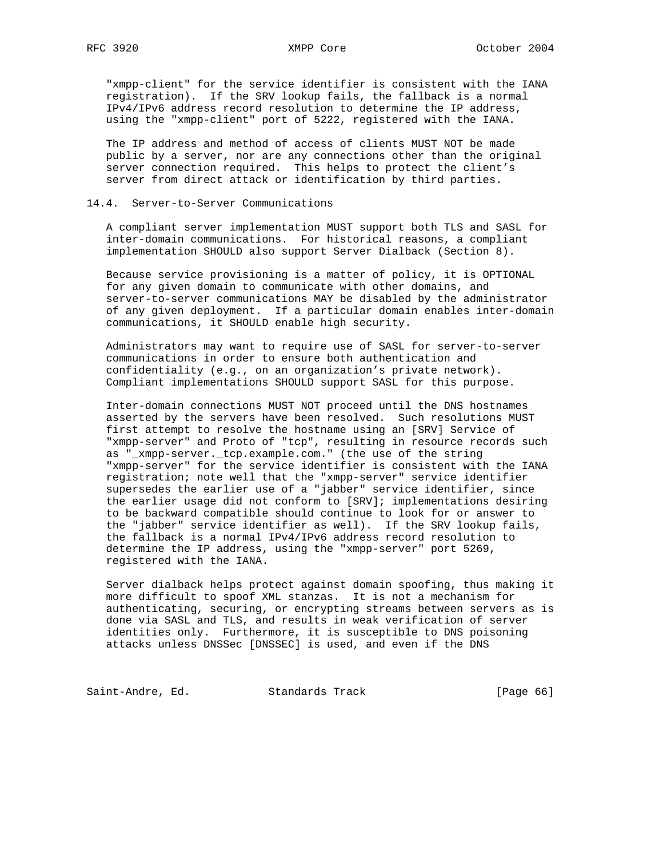"xmpp-client" for the service identifier is consistent with the IANA registration). If the SRV lookup fails, the fallback is a normal IPv4/IPv6 address record resolution to determine the IP address, using the "xmpp-client" port of 5222, registered with the IANA.

 The IP address and method of access of clients MUST NOT be made public by a server, nor are any connections other than the original server connection required. This helps to protect the client's server from direct attack or identification by third parties.

#### 14.4. Server-to-Server Communications

 A compliant server implementation MUST support both TLS and SASL for inter-domain communications. For historical reasons, a compliant implementation SHOULD also support Server Dialback (Section 8).

 Because service provisioning is a matter of policy, it is OPTIONAL for any given domain to communicate with other domains, and server-to-server communications MAY be disabled by the administrator of any given deployment. If a particular domain enables inter-domain communications, it SHOULD enable high security.

 Administrators may want to require use of SASL for server-to-server communications in order to ensure both authentication and confidentiality (e.g., on an organization's private network). Compliant implementations SHOULD support SASL for this purpose.

 Inter-domain connections MUST NOT proceed until the DNS hostnames asserted by the servers have been resolved. Such resolutions MUST first attempt to resolve the hostname using an [SRV] Service of "xmpp-server" and Proto of "tcp", resulting in resource records such as "\_xmpp-server.\_tcp.example.com." (the use of the string "xmpp-server" for the service identifier is consistent with the IANA registration; note well that the "xmpp-server" service identifier supersedes the earlier use of a "jabber" service identifier, since the earlier usage did not conform to [SRV]; implementations desiring to be backward compatible should continue to look for or answer to the "jabber" service identifier as well). If the SRV lookup fails, the fallback is a normal IPv4/IPv6 address record resolution to determine the IP address, using the "xmpp-server" port 5269, registered with the IANA.

 Server dialback helps protect against domain spoofing, thus making it more difficult to spoof XML stanzas. It is not a mechanism for authenticating, securing, or encrypting streams between servers as is done via SASL and TLS, and results in weak verification of server identities only. Furthermore, it is susceptible to DNS poisoning attacks unless DNSSec [DNSSEC] is used, and even if the DNS

Saint-Andre, Ed. Standards Track [Page 66]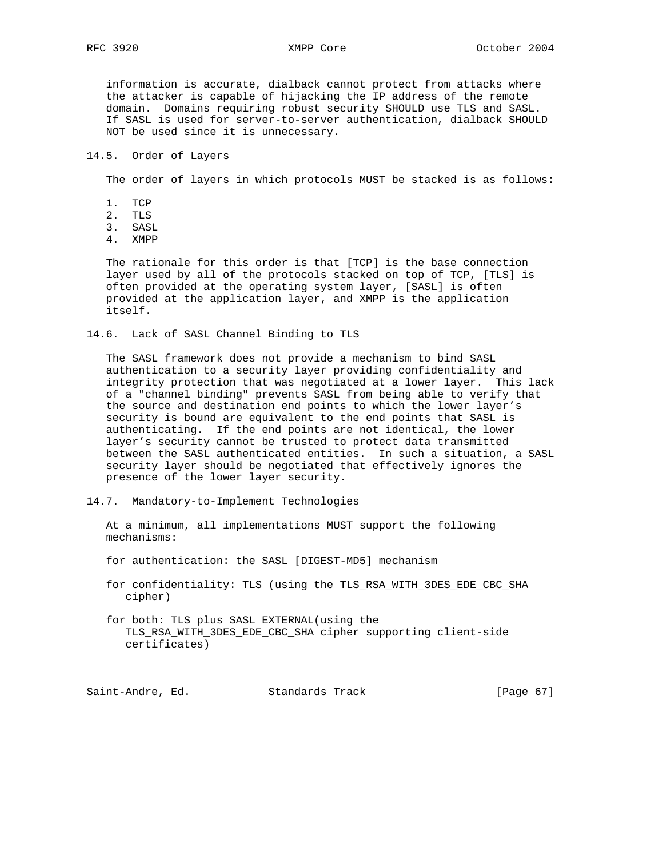information is accurate, dialback cannot protect from attacks where the attacker is capable of hijacking the IP address of the remote domain. Domains requiring robust security SHOULD use TLS and SASL. If SASL is used for server-to-server authentication, dialback SHOULD NOT be used since it is unnecessary.

14.5. Order of Layers

The order of layers in which protocols MUST be stacked is as follows:

- 1. TCP
- 2. TLS
- 3. SASL
- 4. XMPP

 The rationale for this order is that [TCP] is the base connection layer used by all of the protocols stacked on top of TCP, [TLS] is often provided at the operating system layer, [SASL] is often provided at the application layer, and XMPP is the application itself.

14.6. Lack of SASL Channel Binding to TLS

 The SASL framework does not provide a mechanism to bind SASL authentication to a security layer providing confidentiality and integrity protection that was negotiated at a lower layer. This lack of a "channel binding" prevents SASL from being able to verify that the source and destination end points to which the lower layer's security is bound are equivalent to the end points that SASL is authenticating. If the end points are not identical, the lower layer's security cannot be trusted to protect data transmitted between the SASL authenticated entities. In such a situation, a SASL security layer should be negotiated that effectively ignores the presence of the lower layer security.

14.7. Mandatory-to-Implement Technologies

 At a minimum, all implementations MUST support the following mechanisms:

for authentication: the SASL [DIGEST-MD5] mechanism

 for confidentiality: TLS (using the TLS\_RSA\_WITH\_3DES\_EDE\_CBC\_SHA cipher)

 for both: TLS plus SASL EXTERNAL(using the TLS\_RSA\_WITH\_3DES\_EDE\_CBC\_SHA cipher supporting client-side certificates)

Saint-Andre, Ed. Standards Track [Page 67]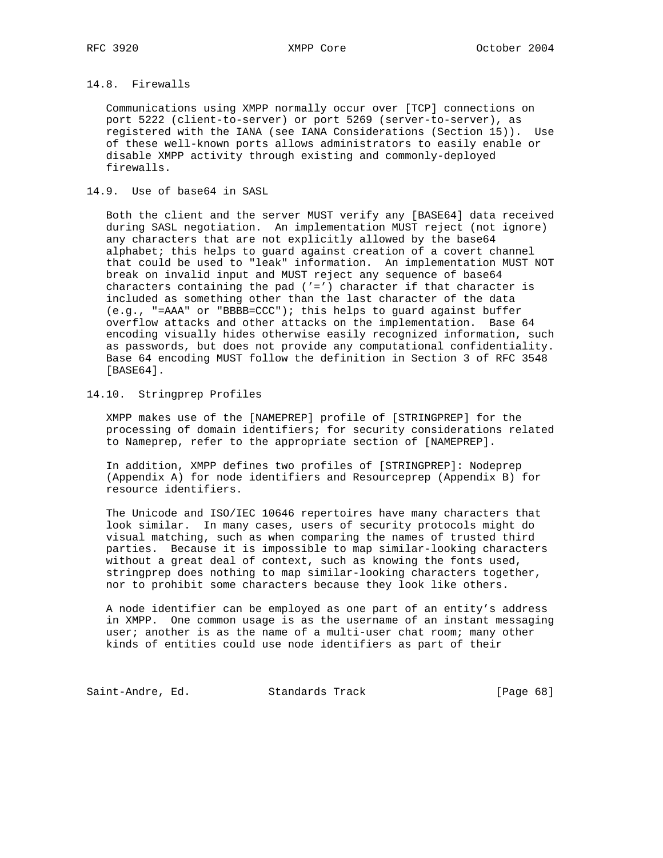# 14.8. Firewalls

 Communications using XMPP normally occur over [TCP] connections on port 5222 (client-to-server) or port 5269 (server-to-server), as registered with the IANA (see IANA Considerations (Section 15)). Use of these well-known ports allows administrators to easily enable or disable XMPP activity through existing and commonly-deployed firewalls.

## 14.9. Use of base64 in SASL

 Both the client and the server MUST verify any [BASE64] data received during SASL negotiation. An implementation MUST reject (not ignore) any characters that are not explicitly allowed by the base64 alphabet; this helps to guard against creation of a covert channel that could be used to "leak" information. An implementation MUST NOT break on invalid input and MUST reject any sequence of base64 characters containing the pad  $('='')$  character if that character is included as something other than the last character of the data (e.g., "=AAA" or "BBBB=CCC"); this helps to guard against buffer overflow attacks and other attacks on the implementation. Base 64 encoding visually hides otherwise easily recognized information, such as passwords, but does not provide any computational confidentiality. Base 64 encoding MUST follow the definition in Section 3 of RFC 3548 [BASE64].

## 14.10. Stringprep Profiles

 XMPP makes use of the [NAMEPREP] profile of [STRINGPREP] for the processing of domain identifiers; for security considerations related to Nameprep, refer to the appropriate section of [NAMEPREP].

 In addition, XMPP defines two profiles of [STRINGPREP]: Nodeprep (Appendix A) for node identifiers and Resourceprep (Appendix B) for resource identifiers.

 The Unicode and ISO/IEC 10646 repertoires have many characters that look similar. In many cases, users of security protocols might do visual matching, such as when comparing the names of trusted third parties. Because it is impossible to map similar-looking characters without a great deal of context, such as knowing the fonts used, stringprep does nothing to map similar-looking characters together, nor to prohibit some characters because they look like others.

 A node identifier can be employed as one part of an entity's address in XMPP. One common usage is as the username of an instant messaging user; another is as the name of a multi-user chat room; many other kinds of entities could use node identifiers as part of their

Saint-Andre, Ed. Standards Track [Page 68]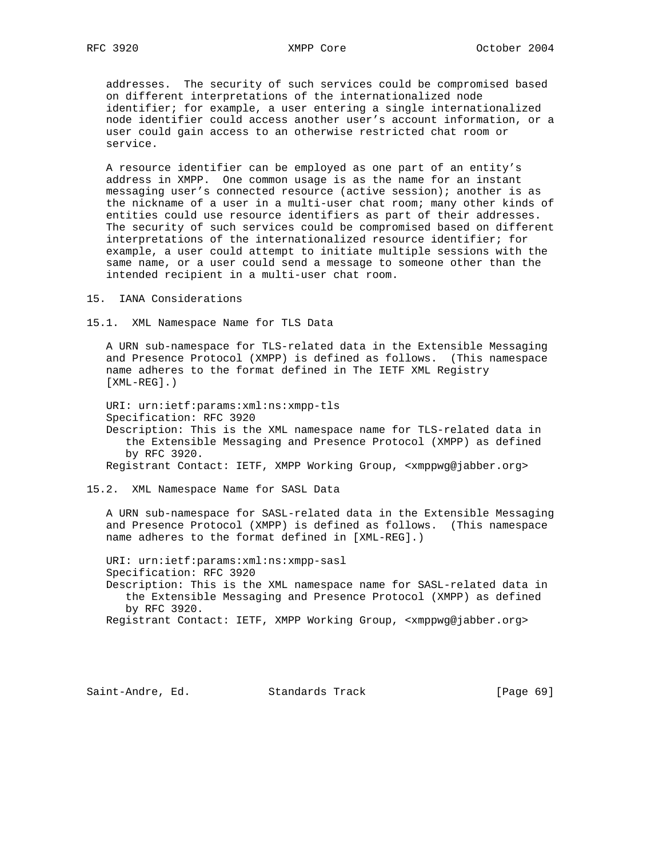addresses. The security of such services could be compromised based on different interpretations of the internationalized node identifier; for example, a user entering a single internationalized node identifier could access another user's account information, or a user could gain access to an otherwise restricted chat room or service.

 A resource identifier can be employed as one part of an entity's address in XMPP. One common usage is as the name for an instant messaging user's connected resource (active session); another is as the nickname of a user in a multi-user chat room; many other kinds of entities could use resource identifiers as part of their addresses. The security of such services could be compromised based on different interpretations of the internationalized resource identifier; for example, a user could attempt to initiate multiple sessions with the same name, or a user could send a message to someone other than the intended recipient in a multi-user chat room.

15. IANA Considerations

15.1. XML Namespace Name for TLS Data

 A URN sub-namespace for TLS-related data in the Extensible Messaging and Presence Protocol (XMPP) is defined as follows. (This namespace name adheres to the format defined in The IETF XML Registry [XML-REG].)

 URI: urn:ietf:params:xml:ns:xmpp-tls Specification: RFC 3920 Description: This is the XML namespace name for TLS-related data in the Extensible Messaging and Presence Protocol (XMPP) as defined by RFC 3920. Registrant Contact: IETF, XMPP Working Group, <xmppwg@jabber.org>

15.2. XML Namespace Name for SASL Data

 A URN sub-namespace for SASL-related data in the Extensible Messaging and Presence Protocol (XMPP) is defined as follows. (This namespace name adheres to the format defined in [XML-REG].)

 URI: urn:ietf:params:xml:ns:xmpp-sasl Specification: RFC 3920 Description: This is the XML namespace name for SASL-related data in the Extensible Messaging and Presence Protocol (XMPP) as defined by RFC 3920.

Registrant Contact: IETF, XMPP Working Group, <xmppwg@jabber.org>

Saint-Andre, Ed. Standards Track [Page 69]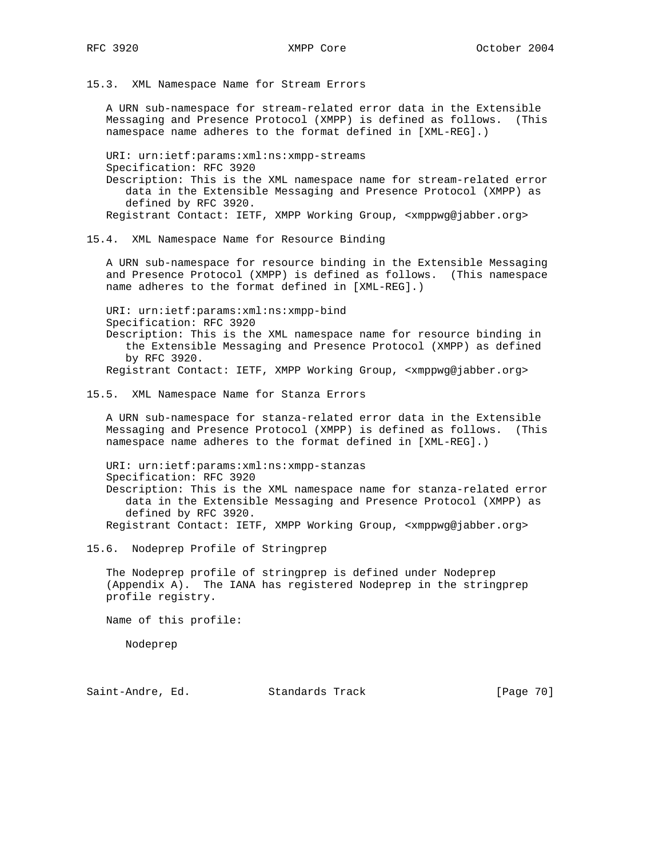15.3. XML Namespace Name for Stream Errors

 A URN sub-namespace for stream-related error data in the Extensible Messaging and Presence Protocol (XMPP) is defined as follows. (This namespace name adheres to the format defined in [XML-REG].)

 URI: urn:ietf:params:xml:ns:xmpp-streams Specification: RFC 3920 Description: This is the XML namespace name for stream-related error data in the Extensible Messaging and Presence Protocol (XMPP) as defined by RFC 3920.

Registrant Contact: IETF, XMPP Working Group, <xmppwg@jabber.org>

15.4. XML Namespace Name for Resource Binding

 A URN sub-namespace for resource binding in the Extensible Messaging and Presence Protocol (XMPP) is defined as follows. (This namespace name adheres to the format defined in [XML-REG].)

 URI: urn:ietf:params:xml:ns:xmpp-bind Specification: RFC 3920 Description: This is the XML namespace name for resource binding in the Extensible Messaging and Presence Protocol (XMPP) as defined by RFC 3920. Registrant Contact: IETF, XMPP Working Group, <xmppwg@jabber.org>

#### 15.5. XML Namespace Name for Stanza Errors

 A URN sub-namespace for stanza-related error data in the Extensible Messaging and Presence Protocol (XMPP) is defined as follows. (This namespace name adheres to the format defined in [XML-REG].)

 URI: urn:ietf:params:xml:ns:xmpp-stanzas Specification: RFC 3920 Description: This is the XML namespace name for stanza-related error data in the Extensible Messaging and Presence Protocol (XMPP) as defined by RFC 3920. Registrant Contact: IETF, XMPP Working Group, <xmppwg@jabber.org>

15.6. Nodeprep Profile of Stringprep

 The Nodeprep profile of stringprep is defined under Nodeprep (Appendix A). The IANA has registered Nodeprep in the stringprep profile registry.

Name of this profile:

Nodeprep

Saint-Andre, Ed. Standards Track [Page 70]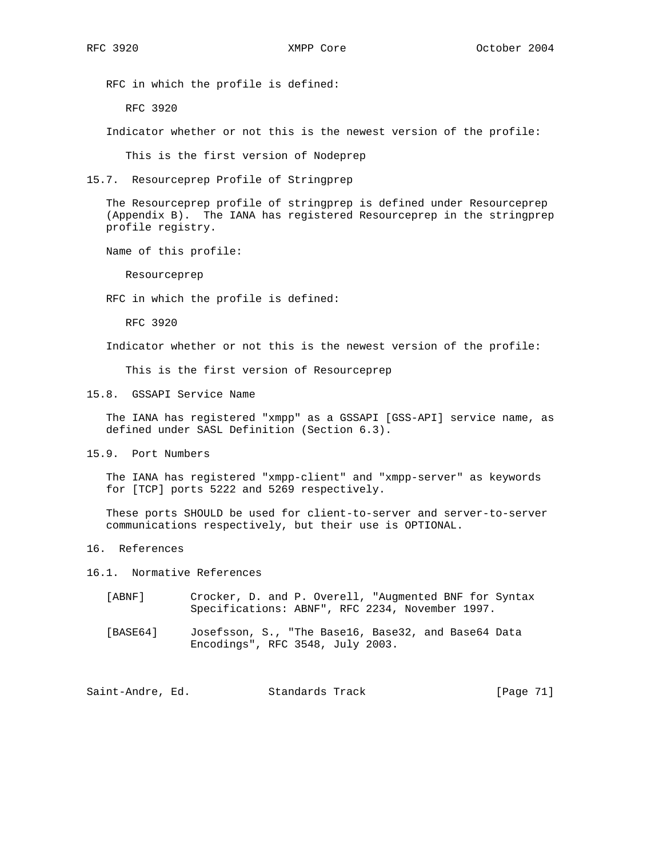RFC in which the profile is defined:

RFC 3920

Indicator whether or not this is the newest version of the profile:

This is the first version of Nodeprep

15.7. Resourceprep Profile of Stringprep

 The Resourceprep profile of stringprep is defined under Resourceprep (Appendix B). The IANA has registered Resourceprep in the stringprep profile registry.

Name of this profile:

Resourceprep

RFC in which the profile is defined:

RFC 3920

Indicator whether or not this is the newest version of the profile:

This is the first version of Resourceprep

15.8. GSSAPI Service Name

 The IANA has registered "xmpp" as a GSSAPI [GSS-API] service name, as defined under SASL Definition (Section 6.3).

15.9. Port Numbers

 The IANA has registered "xmpp-client" and "xmpp-server" as keywords for [TCP] ports 5222 and 5269 respectively.

 These ports SHOULD be used for client-to-server and server-to-server communications respectively, but their use is OPTIONAL.

16. References

16.1. Normative References

- [ABNF] Crocker, D. and P. Overell, "Augmented BNF for Syntax Specifications: ABNF", RFC 2234, November 1997.
- [BASE64] Josefsson, S., "The Base16, Base32, and Base64 Data Encodings", RFC 3548, July 2003.

Saint-Andre, Ed. Standards Track [Page 71]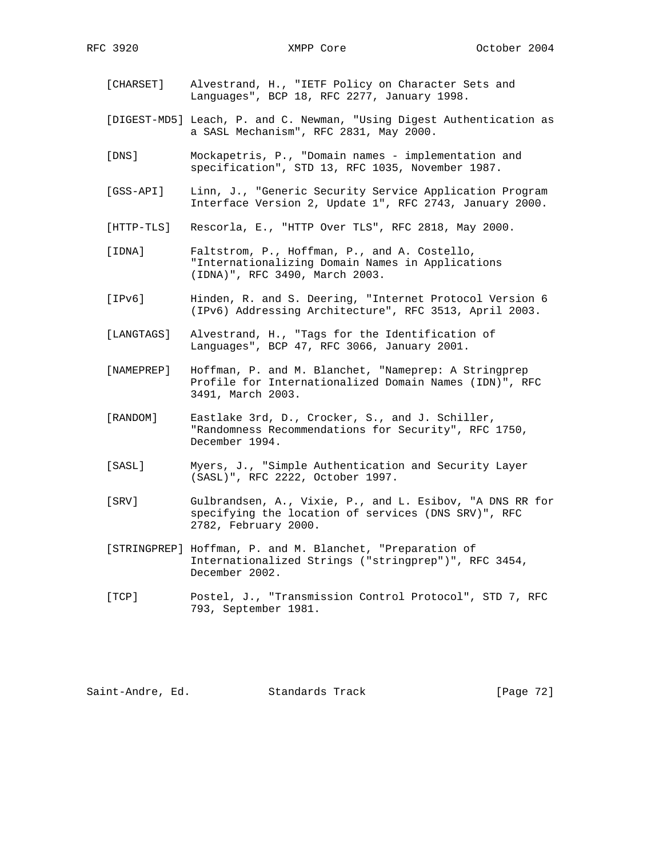- [CHARSET] Alvestrand, H., "IETF Policy on Character Sets and Languages", BCP 18, RFC 2277, January 1998.
- [DIGEST-MD5] Leach, P. and C. Newman, "Using Digest Authentication as a SASL Mechanism", RFC 2831, May 2000.
- [DNS] Mockapetris, P., "Domain names implementation and specification", STD 13, RFC 1035, November 1987.
- [GSS-API] Linn, J., "Generic Security Service Application Program Interface Version 2, Update 1", RFC 2743, January 2000.
- [HTTP-TLS] Rescorla, E., "HTTP Over TLS", RFC 2818, May 2000.
- [IDNA] Faltstrom, P., Hoffman, P., and A. Costello, "Internationalizing Domain Names in Applications (IDNA)", RFC 3490, March 2003.
- [IPv6] Hinden, R. and S. Deering, "Internet Protocol Version 6 (IPv6) Addressing Architecture", RFC 3513, April 2003.
- [LANGTAGS] Alvestrand, H., "Tags for the Identification of Languages", BCP 47, RFC 3066, January 2001.
- [NAMEPREP] Hoffman, P. and M. Blanchet, "Nameprep: A Stringprep Profile for Internationalized Domain Names (IDN)", RFC 3491, March 2003.
- [RANDOM] Eastlake 3rd, D., Crocker, S., and J. Schiller, "Randomness Recommendations for Security", RFC 1750, December 1994.
- [SASL] Myers, J., "Simple Authentication and Security Layer (SASL)", RFC 2222, October 1997.
- [SRV] Gulbrandsen, A., Vixie, P., and L. Esibov, "A DNS RR for specifying the location of services (DNS SRV)", RFC 2782, February 2000.
- [STRINGPREP] Hoffman, P. and M. Blanchet, "Preparation of Internationalized Strings ("stringprep")", RFC 3454, December 2002.
- [TCP] Postel, J., "Transmission Control Protocol", STD 7, RFC 793, September 1981.

Saint-Andre, Ed. Standards Track [Page 72]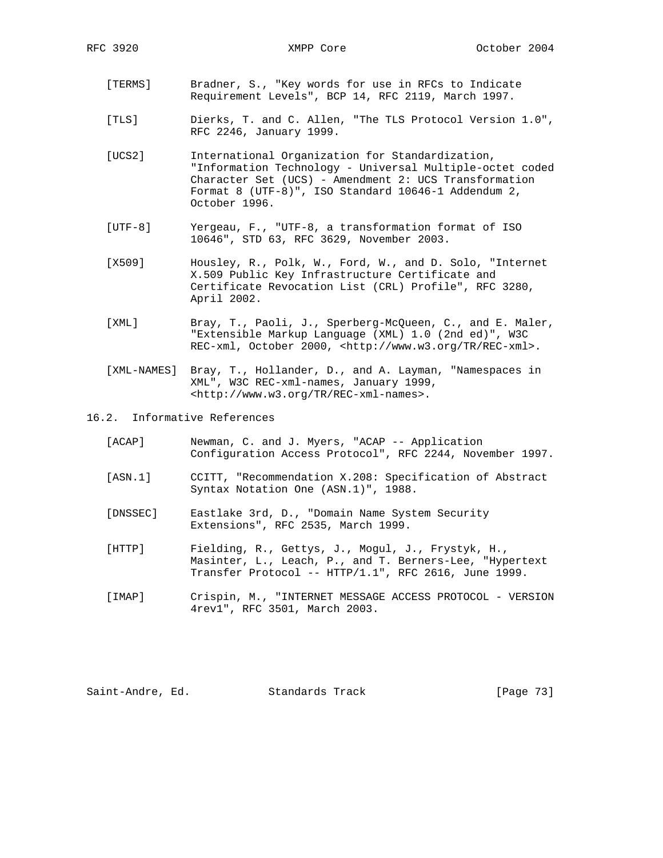- [TERMS] Bradner, S., "Key words for use in RFCs to Indicate Requirement Levels", BCP 14, RFC 2119, March 1997.
- [TLS] Dierks, T. and C. Allen, "The TLS Protocol Version 1.0", RFC 2246, January 1999.
- [UCS2] International Organization for Standardization, "Information Technology - Universal Multiple-octet coded Character Set (UCS) - Amendment 2: UCS Transformation Format 8 (UTF-8)", ISO Standard 10646-1 Addendum 2, October 1996.
- [UTF-8] Yergeau, F., "UTF-8, a transformation format of ISO 10646", STD 63, RFC 3629, November 2003.
- [X509] Housley, R., Polk, W., Ford, W., and D. Solo, "Internet X.509 Public Key Infrastructure Certificate and Certificate Revocation List (CRL) Profile", RFC 3280, April 2002.
- [XML] Bray, T., Paoli, J., Sperberg-McQueen, C., and E. Maler, "Extensible Markup Language (XML) 1.0 (2nd ed)", W3C REC-xml, October 2000, <http://www.w3.org/TR/REC-xml>.
- [XML-NAMES] Bray, T., Hollander, D., and A. Layman, "Namespaces in XML", W3C REC-xml-names, January 1999, <http://www.w3.org/TR/REC-xml-names>.
- 16.2. Informative References
	- [ACAP] Newman, C. and J. Myers, "ACAP -- Application Configuration Access Protocol", RFC 2244, November 1997.
	- [ASN.1] CCITT, "Recommendation X.208: Specification of Abstract Syntax Notation One (ASN.1)", 1988.
	- [DNSSEC] Eastlake 3rd, D., "Domain Name System Security Extensions", RFC 2535, March 1999.
	- [HTTP] Fielding, R., Gettys, J., Mogul, J., Frystyk, H., Masinter, L., Leach, P., and T. Berners-Lee, "Hypertext Transfer Protocol -- HTTP/1.1", RFC 2616, June 1999.
	- [IMAP] Crispin, M., "INTERNET MESSAGE ACCESS PROTOCOL VERSION 4rev1", RFC 3501, March 2003.

Saint-Andre, Ed. Standards Track [Page 73]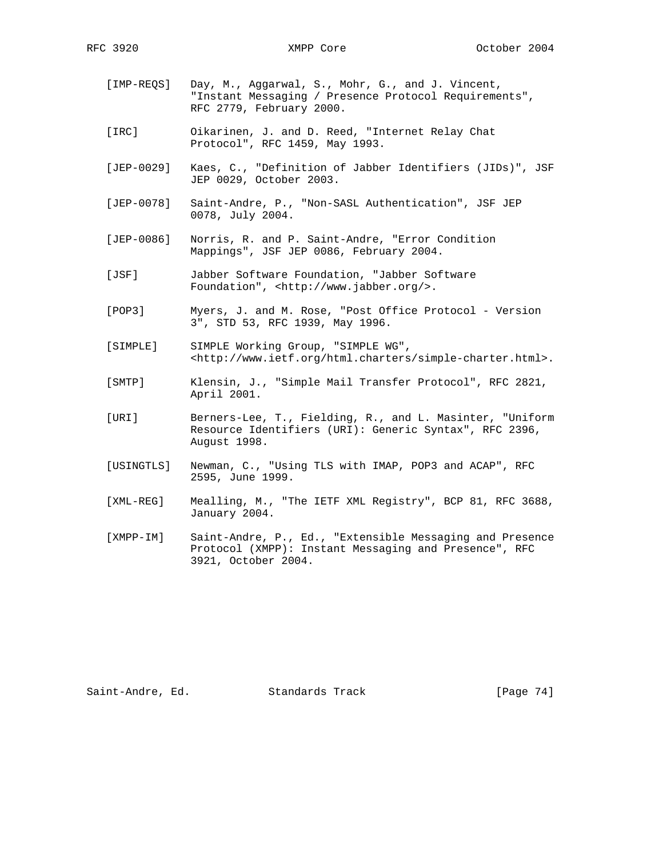- [IMP-REQS] Day, M., Aggarwal, S., Mohr, G., and J. Vincent, "Instant Messaging / Presence Protocol Requirements", RFC 2779, February 2000.
- [IRC] Oikarinen, J. and D. Reed, "Internet Relay Chat Protocol", RFC 1459, May 1993.
- [JEP-0029] Kaes, C., "Definition of Jabber Identifiers (JIDs)", JSF JEP 0029, October 2003.
- [JEP-0078] Saint-Andre, P., "Non-SASL Authentication", JSF JEP 0078, July 2004.
- [JEP-0086] Norris, R. and P. Saint-Andre, "Error Condition Mappings", JSF JEP 0086, February 2004.
- [JSF] Jabber Software Foundation, "Jabber Software Foundation", <http://www.jabber.org/>.
- [POP3] Myers, J. and M. Rose, "Post Office Protocol Version 3", STD 53, RFC 1939, May 1996.
- [SIMPLE] SIMPLE Working Group, "SIMPLE WG", <http://www.ietf.org/html.charters/simple-charter.html>.
- [SMTP] Klensin, J., "Simple Mail Transfer Protocol", RFC 2821, April 2001.
- [URI] Berners-Lee, T., Fielding, R., and L. Masinter, "Uniform Resource Identifiers (URI): Generic Syntax", RFC 2396, August 1998.
- [USINGTLS] Newman, C., "Using TLS with IMAP, POP3 and ACAP", RFC 2595, June 1999.
- [XML-REG] Mealling, M., "The IETF XML Registry", BCP 81, RFC 3688, January 2004.
- [XMPP-IM] Saint-Andre, P., Ed., "Extensible Messaging and Presence Protocol (XMPP): Instant Messaging and Presence", RFC 3921, October 2004.

Saint-Andre, Ed. Standards Track [Page 74]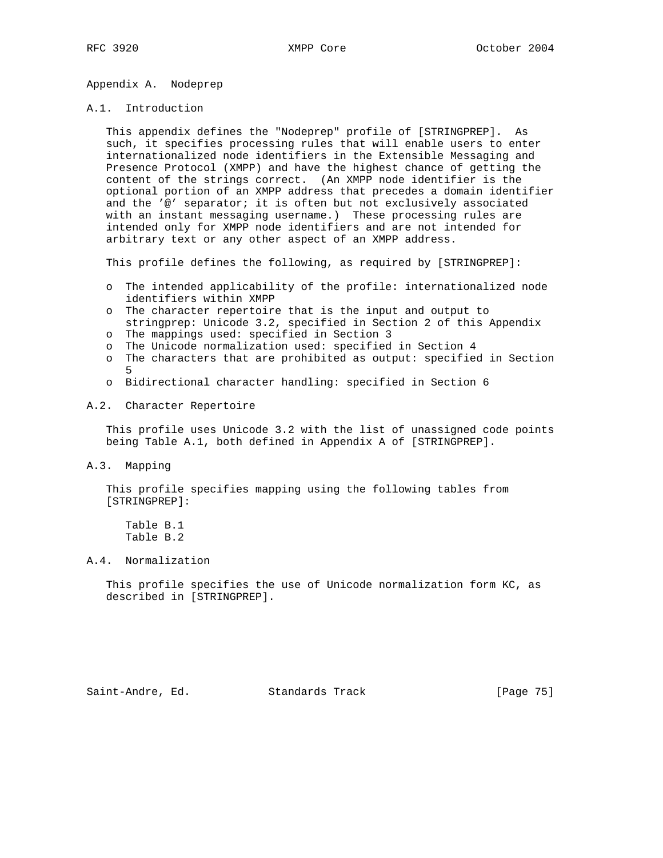Appendix A. Nodeprep

### A.1. Introduction

 This appendix defines the "Nodeprep" profile of [STRINGPREP]. As such, it specifies processing rules that will enable users to enter internationalized node identifiers in the Extensible Messaging and Presence Protocol (XMPP) and have the highest chance of getting the content of the strings correct. (An XMPP node identifier is the optional portion of an XMPP address that precedes a domain identifier and the '@' separator; it is often but not exclusively associated with an instant messaging username.) These processing rules are intended only for XMPP node identifiers and are not intended for arbitrary text or any other aspect of an XMPP address.

This profile defines the following, as required by [STRINGPREP]:

- o The intended applicability of the profile: internationalized node identifiers within XMPP
- o The character repertoire that is the input and output to stringprep: Unicode 3.2, specified in Section 2 of this Appendix
- o The mappings used: specified in Section 3
- o The Unicode normalization used: specified in Section 4
- 
- o The characters that are prohibited as output: specified in Section 5
	- o Bidirectional character handling: specified in Section 6

### A.2. Character Repertoire

 This profile uses Unicode 3.2 with the list of unassigned code points being Table A.1, both defined in Appendix A of [STRINGPREP].

A.3. Mapping

 This profile specifies mapping using the following tables from [STRINGPREP]:

 Table B.1 Table B.2

### A.4. Normalization

 This profile specifies the use of Unicode normalization form KC, as described in [STRINGPREP].

Saint-Andre, Ed. Standards Track [Page 75]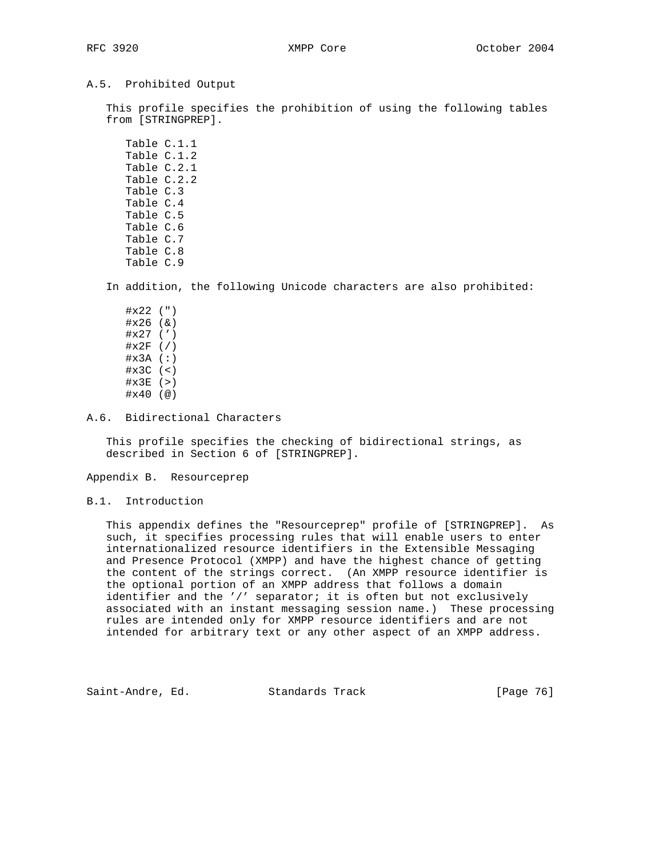### A.5. Prohibited Output

 This profile specifies the prohibition of using the following tables from [STRINGPREP].

 Table C.1.1 Table C.1.2 Table C.2.1 Table C.2.2 Table C.3 Table C.4 Table C.5 Table C.6 Table C.7 Table C.8 Table C.9

In addition, the following Unicode characters are also prohibited:

 #x22 (") #x26 (&) #x27 (') #x2F (/) #x3A (:) #x3C (<)  $\#x3E$  (>) #x40 (@)

A.6. Bidirectional Characters

 This profile specifies the checking of bidirectional strings, as described in Section 6 of [STRINGPREP].

Appendix B. Resourceprep

### B.1. Introduction

 This appendix defines the "Resourceprep" profile of [STRINGPREP]. As such, it specifies processing rules that will enable users to enter internationalized resource identifiers in the Extensible Messaging and Presence Protocol (XMPP) and have the highest chance of getting the content of the strings correct. (An XMPP resource identifier is the optional portion of an XMPP address that follows a domain identifier and the '/' separator; it is often but not exclusively associated with an instant messaging session name.) These processing rules are intended only for XMPP resource identifiers and are not intended for arbitrary text or any other aspect of an XMPP address.

Saint-Andre, Ed. Standards Track [Page 76]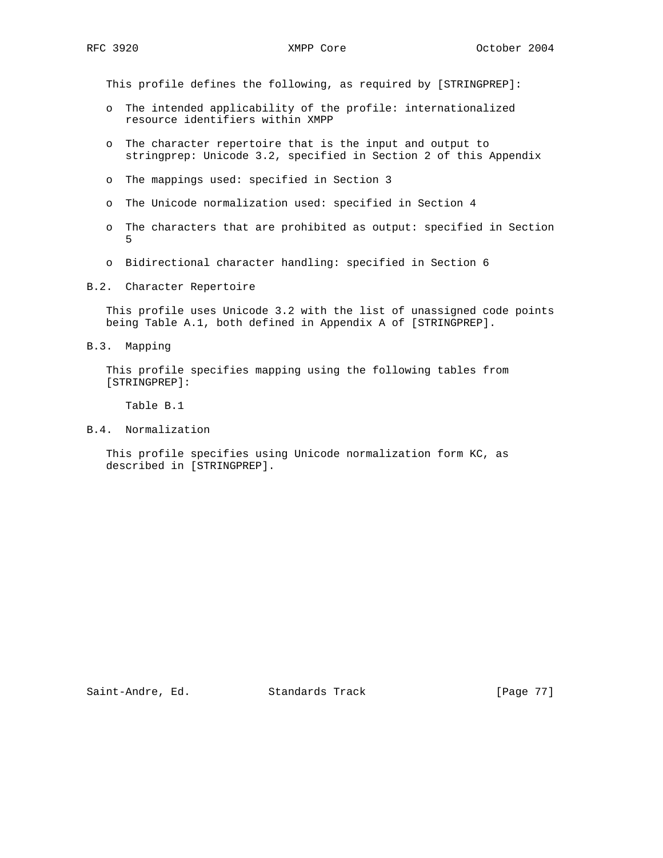This profile defines the following, as required by [STRINGPREP]:

- o The intended applicability of the profile: internationalized resource identifiers within XMPP
- o The character repertoire that is the input and output to stringprep: Unicode 3.2, specified in Section 2 of this Appendix
- o The mappings used: specified in Section 3
- o The Unicode normalization used: specified in Section 4
- o The characters that are prohibited as output: specified in Section 5
- o Bidirectional character handling: specified in Section 6
- B.2. Character Repertoire

 This profile uses Unicode 3.2 with the list of unassigned code points being Table A.1, both defined in Appendix A of [STRINGPREP].

B.3. Mapping

 This profile specifies mapping using the following tables from [STRINGPREP]:

Table B.1

B.4. Normalization

 This profile specifies using Unicode normalization form KC, as described in [STRINGPREP].

Saint-Andre, Ed. Standards Track [Page 77]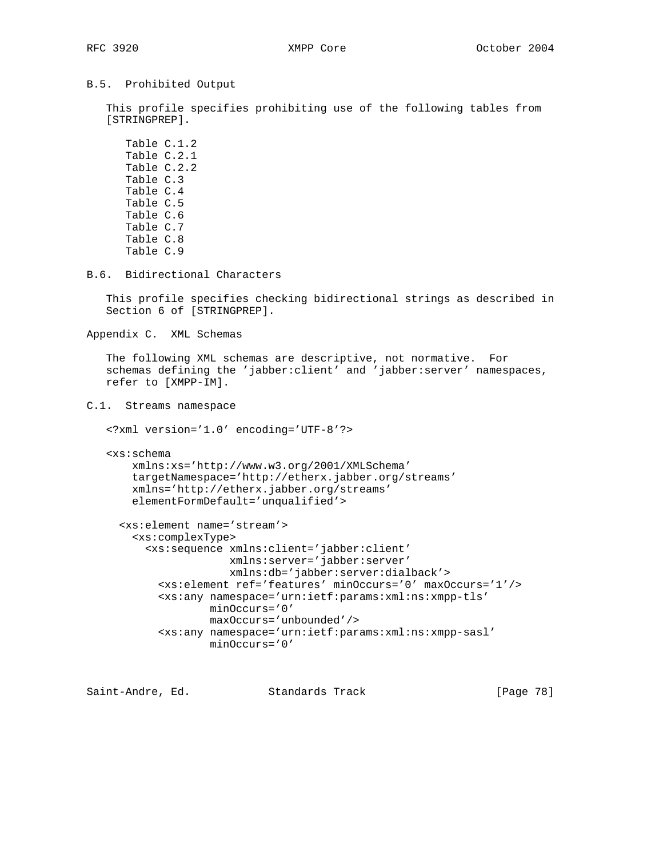### B.5. Prohibited Output

 This profile specifies prohibiting use of the following tables from [STRINGPREP].

 Table C.1.2 Table C.2.1 Table C.2.2 Table C.3 Table C.4 Table C.5 Table C.6 Table C.7 Table C.8 Table C.9

B.6. Bidirectional Characters

 This profile specifies checking bidirectional strings as described in Section 6 of [STRINGPREP].

Appendix C. XML Schemas

 The following XML schemas are descriptive, not normative. For schemas defining the 'jabber:client' and 'jabber:server' namespaces, refer to [XMPP-IM].

C.1. Streams namespace

<?xml version='1.0' encoding='UTF-8'?>

```
 <xs:schema
    xmlns:xs='http://www.w3.org/2001/XMLSchema'
    targetNamespace='http://etherx.jabber.org/streams'
    xmlns='http://etherx.jabber.org/streams'
    elementFormDefault='unqualified'>
```

```
 <xs:element name='stream'>
   <xs:complexType>
     <xs:sequence xmlns:client='jabber:client'
                  xmlns:server='jabber:server'
                  xmlns:db='jabber:server:dialback'>
       <xs:element ref='features' minOccurs='0' maxOccurs='1'/>
       <xs:any namespace='urn:ietf:params:xml:ns:xmpp-tls'
               minOccurs='0'
               maxOccurs='unbounded'/>
       <xs:any namespace='urn:ietf:params:xml:ns:xmpp-sasl'
               minOccurs='0'
```
Saint-Andre, Ed. Standards Track [Page 78]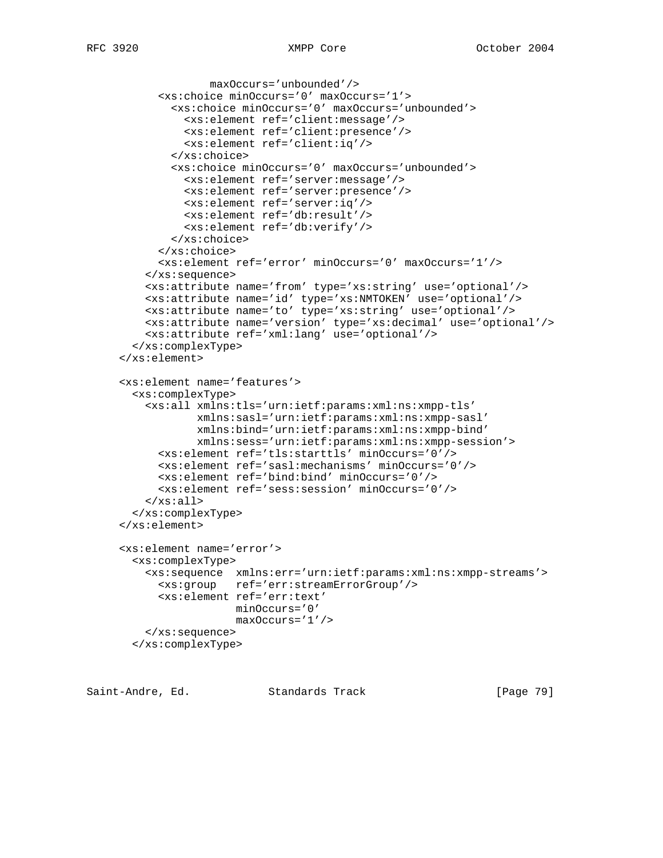```
 maxOccurs='unbounded'/>
       <xs:choice minOccurs='0' maxOccurs='1'>
         <xs:choice minOccurs='0' maxOccurs='unbounded'>
           <xs:element ref='client:message'/>
           <xs:element ref='client:presence'/>
           <xs:element ref='client:iq'/>
         </xs:choice>
         <xs:choice minOccurs='0' maxOccurs='unbounded'>
           <xs:element ref='server:message'/>
           <xs:element ref='server:presence'/>
           <xs:element ref='server:iq'/>
           <xs:element ref='db:result'/>
           <xs:element ref='db:verify'/>
         </xs:choice>
       </xs:choice>
       <xs:element ref='error' minOccurs='0' maxOccurs='1'/>
     </xs:sequence>
     <xs:attribute name='from' type='xs:string' use='optional'/>
    <xs:attribute name='id' type='xs:NMTOKEN' use='optional'/>
    <xs:attribute name='to' type='xs:string' use='optional'/>
    <xs:attribute name='version' type='xs:decimal' use='optional'/>
    <xs:attribute ref='xml:lang' use='optional'/>
  </xs:complexType>
 </xs:element>
 <xs:element name='features'>
  <xs:complexType>
     <xs:all xmlns:tls='urn:ietf:params:xml:ns:xmpp-tls'
             xmlns:sasl='urn:ietf:params:xml:ns:xmpp-sasl'
             xmlns:bind='urn:ietf:params:xml:ns:xmpp-bind'
             xmlns:sess='urn:ietf:params:xml:ns:xmpp-session'>
       <xs:element ref='tls:starttls' minOccurs='0'/>
       <xs:element ref='sasl:mechanisms' minOccurs='0'/>
       <xs:element ref='bind:bind' minOccurs='0'/>
       <xs:element ref='sess:session' minOccurs='0'/>
   \langle x s : \text{all} \rangle </xs:complexType>
 </xs:element>
 <xs:element name='error'>
  <xs:complexType>
    <xs:sequence xmlns:err='urn:ietf:params:xml:ns:xmpp-streams'>
      <xs:group ref='err:streamErrorGroup'/>
       <xs:element ref='err:text'
                  minOccurs='0'
                   maxOccurs='1'/>
     </xs:sequence>
  </xs:complexType>
```
Saint-Andre, Ed. Standards Track [Page 79]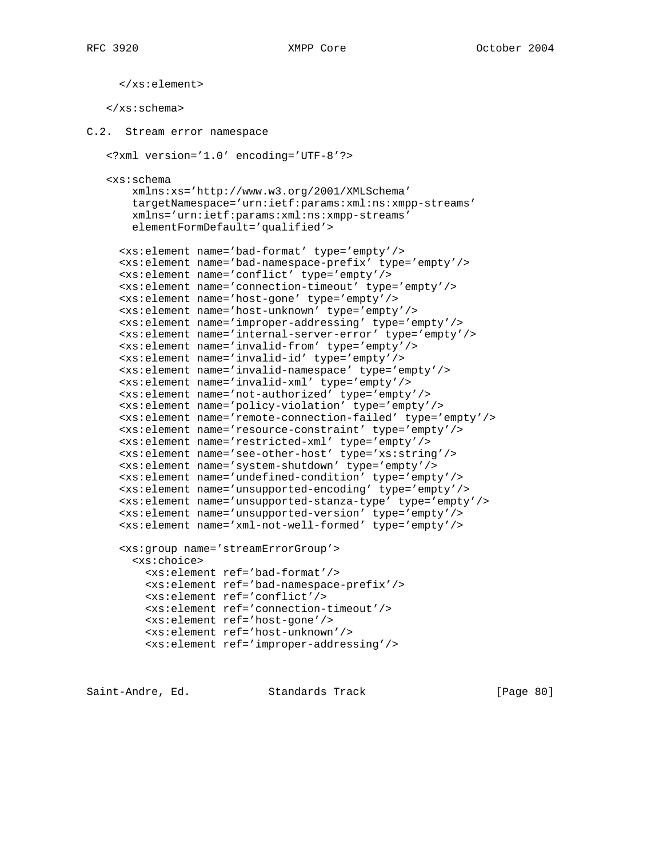```
 </xs:element>
    </xs:schema>
C.2. Stream error namespace
    <?xml version='1.0' encoding='UTF-8'?>
    <xs:schema
        xmlns:xs='http://www.w3.org/2001/XMLSchema'
        targetNamespace='urn:ietf:params:xml:ns:xmpp-streams'
        xmlns='urn:ietf:params:xml:ns:xmpp-streams'
        elementFormDefault='qualified'>
      <xs:element name='bad-format' type='empty'/>
      <xs:element name='bad-namespace-prefix' type='empty'/>
      <xs:element name='conflict' type='empty'/>
      <xs:element name='connection-timeout' type='empty'/>
      <xs:element name='host-gone' type='empty'/>
      <xs:element name='host-unknown' type='empty'/>
      <xs:element name='improper-addressing' type='empty'/>
      <xs:element name='internal-server-error' type='empty'/>
      <xs:element name='invalid-from' type='empty'/>
      <xs:element name='invalid-id' type='empty'/>
      <xs:element name='invalid-namespace' type='empty'/>
      <xs:element name='invalid-xml' type='empty'/>
      <xs:element name='not-authorized' type='empty'/>
      <xs:element name='policy-violation' type='empty'/>
      <xs:element name='remote-connection-failed' type='empty'/>
      <xs:element name='resource-constraint' type='empty'/>
      <xs:element name='restricted-xml' type='empty'/>
      <xs:element name='see-other-host' type='xs:string'/>
      <xs:element name='system-shutdown' type='empty'/>
      <xs:element name='undefined-condition' type='empty'/>
      <xs:element name='unsupported-encoding' type='empty'/>
      <xs:element name='unsupported-stanza-type' type='empty'/>
      <xs:element name='unsupported-version' type='empty'/>
      <xs:element name='xml-not-well-formed' type='empty'/>
      <xs:group name='streamErrorGroup'>
        <xs:choice>
          <xs:element ref='bad-format'/>
          <xs:element ref='bad-namespace-prefix'/>
          <xs:element ref='conflict'/>
          <xs:element ref='connection-timeout'/>
          <xs:element ref='host-gone'/>
          <xs:element ref='host-unknown'/>
          <xs:element ref='improper-addressing'/>
```
Saint-Andre, Ed. Standards Track [Page 80]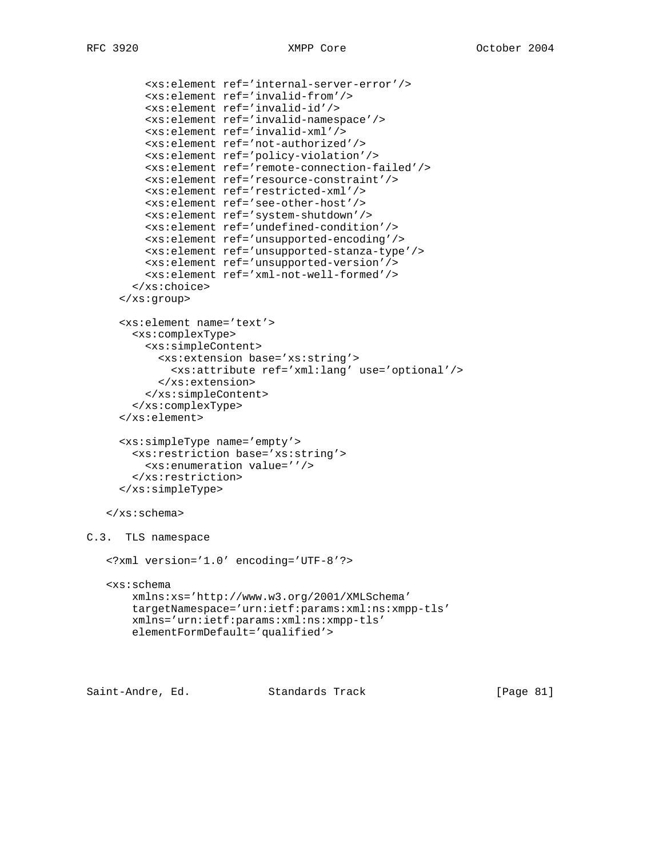```
 <xs:element ref='internal-server-error'/>
          <xs:element ref='invalid-from'/>
          <xs:element ref='invalid-id'/>
          <xs:element ref='invalid-namespace'/>
          <xs:element ref='invalid-xml'/>
          <xs:element ref='not-authorized'/>
          <xs:element ref='policy-violation'/>
          <xs:element ref='remote-connection-failed'/>
          <xs:element ref='resource-constraint'/>
          <xs:element ref='restricted-xml'/>
          <xs:element ref='see-other-host'/>
          <xs:element ref='system-shutdown'/>
          <xs:element ref='undefined-condition'/>
          <xs:element ref='unsupported-encoding'/>
          <xs:element ref='unsupported-stanza-type'/>
          <xs:element ref='unsupported-version'/>
          <xs:element ref='xml-not-well-formed'/>
        </xs:choice>
      </xs:group>
      <xs:element name='text'>
        <xs:complexType>
          <xs:simpleContent>
            <xs:extension base='xs:string'>
              <xs:attribute ref='xml:lang' use='optional'/>
            </xs:extension>
          </xs:simpleContent>
        </xs:complexType>
      </xs:element>
      <xs:simpleType name='empty'>
        <xs:restriction base='xs:string'>
          <xs:enumeration value=''/>
        </xs:restriction>
      </xs:simpleType>
    </xs:schema>
C.3. TLS namespace
    <?xml version='1.0' encoding='UTF-8'?>
    <xs:schema
        xmlns:xs='http://www.w3.org/2001/XMLSchema'
        targetNamespace='urn:ietf:params:xml:ns:xmpp-tls'
        xmlns='urn:ietf:params:xml:ns:xmpp-tls'
        elementFormDefault='qualified'>
```
Saint-Andre, Ed. Standards Track [Page 81]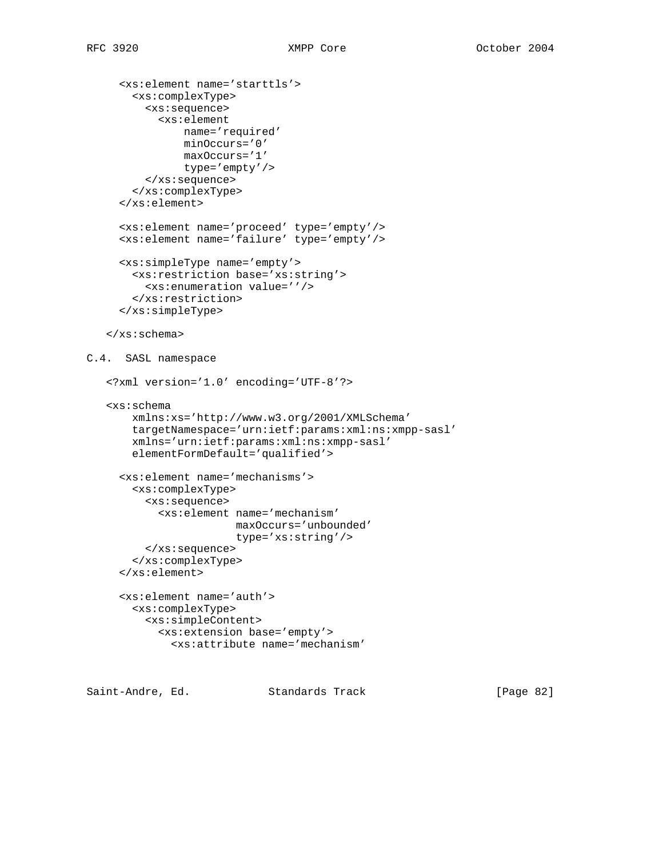```
 <xs:element name='starttls'>
        <xs:complexType>
          <xs:sequence>
            <xs:element
                name='required'
                minOccurs='0'
                maxOccurs='1'
                type='empty'/>
          </xs:sequence>
        </xs:complexType>
      </xs:element>
      <xs:element name='proceed' type='empty'/>
      <xs:element name='failure' type='empty'/>
      <xs:simpleType name='empty'>
        <xs:restriction base='xs:string'>
          <xs:enumeration value=''/>
        </xs:restriction>
      </xs:simpleType>
    </xs:schema>
C.4. SASL namespace
    <?xml version='1.0' encoding='UTF-8'?>
    <xs:schema
        xmlns:xs='http://www.w3.org/2001/XMLSchema'
        targetNamespace='urn:ietf:params:xml:ns:xmpp-sasl'
        xmlns='urn:ietf:params:xml:ns:xmpp-sasl'
        elementFormDefault='qualified'>
      <xs:element name='mechanisms'>
        <xs:complexType>
          <xs:sequence>
            <xs:element name='mechanism'
                        maxOccurs='unbounded'
                        type='xs:string'/>
          </xs:sequence>
        </xs:complexType>
      </xs:element>
      <xs:element name='auth'>
        <xs:complexType>
          <xs:simpleContent>
            <xs:extension base='empty'>
              <xs:attribute name='mechanism'
```
Saint-Andre, Ed. Standards Track [Page 82]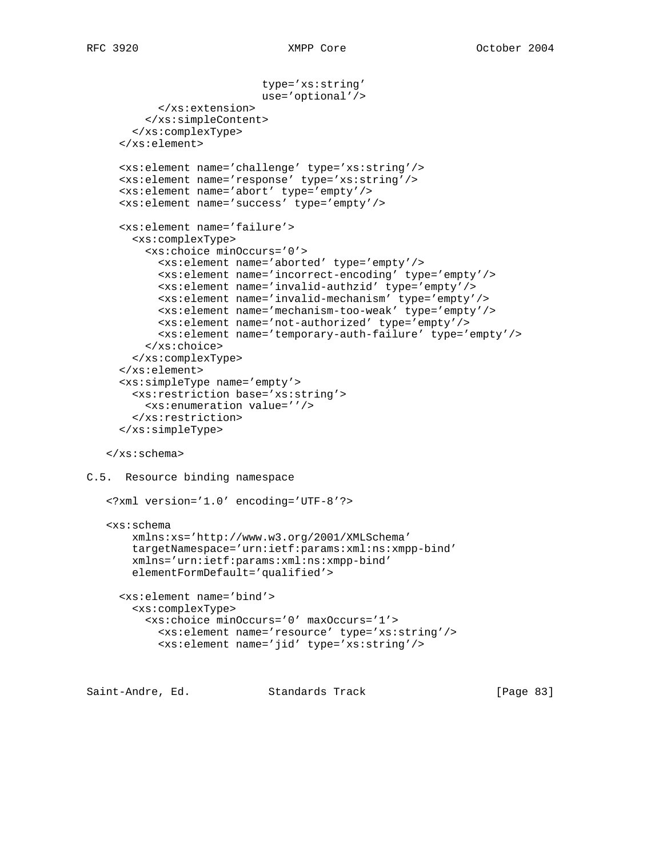```
 type='xs:string'
                            use='optional'/>
            </xs:extension>
          </xs:simpleContent>
        </xs:complexType>
      </xs:element>
      <xs:element name='challenge' type='xs:string'/>
      <xs:element name='response' type='xs:string'/>
      <xs:element name='abort' type='empty'/>
      <xs:element name='success' type='empty'/>
      <xs:element name='failure'>
        <xs:complexType>
          <xs:choice minOccurs='0'>
            <xs:element name='aborted' type='empty'/>
            <xs:element name='incorrect-encoding' type='empty'/>
            <xs:element name='invalid-authzid' type='empty'/>
            <xs:element name='invalid-mechanism' type='empty'/>
            <xs:element name='mechanism-too-weak' type='empty'/>
            <xs:element name='not-authorized' type='empty'/>
            <xs:element name='temporary-auth-failure' type='empty'/>
          </xs:choice>
        </xs:complexType>
      </xs:element>
      <xs:simpleType name='empty'>
        <xs:restriction base='xs:string'>
          <xs:enumeration value=''/>
        </xs:restriction>
      </xs:simpleType>
    </xs:schema>
C.5. Resource binding namespace
    <?xml version='1.0' encoding='UTF-8'?>
    <xs:schema
        xmlns:xs='http://www.w3.org/2001/XMLSchema'
        targetNamespace='urn:ietf:params:xml:ns:xmpp-bind'
        xmlns='urn:ietf:params:xml:ns:xmpp-bind'
        elementFormDefault='qualified'>
      <xs:element name='bind'>
        <xs:complexType>
          <xs:choice minOccurs='0' maxOccurs='1'>
            <xs:element name='resource' type='xs:string'/>
            <xs:element name='jid' type='xs:string'/>
Saint-Andre, Ed. Standards Track [Page 83]
```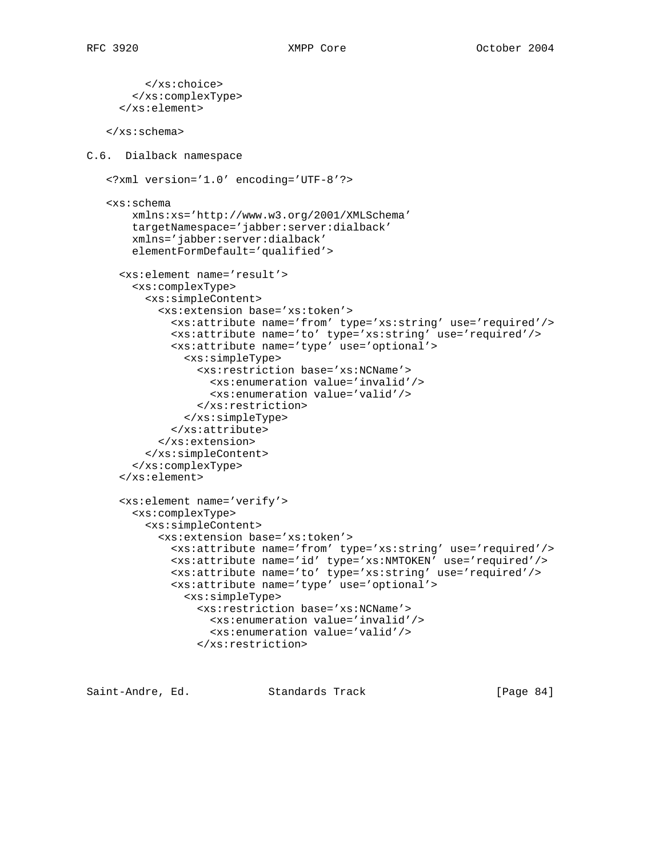</xs:choice> </xs:complexType> </xs:element> </xs:schema> C.6. Dialback namespace <?xml version='1.0' encoding='UTF-8'?> <xs:schema xmlns:xs='http://www.w3.org/2001/XMLSchema' targetNamespace='jabber:server:dialback' xmlns='jabber:server:dialback' elementFormDefault='qualified'> <xs:element name='result'> <xs:complexType> <xs:simpleContent> <xs:extension base='xs:token'> <xs:attribute name='from' type='xs:string' use='required'/> <xs:attribute name='to' type='xs:string' use='required'/> <xs:attribute name='type' use='optional'> <xs:simpleType> <xs:restriction base='xs:NCName'> <xs:enumeration value='invalid'/> <xs:enumeration value='valid'/> </xs:restriction> </xs:simpleType> </xs:attribute> </xs:extension> </xs:simpleContent> </xs:complexType> </xs:element> <xs:element name='verify'> <xs:complexType> <xs:simpleContent> <xs:extension base='xs:token'> <xs:attribute name='from' type='xs:string' use='required'/> <xs:attribute name='id' type='xs:NMTOKEN' use='required'/> <xs:attribute name='to' type='xs:string' use='required'/> <xs:attribute name='type' use='optional'> <xs:simpleType> <xs:restriction base='xs:NCName'> <xs:enumeration value='invalid'/> <xs:enumeration value='valid'/> </xs:restriction>

Saint-Andre, Ed. Standards Track [Page 84]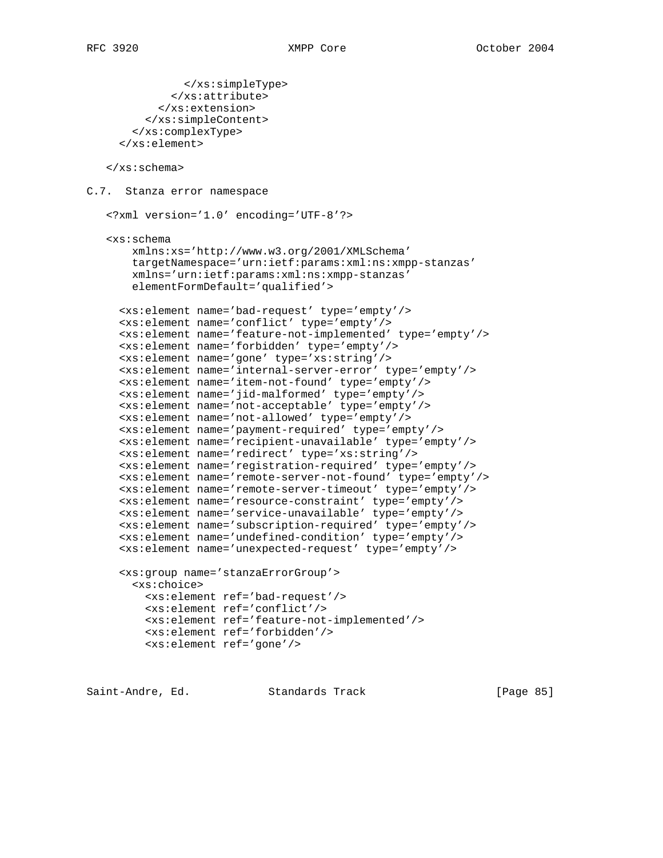```
 </xs:simpleType>
              </xs:attribute>
            </xs:extension>
          </xs:simpleContent>
        </xs:complexType>
      </xs:element>
    </xs:schema>
C.7. Stanza error namespace
    <?xml version='1.0' encoding='UTF-8'?>
    <xs:schema
        xmlns:xs='http://www.w3.org/2001/XMLSchema'
        targetNamespace='urn:ietf:params:xml:ns:xmpp-stanzas'
        xmlns='urn:ietf:params:xml:ns:xmpp-stanzas'
        elementFormDefault='qualified'>
      <xs:element name='bad-request' type='empty'/>
      <xs:element name='conflict' type='empty'/>
      <xs:element name='feature-not-implemented' type='empty'/>
      <xs:element name='forbidden' type='empty'/>
      <xs:element name='gone' type='xs:string'/>
      <xs:element name='internal-server-error' type='empty'/>
      <xs:element name='item-not-found' type='empty'/>
      <xs:element name='jid-malformed' type='empty'/>
      <xs:element name='not-acceptable' type='empty'/>
      <xs:element name='not-allowed' type='empty'/>
      <xs:element name='payment-required' type='empty'/>
      <xs:element name='recipient-unavailable' type='empty'/>
      <xs:element name='redirect' type='xs:string'/>
      <xs:element name='registration-required' type='empty'/>
      <xs:element name='remote-server-not-found' type='empty'/>
      <xs:element name='remote-server-timeout' type='empty'/>
      <xs:element name='resource-constraint' type='empty'/>
      <xs:element name='service-unavailable' type='empty'/>
      <xs:element name='subscription-required' type='empty'/>
      <xs:element name='undefined-condition' type='empty'/>
      <xs:element name='unexpected-request' type='empty'/>
      <xs:group name='stanzaErrorGroup'>
        <xs:choice>
          <xs:element ref='bad-request'/>
          <xs:element ref='conflict'/>
          <xs:element ref='feature-not-implemented'/>
          <xs:element ref='forbidden'/>
          <xs:element ref='gone'/>
```
Saint-Andre, Ed. Standards Track [Page 85]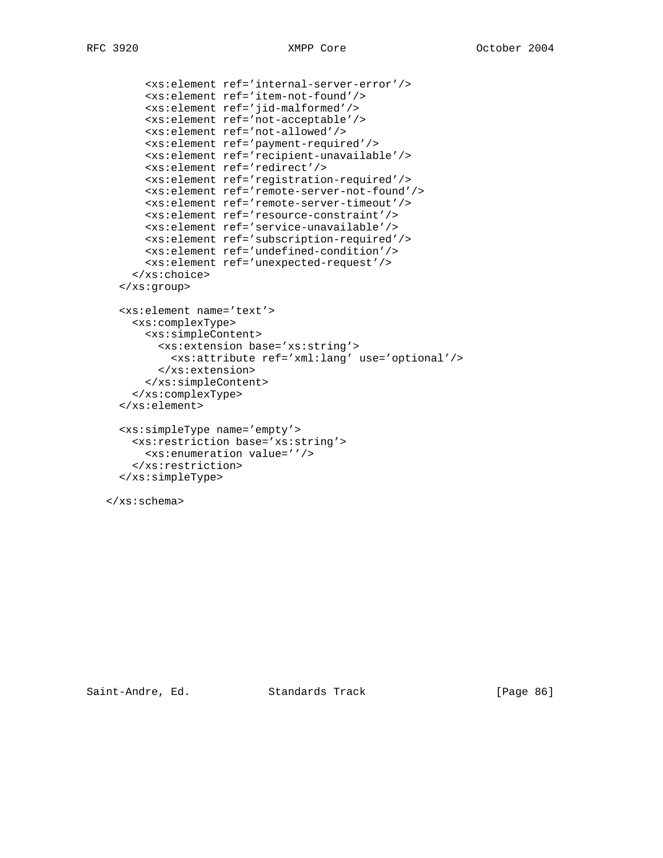```
 <xs:element ref='internal-server-error'/>
       <xs:element ref='item-not-found'/>
       <xs:element ref='jid-malformed'/>
       <xs:element ref='not-acceptable'/>
       <xs:element ref='not-allowed'/>
       <xs:element ref='payment-required'/>
       <xs:element ref='recipient-unavailable'/>
       <xs:element ref='redirect'/>
       <xs:element ref='registration-required'/>
       <xs:element ref='remote-server-not-found'/>
       <xs:element ref='remote-server-timeout'/>
       <xs:element ref='resource-constraint'/>
       <xs:element ref='service-unavailable'/>
       <xs:element ref='subscription-required'/>
       <xs:element ref='undefined-condition'/>
       <xs:element ref='unexpected-request'/>
     </xs:choice>
   </xs:group>
   <xs:element name='text'>
    <xs:complexType>
      <xs:simpleContent>
        <xs:extension base='xs:string'>
          <xs:attribute ref='xml:lang' use='optional'/>
        </xs:extension>
       </xs:simpleContent>
     </xs:complexType>
   </xs:element>
  <xs:simpleType name='empty'>
    <xs:restriction base='xs:string'>
       <xs:enumeration value=''/>
     </xs:restriction>
   </xs:simpleType>
 </xs:schema>
```
Saint-Andre, Ed. Standards Track [Page 86]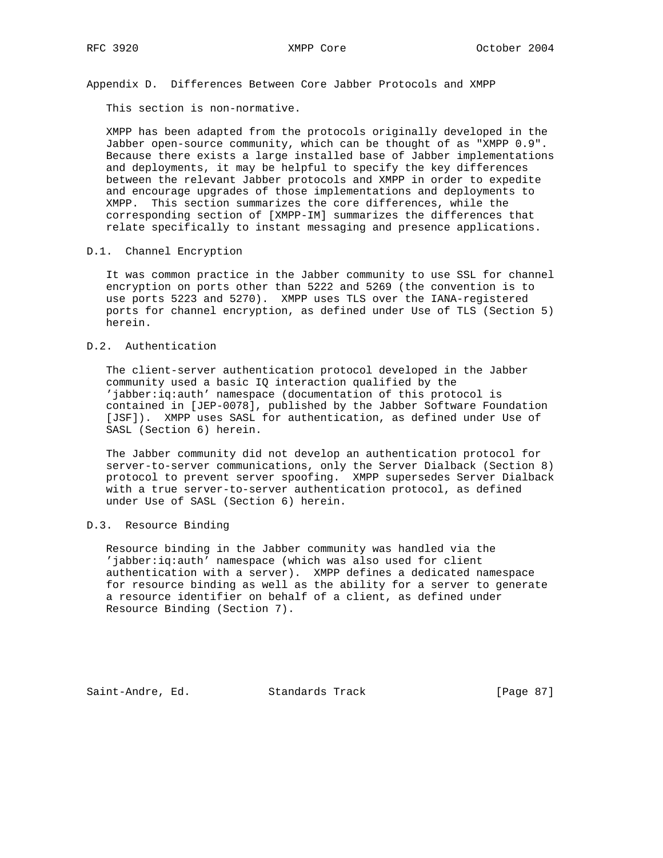Appendix D. Differences Between Core Jabber Protocols and XMPP

This section is non-normative.

 XMPP has been adapted from the protocols originally developed in the Jabber open-source community, which can be thought of as "XMPP 0.9". Because there exists a large installed base of Jabber implementations and deployments, it may be helpful to specify the key differences between the relevant Jabber protocols and XMPP in order to expedite and encourage upgrades of those implementations and deployments to XMPP. This section summarizes the core differences, while the corresponding section of [XMPP-IM] summarizes the differences that relate specifically to instant messaging and presence applications.

#### D.1. Channel Encryption

 It was common practice in the Jabber community to use SSL for channel encryption on ports other than 5222 and 5269 (the convention is to use ports 5223 and 5270). XMPP uses TLS over the IANA-registered ports for channel encryption, as defined under Use of TLS (Section 5) herein.

# D.2. Authentication

 The client-server authentication protocol developed in the Jabber community used a basic IQ interaction qualified by the 'jabber:iq:auth' namespace (documentation of this protocol is contained in [JEP-0078], published by the Jabber Software Foundation [JSF]). XMPP uses SASL for authentication, as defined under Use of SASL (Section 6) herein.

 The Jabber community did not develop an authentication protocol for server-to-server communications, only the Server Dialback (Section 8) protocol to prevent server spoofing. XMPP supersedes Server Dialback with a true server-to-server authentication protocol, as defined under Use of SASL (Section 6) herein.

## D.3. Resource Binding

 Resource binding in the Jabber community was handled via the 'jabber:iq:auth' namespace (which was also used for client authentication with a server). XMPP defines a dedicated namespace for resource binding as well as the ability for a server to generate a resource identifier on behalf of a client, as defined under Resource Binding (Section 7).

Saint-Andre, Ed. Standards Track [Page 87]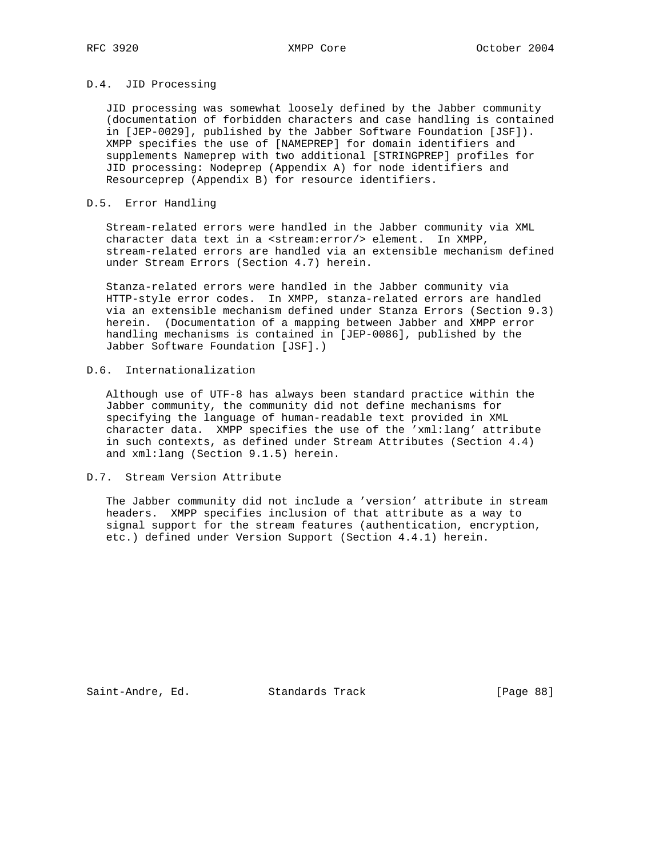# D.4. JID Processing

 JID processing was somewhat loosely defined by the Jabber community (documentation of forbidden characters and case handling is contained in [JEP-0029], published by the Jabber Software Foundation [JSF]). XMPP specifies the use of [NAMEPREP] for domain identifiers and supplements Nameprep with two additional [STRINGPREP] profiles for JID processing: Nodeprep (Appendix A) for node identifiers and Resourceprep (Appendix B) for resource identifiers.

## D.5. Error Handling

 Stream-related errors were handled in the Jabber community via XML character data text in a <stream:error/> element. In XMPP, stream-related errors are handled via an extensible mechanism defined under Stream Errors (Section 4.7) herein.

 Stanza-related errors were handled in the Jabber community via HTTP-style error codes. In XMPP, stanza-related errors are handled via an extensible mechanism defined under Stanza Errors (Section 9.3) herein. (Documentation of a mapping between Jabber and XMPP error handling mechanisms is contained in [JEP-0086], published by the Jabber Software Foundation [JSF].)

# D.6. Internationalization

 Although use of UTF-8 has always been standard practice within the Jabber community, the community did not define mechanisms for specifying the language of human-readable text provided in XML character data. XMPP specifies the use of the 'xml:lang' attribute in such contexts, as defined under Stream Attributes (Section 4.4) and xml:lang (Section 9.1.5) herein.

### D.7. Stream Version Attribute

 The Jabber community did not include a 'version' attribute in stream headers. XMPP specifies inclusion of that attribute as a way to signal support for the stream features (authentication, encryption, etc.) defined under Version Support (Section 4.4.1) herein.

Saint-Andre, Ed. Standards Track [Page 88]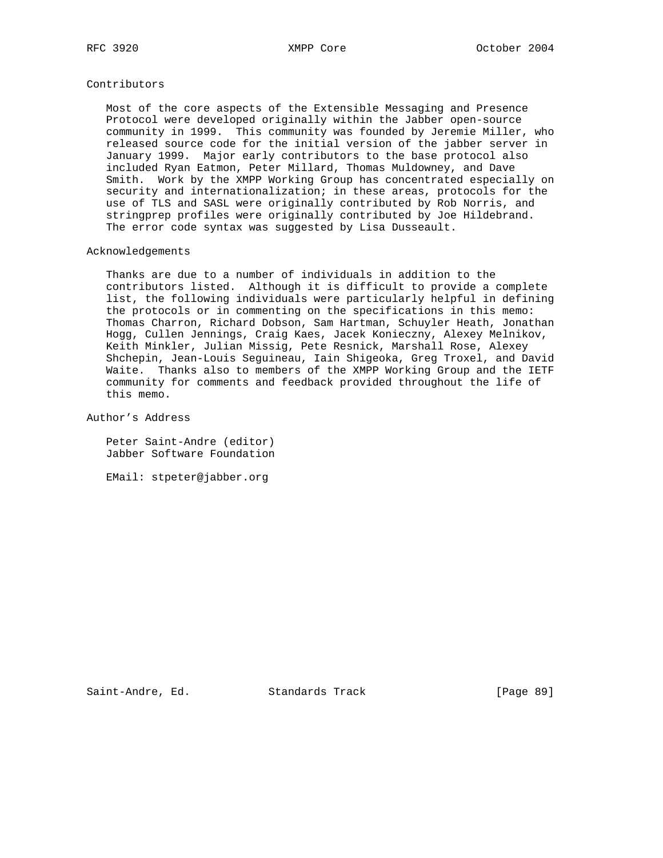### Contributors

 Most of the core aspects of the Extensible Messaging and Presence Protocol were developed originally within the Jabber open-source community in 1999. This community was founded by Jeremie Miller, who released source code for the initial version of the jabber server in January 1999. Major early contributors to the base protocol also included Ryan Eatmon, Peter Millard, Thomas Muldowney, and Dave Smith. Work by the XMPP Working Group has concentrated especially on security and internationalization; in these areas, protocols for the use of TLS and SASL were originally contributed by Rob Norris, and stringprep profiles were originally contributed by Joe Hildebrand. The error code syntax was suggested by Lisa Dusseault.

#### Acknowledgements

 Thanks are due to a number of individuals in addition to the contributors listed. Although it is difficult to provide a complete list, the following individuals were particularly helpful in defining the protocols or in commenting on the specifications in this memo: Thomas Charron, Richard Dobson, Sam Hartman, Schuyler Heath, Jonathan Hogg, Cullen Jennings, Craig Kaes, Jacek Konieczny, Alexey Melnikov, Keith Minkler, Julian Missig, Pete Resnick, Marshall Rose, Alexey Shchepin, Jean-Louis Seguineau, Iain Shigeoka, Greg Troxel, and David Waite. Thanks also to members of the XMPP Working Group and the IETF community for comments and feedback provided throughout the life of this memo.

Author's Address

 Peter Saint-Andre (editor) Jabber Software Foundation

EMail: stpeter@jabber.org

Saint-Andre, Ed. Standards Track [Page 89]